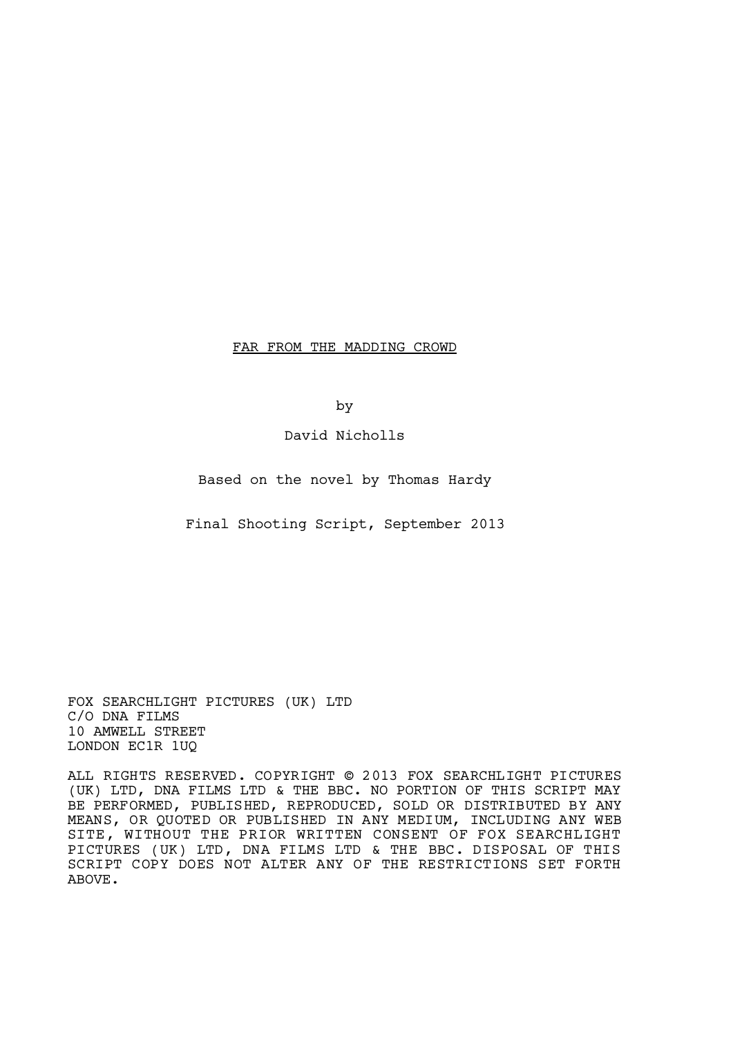FAR FROM THE MADDING CROWD

by

David Nicholls

Based on the novel by Thomas Hardy

Final Shooting Script, September 2013

FOX SEARCHLIGHT PICTURES (UK) LTD C/O DNA FILMS 10 AMWELL STREET LONDON EC1R 1UQ

ALL RIGHTS RESERVED. COPYRIGHT © 2013 FOX SEARCHLIGHT PICTURES (UK) LTD, DNA FILMS LTD & THE BBC. NO PORTION OF THIS SCRIPT MAY BE PERFORMED, PUBLISHED, REPRODUCED, SOLD OR DISTRIBUTED BY ANY MEANS, OR QUOTED OR PUBLISHED IN ANY MEDIUM, INCLUDING ANY WEB SITE, WITHOUT THE PRIOR WRITTEN CONSENT OF FOX SEARCHLIGHT PICTURES (UK) LTD, DNA FILMS LTD & THE BBC. DISPOSAL OF THIS SCRIPT COPY DOES NOT ALTER ANY OF THE RESTRICTIONS SET FORTH ABOVE.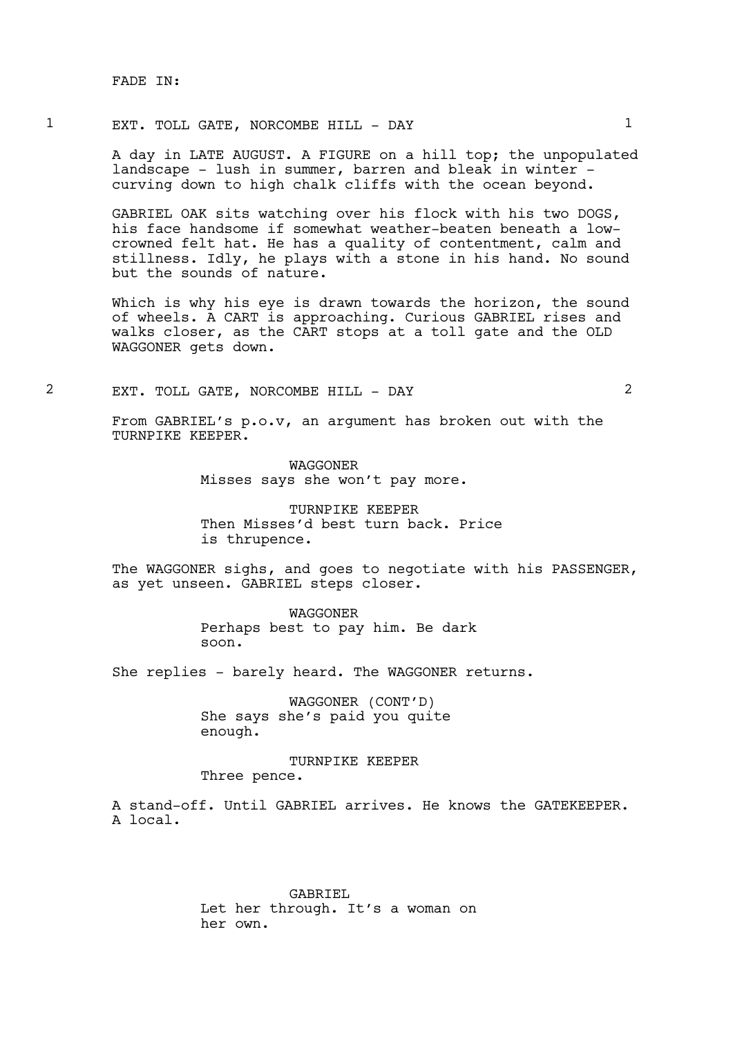FADE IN:

### 1 EXT. TOLL GATE, NORCOMBE HILL - DAY 1

A day in LATE AUGUST. A FIGURE on a hill top; the unpopulated landscape - lush in summer, barren and bleak in winter curving down to high chalk cliffs with the ocean beyond.

GABRIEL OAK sits watching over his flock with his two DOGS, his face handsome if somewhat weather-beaten beneath a lowcrowned felt hat. He has a quality of contentment, calm and stillness. Idly, he plays with a stone in his hand. No sound but the sounds of nature.

Which is why his eye is drawn towards the horizon, the sound of wheels. A CART is approaching. Curious GABRIEL rises and walks closer, as the CART stops at a toll gate and the OLD WAGGONER gets down.

2 EXT. TOLL GATE, NORCOMBE HILL - DAY 2

From GABRIEL's p.o.v, an argument has broken out with the TURNPIKE KEEPER.

> WAGGONER Misses says she won't pay more.

TURNPIKE KEEPER Then Misses'd best turn back. Price is thrupence.

The WAGGONER sighs, and goes to negotiate with his PASSENGER, as yet unseen. GABRIEL steps closer.

> WAGGONER Perhaps best to pay him. Be dark soon.

She replies - barely heard. The WAGGONER returns.

WAGGONER (CONT'D) She says she's paid you quite enough.

# TURNPIKE KEEPER

### Three pence.

A stand-off. Until GABRIEL arrives. He knows the GATEKEEPER. A local.

> GABRIEL Let her through. It's a woman on her own.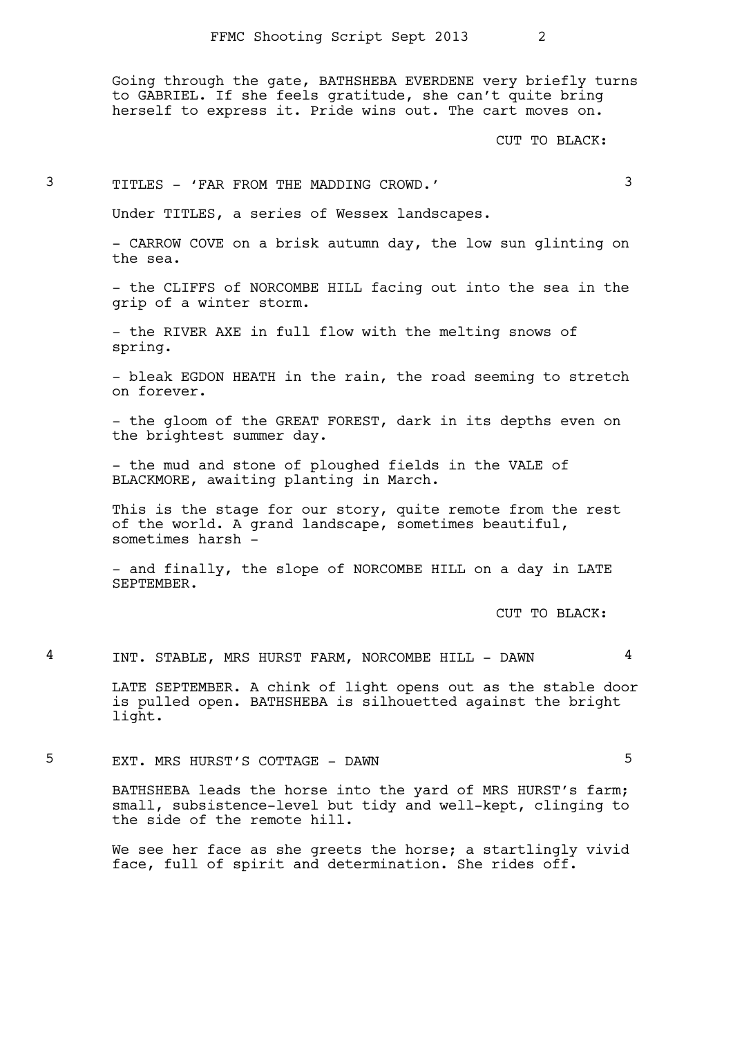Going through the gate, BATHSHEBA EVERDENE very briefly turns to GABRIEL. If she feels gratitude, she can't quite bring herself to express it. Pride wins out. The cart moves on.

CUT TO BLACK:

# 3 TITLES - 'FAR FROM THE MADDING CROWD.' 3

Under TITLES, a series of Wessex landscapes.

- CARROW COVE on a brisk autumn day, the low sun glinting on the sea.

- the CLIFFS of NORCOMBE HILL facing out into the sea in the grip of a winter storm.

- the RIVER AXE in full flow with the melting snows of spring.

- bleak EGDON HEATH in the rain, the road seeming to stretch on forever.

- the gloom of the GREAT FOREST, dark in its depths even on the brightest summer day.

- the mud and stone of ploughed fields in the VALE of BLACKMORE, awaiting planting in March.

This is the stage for our story, quite remote from the rest of the world. A grand landscape, sometimes beautiful, sometimes harsh -

- and finally, the slope of NORCOMBE HILL on a day in LATE SEPTEMBER.

CUT TO BLACK:

4 INT. STABLE, MRS HURST FARM, NORCOMBE HILL - DAWN 4

LATE SEPTEMBER. A chink of light opens out as the stable door is pulled open. BATHSHEBA is silhouetted against the bright light.

5 EXT. MRS HURST'S COTTAGE - DAWN 5

BATHSHEBA leads the horse into the yard of MRS HURST's farm; small, subsistence-level but tidy and well-kept, clinging to the side of the remote hill.

We see her face as she greets the horse; a startlingly vivid face, full of spirit and determination. She rides off.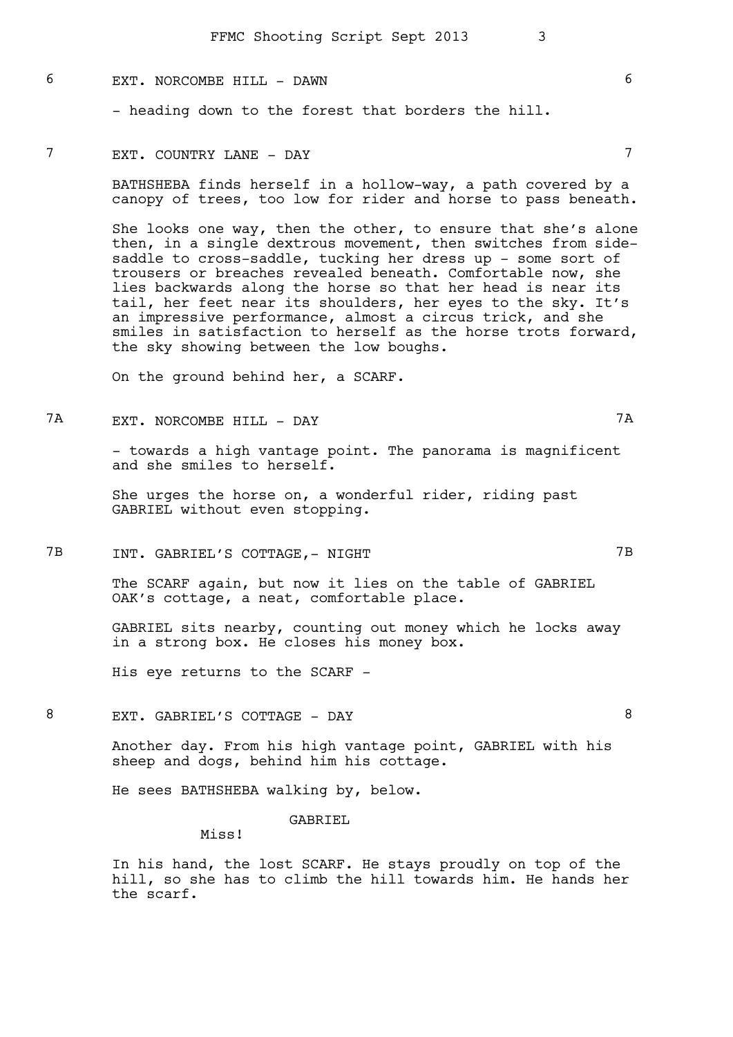## 6 EXT. NORCOMBE HILL - DAWN 6

- heading down to the forest that borders the hill.

### 7 EXT. COUNTRY LANE - DAY 7

BATHSHEBA finds herself in a hollow-way, a path covered by a canopy of trees, too low for rider and horse to pass beneath.

She looks one way, then the other, to ensure that she's alone then, in a single dextrous movement, then switches from sidesaddle to cross-saddle, tucking her dress up - some sort of trousers or breaches revealed beneath. Comfortable now, she lies backwards along the horse so that her head is near its tail, her feet near its shoulders, her eyes to the sky. It's an impressive performance, almost a circus trick, and she smiles in satisfaction to herself as the horse trots forward, the sky showing between the low boughs.

On the ground behind her, a SCARF.

7A EXT. NORCOMBE HILL - DAY 7A

- towards a high vantage point. The panorama is magnificent and she smiles to herself.

She urges the horse on, a wonderful rider, riding past GABRIEL without even stopping.

7B INT. GABRIEL'S COTTAGE,- NIGHT 7B

The SCARF again, but now it lies on the table of GABRIEL OAK's cottage, a neat, comfortable place.

GABRIEL sits nearby, counting out money which he locks away in a strong box. He closes his money box.

His eye returns to the SCARF -

8 EXT. GABRIEL'S COTTAGE - DAY 8

Another day. From his high vantage point, GABRIEL with his sheep and dogs, behind him his cottage.

He sees BATHSHEBA walking by, below.

### GABRIEL

Miss!

In his hand, the lost SCARF. He stays proudly on top of the hill, so she has to climb the hill towards him. He hands her the scarf.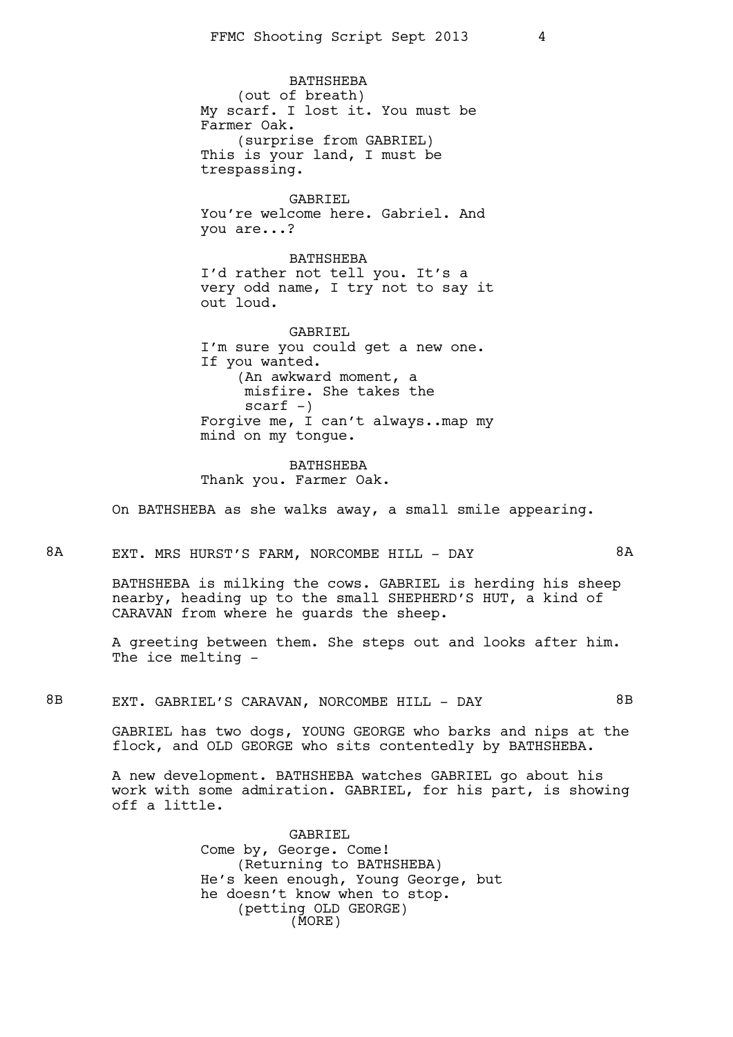BATHSHEBA (out of breath) My scarf. I lost it. You must be Farmer Oak. (surprise from GABRIEL) This is your land, I must be trespassing.

GABRIEL You're welcome here. Gabriel. And you are...?

BATHSHEBA I'd rather not tell you. It's a very odd name, I try not to say it out loud.

GABRIEL I'm sure you could get a new one. If you wanted. (An awkward moment, a misfire. She takes the  $scarf -)$ Forgive me, I can't always..map my mind on my tongue.

BATHSHEBA Thank you. Farmer Oak.

On BATHSHEBA as she walks away, a small smile appearing.

# 8A EXT. MRS HURST'S FARM, NORCOMBE HILL - DAY 6A

BATHSHEBA is milking the cows. GABRIEL is herding his sheep nearby, heading up to the small SHEPHERD'S HUT, a kind of CARAVAN from where he guards the sheep.

A greeting between them. She steps out and looks after him. The ice melting -

8B EXT. GABRIEL'S CARAVAN, NORCOMBE HILL - DAY 6B

GABRIEL has two dogs, YOUNG GEORGE who barks and nips at the flock, and OLD GEORGE who sits contentedly by BATHSHEBA.

A new development. BATHSHEBA watches GABRIEL go about his work with some admiration. GABRIEL, for his part, is showing off a little.

> GABRIEL Come by, George. Come! (Returning to BATHSHEBA) He's keen enough, Young George, but he doesn't know when to stop. (petting OLD GEORGE) (MORE)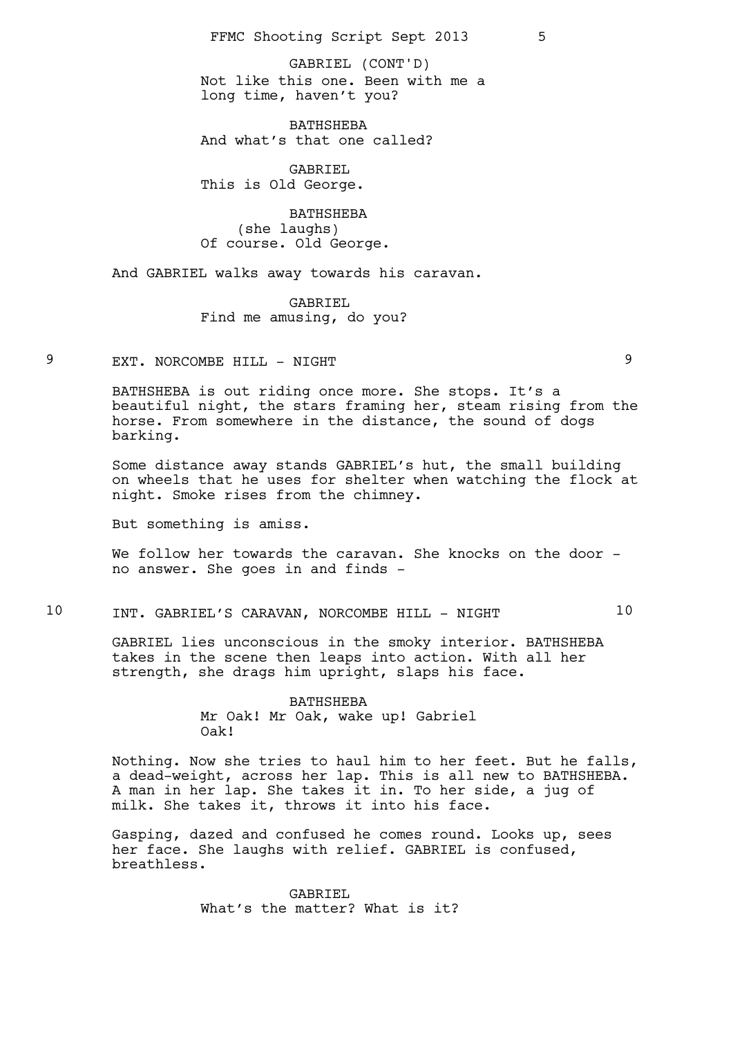Not like this one. Been with me a long time, haven't you? GABRIEL (CONT'D)

**BATHSHEBA** And what's that one called?

GABRIEL This is Old George.

BATHSHEBA (she laughs) Of course. Old George.

And GABRIEL walks away towards his caravan.

GABRIEL Find me amusing, do you?

9 EXT. NORCOMBE HILL - NIGHT

BATHSHEBA is out riding once more. She stops. It's a beautiful night, the stars framing her, steam rising from the horse. From somewhere in the distance, the sound of dogs barking.

Some distance away stands GABRIEL's hut, the small building on wheels that he uses for shelter when watching the flock at night. Smoke rises from the chimney.

But something is amiss.

We follow her towards the caravan. She knocks on the door no answer. She goes in and finds -

## 10 INT. GABRIEL'S CARAVAN, NORCOMBE HILL - NIGHT 10

GABRIEL lies unconscious in the smoky interior. BATHSHEBA takes in the scene then leaps into action. With all her strength, she drags him upright, slaps his face.

> BATHSHEBA Mr Oak! Mr Oak, wake up! Gabriel Oak!

Nothing. Now she tries to haul him to her feet. But he falls, a dead-weight, across her lap. This is all new to BATHSHEBA. A man in her lap. She takes it in. To her side, a jug of milk. She takes it, throws it into his face.

Gasping, dazed and confused he comes round. Looks up, sees her face. She laughs with relief. GABRIEL is confused, breathless.

> GABRIEL What's the matter? What is it?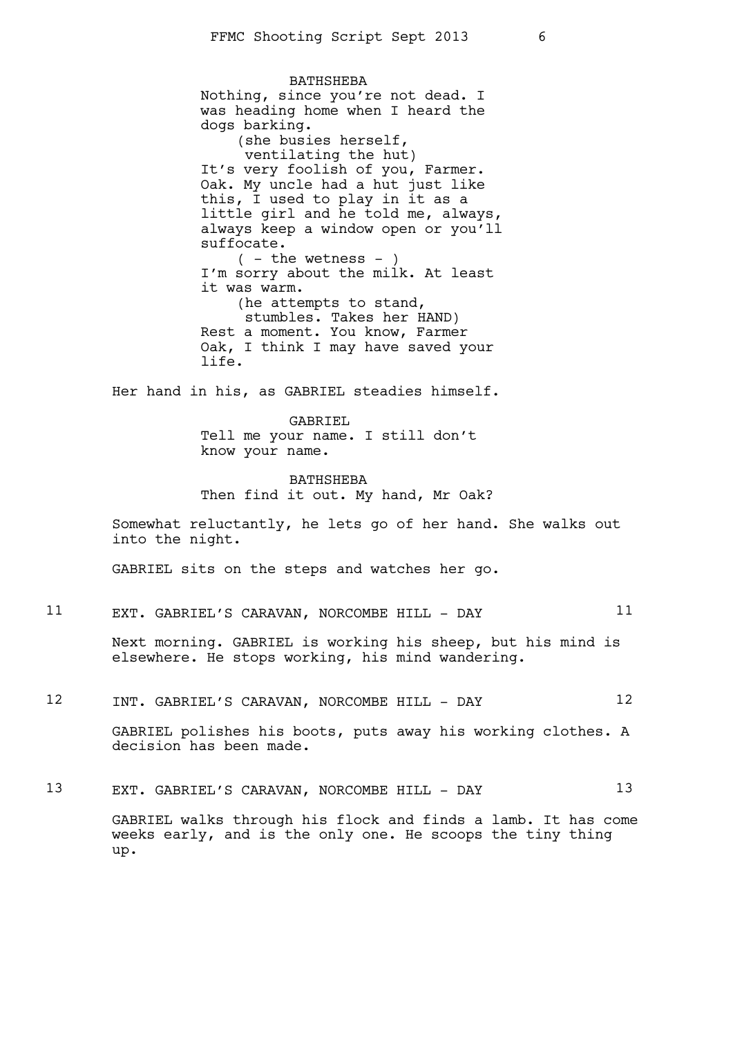BATHSHEBA Nothing, since you're not dead. I was heading home when I heard the dogs barking. (she busies herself, ventilating the hut) It's very foolish of you, Farmer. Oak. My uncle had a hut just like this, I used to play in it as a little girl and he told me, always, always keep a window open or you'll suffocate.  $($  - the wetness -  $)$ I'm sorry about the milk. At least it was warm. (he attempts to stand, stumbles. Takes her HAND) Rest a moment. You know, Farmer Oak, I think I may have saved your life.

Her hand in his, as GABRIEL steadies himself.

GABRIEL Tell me your name. I still don't know your name.

BATHSHEBA Then find it out. My hand, Mr Oak?

Somewhat reluctantly, he lets go of her hand. She walks out into the night.

GABRIEL sits on the steps and watches her go.

11 EXT. GABRIEL'S CARAVAN, NORCOMBE HILL - DAY 11

Next morning. GABRIEL is working his sheep, but his mind is elsewhere. He stops working, his mind wandering.

12 INT. GABRIEL'S CARAVAN, NORCOMBE HILL - DAY 12

GABRIEL polishes his boots, puts away his working clothes. A decision has been made.

13 EXT. GABRIEL'S CARAVAN, NORCOMBE HILL - DAY 13 GABRIEL walks through his flock and finds a lamb. It has come weeks early, and is the only one. He scoops the tiny thing up.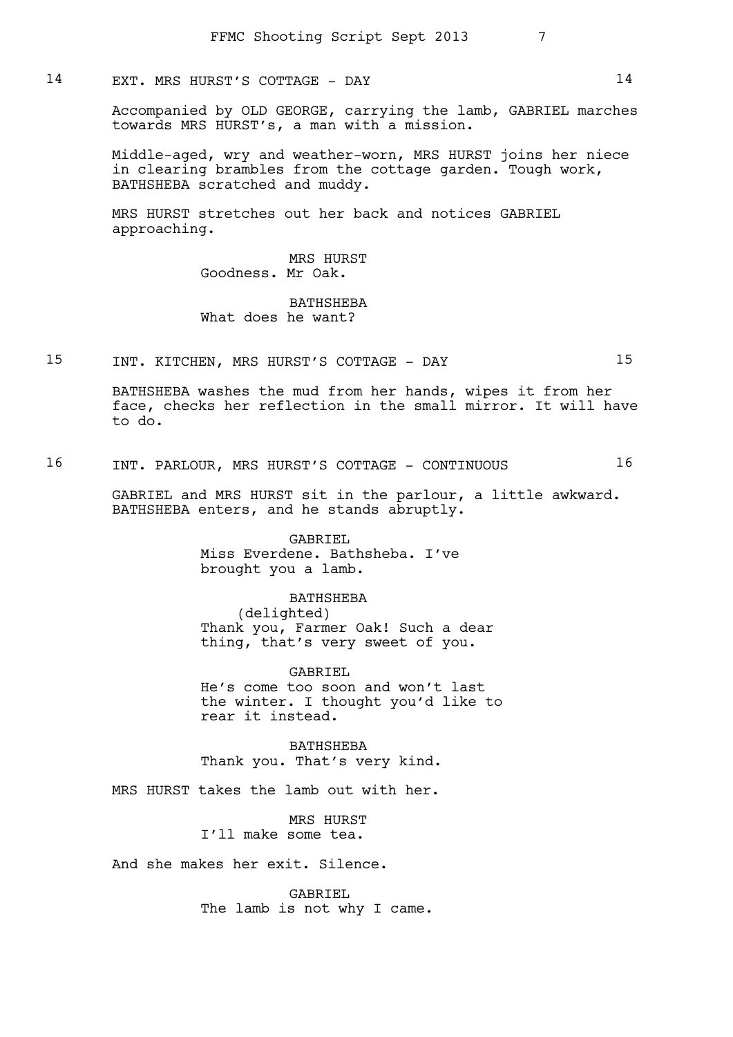## 14 EXT. MRS HURST'S COTTAGE - DAY 14

Accompanied by OLD GEORGE, carrying the lamb, GABRIEL marches towards MRS HURST's, a man with a mission.

Middle-aged, wry and weather-worn, MRS HURST joins her niece in clearing brambles from the cottage garden. Tough work, BATHSHEBA scratched and muddy.

MRS HURST stretches out her back and notices GABRIEL approaching.

> MRS HURST Goodness. Mr Oak.

### BATHSHEBA What does he want?

# 15 INT. KITCHEN, MRS HURST'S COTTAGE - DAY 15

BATHSHEBA washes the mud from her hands, wipes it from her face, checks her reflection in the small mirror. It will have to do.

16 INT. PARLOUR, MRS HURST'S COTTAGE - CONTINUOUS 16

GABRIEL and MRS HURST sit in the parlour, a little awkward. BATHSHEBA enters, and he stands abruptly.

> GABRIEL Miss Everdene. Bathsheba. I've brought you a lamb.

BATHSHEBA (delighted) Thank you, Farmer Oak! Such a dear thing, that's very sweet of you.

GABRIEL He's come too soon and won't last the winter. I thought you'd like to rear it instead.

BATHSHEBA Thank you. That's very kind.

MRS HURST takes the lamb out with her.

MRS HURST I'll make some tea.

And she makes her exit. Silence.

GABRIEL The lamb is not why I came.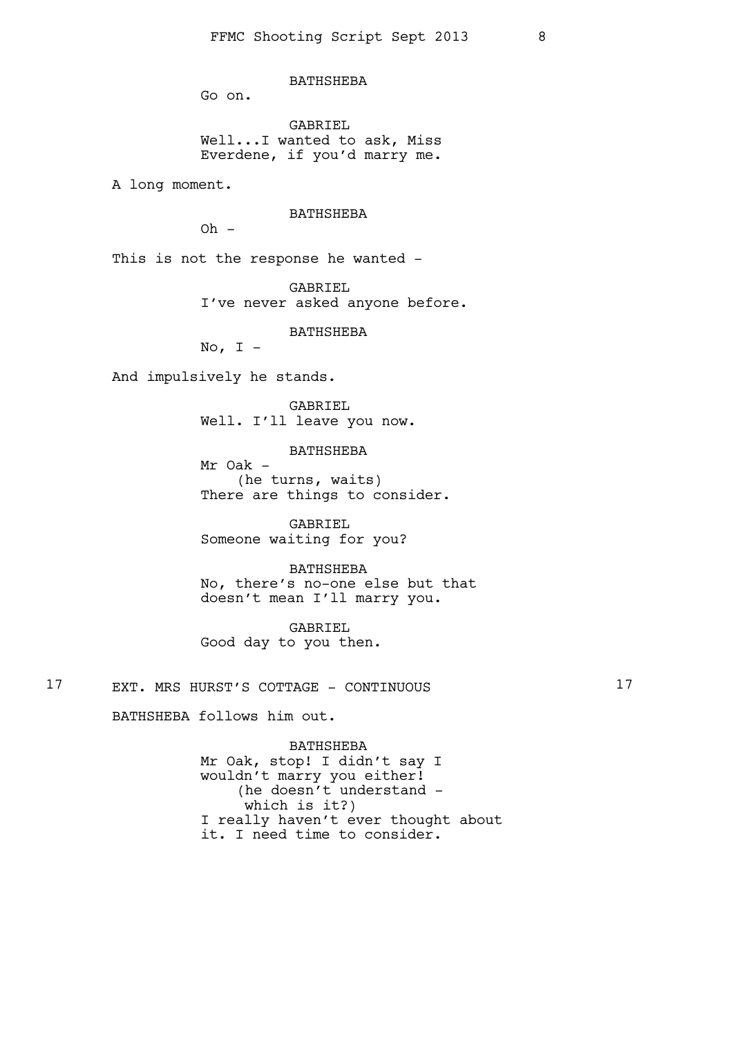**BATHSHEBA** 

Go on.

GABRIEL Well...I wanted to ask, Miss Everdene, if you'd marry me.

A long moment.

### BATHSHEBA

 $Oh -$ 

This is not the response he wanted -

GABRIEL I've never asked anyone before.

BATHSHEBA

No,  $I -$ 

And impulsively he stands.

GABRIEL Well. I'll leave you now.

BATHSHEBA

Mr Oak - (he turns, waits) There are things to consider.

GABRIEL Someone waiting for you?

BATHSHEBA No, there's no-one else but that doesn't mean I'll marry you.

GABRIEL Good day to you then.

17 EXT. MRS HURST'S COTTAGE - CONTINUOUS 17

BATHSHEBA follows him out.

BATHSHEBA Mr Oak, stop! I didn't say I wouldn't marry you either! (he doesn't understand which is it?) I really haven't ever thought about it. I need time to consider.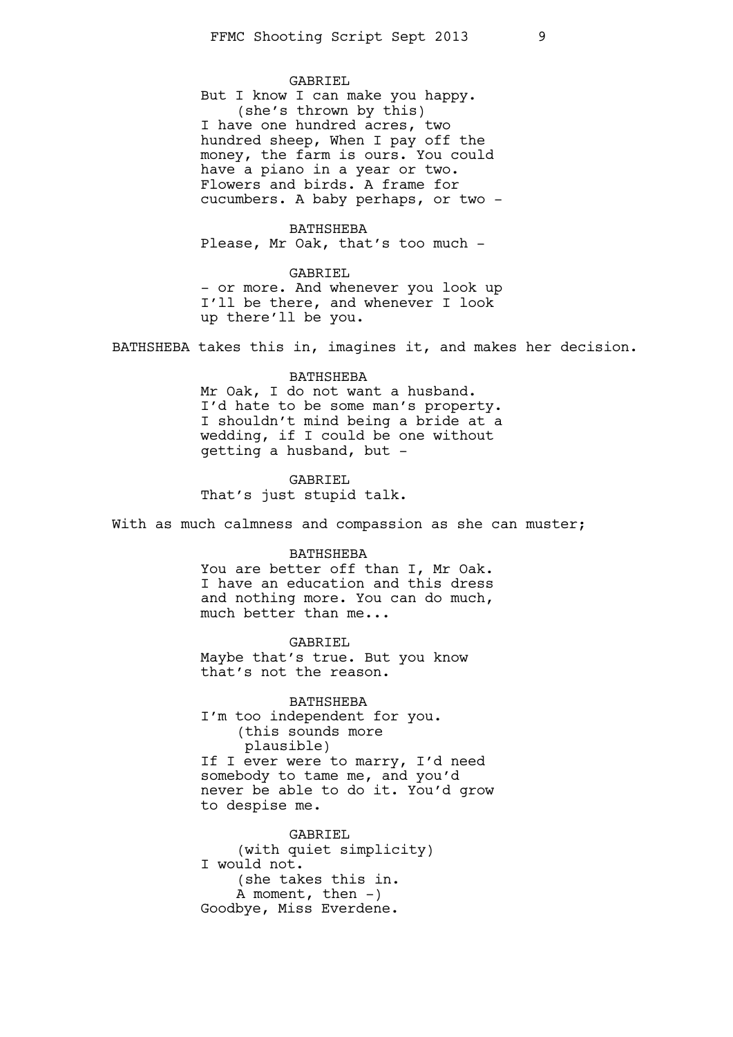GABRIEL

But I know I can make you happy. (she's thrown by this) I have one hundred acres, two hundred sheep, When I pay off the money, the farm is ours. You could have a piano in a year or two. Flowers and birds. A frame for cucumbers. A baby perhaps, or two -

BATHSHEBA Please, Mr Oak, that's too much -

GABRIEL - or more. And whenever you look up I'll be there, and whenever I look up there'll be you.

BATHSHEBA takes this in, imagines it, and makes her decision.

#### BATHSHEBA

Mr Oak, I do not want a husband. I'd hate to be some man's property. I shouldn't mind being a bride at a wedding, if I could be one without getting a husband, but -

GABRIEL That's just stupid talk.

With as much calmness and compassion as she can muster;

#### BATHSHEBA

You are better off than I, Mr Oak. I have an education and this dress and nothing more. You can do much, much better than me...

GABRIEL Maybe that's true. But you know that's not the reason.

BATHSHEBA I'm too independent for you. (this sounds more plausible) If I ever were to marry, I'd need somebody to tame me, and you'd never be able to do it. You'd grow to despise me.

GABRIEL (with quiet simplicity) I would not. (she takes this in. A moment, then  $-$ ) Goodbye, Miss Everdene.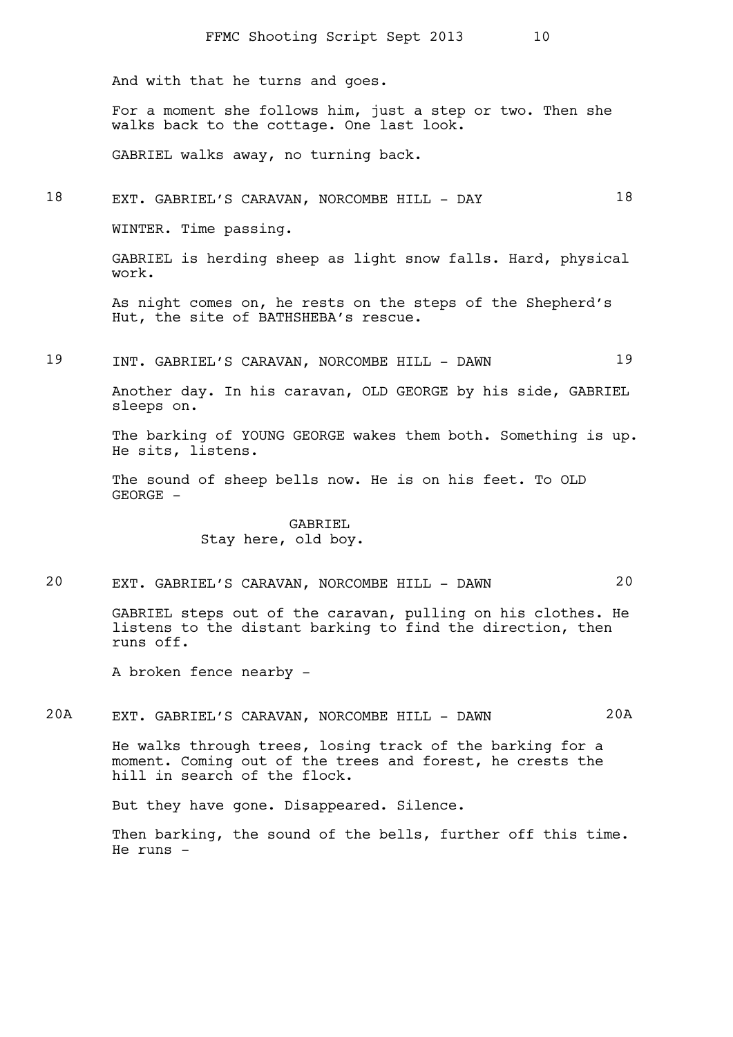And with that he turns and goes.

For a moment she follows him, just a step or two. Then she walks back to the cottage. One last look.

GABRIEL walks away, no turning back.

### 18 EXT. GABRIEL'S CARAVAN, NORCOMBE HILL - DAY 18

WINTER. Time passing.

GABRIEL is herding sheep as light snow falls. Hard, physical work.

As night comes on, he rests on the steps of the Shepherd's Hut, the site of BATHSHEBA's rescue.

19 INT. GABRIEL'S CARAVAN, NORCOMBE HILL - DAWN 19

Another day. In his caravan, OLD GEORGE by his side, GABRIEL sleeps on.

The barking of YOUNG GEORGE wakes them both. Something is up. He sits, listens.

The sound of sheep bells now. He is on his feet. To OLD  $GECR$   $-$ 

> GABRIEL Stay here, old boy.

# 20 EXT. GABRIEL'S CARAVAN, NORCOMBE HILL - DAWN 20

GABRIEL steps out of the caravan, pulling on his clothes. He listens to the distant barking to find the direction, then runs off.

A broken fence nearby -

20A EXT. GABRIEL'S CARAVAN, NORCOMBE HILL - DAWN 20A

He walks through trees, losing track of the barking for a moment. Coming out of the trees and forest, he crests the hill in search of the flock.

But they have gone. Disappeared. Silence.

Then barking, the sound of the bells, further off this time. He runs -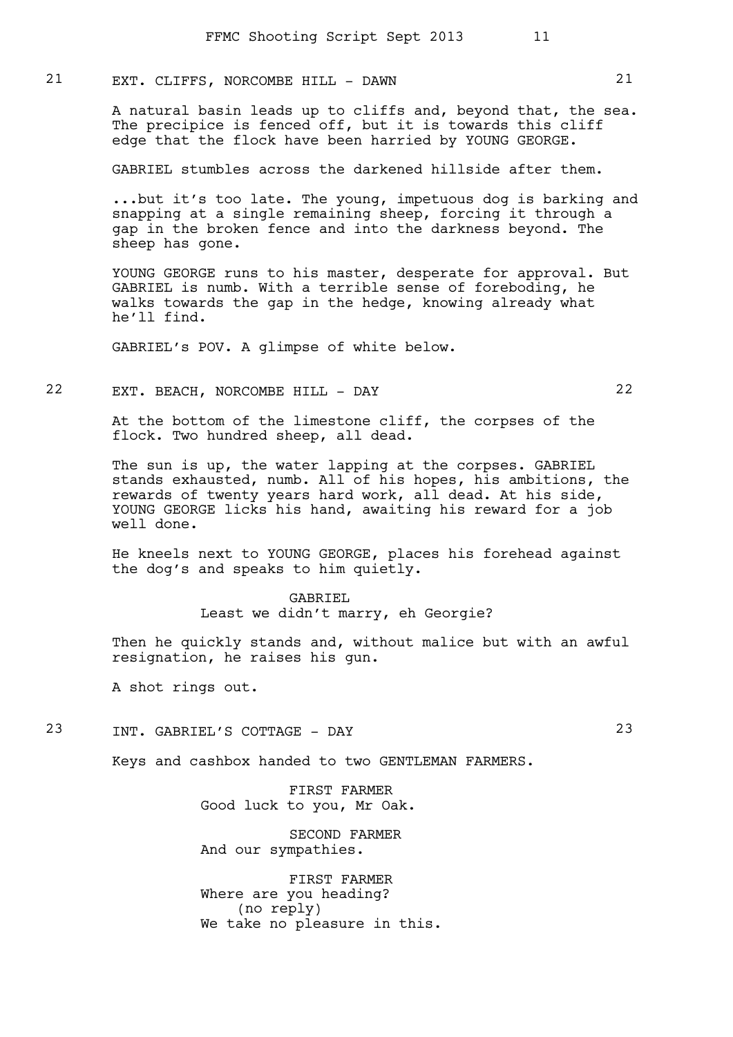# 21 EXT. CLIFFS, NORCOMBE HILL - DAWN 21

A natural basin leads up to cliffs and, beyond that, the sea. The precipice is fenced off, but it is towards this cliff edge that the flock have been harried by YOUNG GEORGE.

GABRIEL stumbles across the darkened hillside after them.

...but it's too late. The young, impetuous dog is barking and snapping at a single remaining sheep, forcing it through a gap in the broken fence and into the darkness beyond. The sheep has gone.

YOUNG GEORGE runs to his master, desperate for approval. But GABRIEL is numb. With a terrible sense of foreboding, he walks towards the gap in the hedge, knowing already what he'll find.

GABRIEL's POV. A glimpse of white below.

# 22 EXT. BEACH, NORCOMBE HILL - DAY 22

At the bottom of the limestone cliff, the corpses of the flock. Two hundred sheep, all dead.

The sun is up, the water lapping at the corpses. GABRIEL stands exhausted, numb. All of his hopes, his ambitions, the rewards of twenty years hard work, all dead. At his side, YOUNG GEORGE licks his hand, awaiting his reward for a job well done.

He kneels next to YOUNG GEORGE, places his forehead against the dog's and speaks to him quietly.

# GABRIEL Least we didn't marry, eh Georgie?

Then he quickly stands and, without malice but with an awful resignation, he raises his gun.

A shot rings out.

### 23 INT. GABRIEL'S COTTAGE - DAY 23

Keys and cashbox handed to two GENTLEMAN FARMERS.

FIRST FARMER Good luck to you, Mr Oak.

SECOND FARMER And our sympathies.

FIRST FARMER Where are you heading? (no reply) We take no pleasure in this.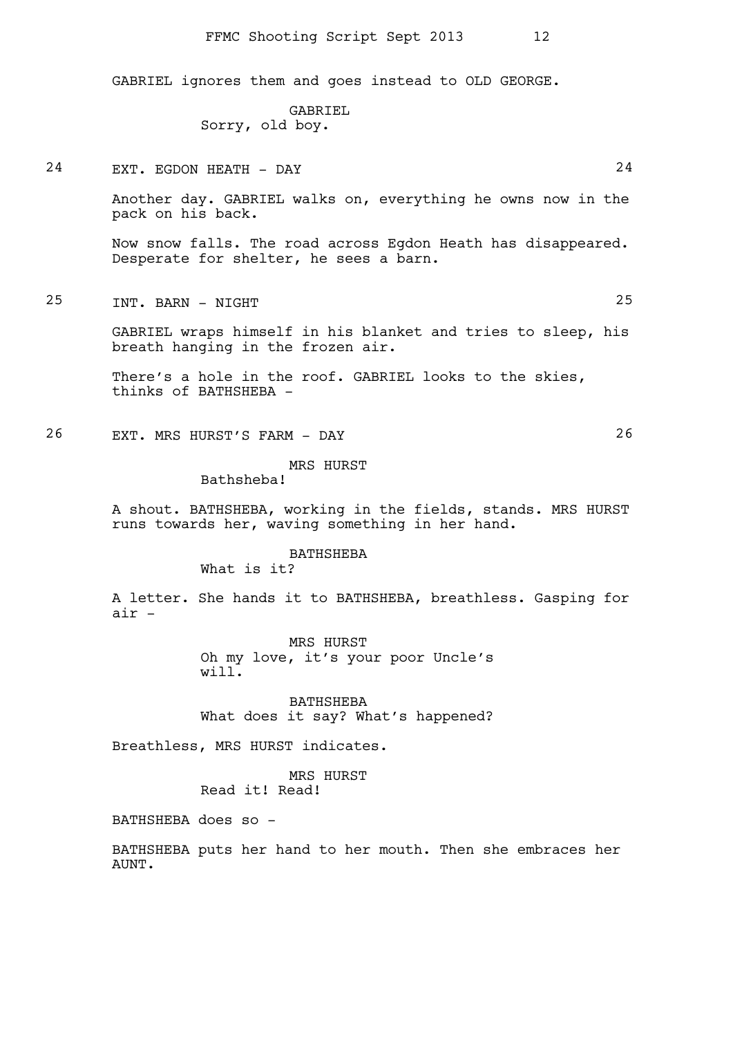GABRIEL ignores them and goes instead to OLD GEORGE.

GABRIEL Sorry, old boy.

24 EXT. EGDON HEATH - DAY 24

Another day. GABRIEL walks on, everything he owns now in the pack on his back.

Now snow falls. The road across Egdon Heath has disappeared. Desperate for shelter, he sees a barn.

25 INT. BARN - NIGHT 25

GABRIEL wraps himself in his blanket and tries to sleep, his breath hanging in the frozen air.

There's a hole in the roof. GABRIEL looks to the skies, thinks of BATHSHEBA -

26 EXT. MRS HURST'S FARM - DAY 26

MRS HURST

Bathsheba!

A shout. BATHSHEBA, working in the fields, stands. MRS HURST runs towards her, waving something in her hand.

### BATHSHEBA

What is it?

A letter. She hands it to BATHSHEBA, breathless. Gasping for air -

> MRS HURST Oh my love, it's your poor Uncle's will.

> BATHSHEBA What does it say? What's happened?

Breathless, MRS HURST indicates.

MRS HURST Read it! Read!

BATHSHEBA does so -

BATHSHEBA puts her hand to her mouth. Then she embraces her AUNT.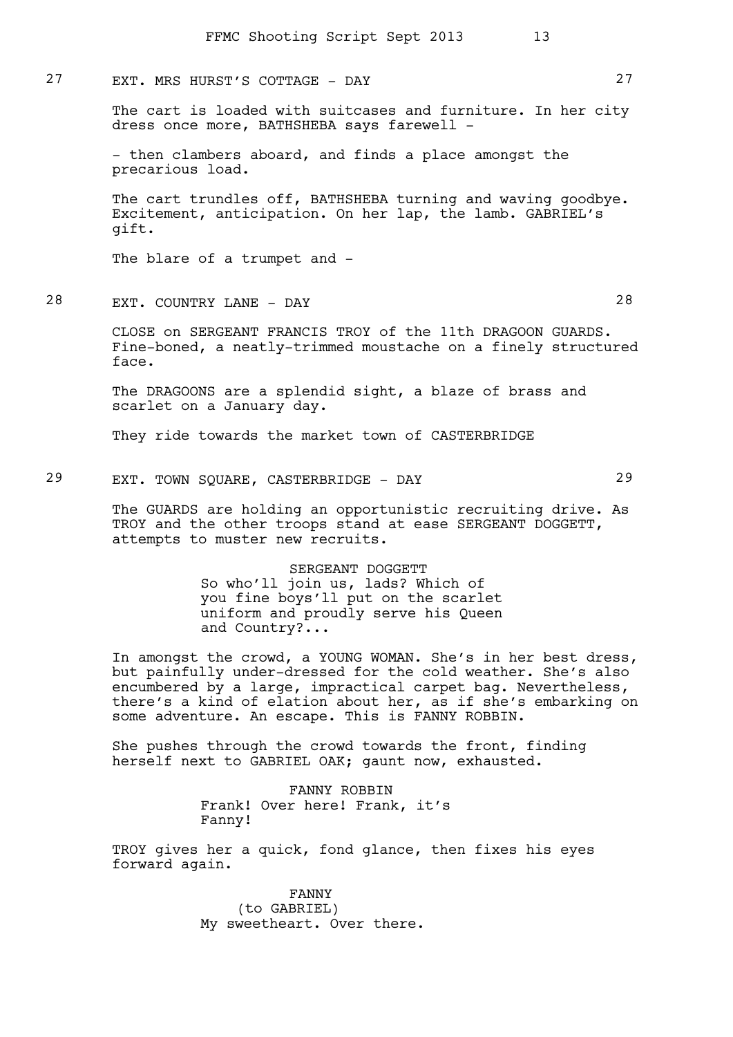### 27 EXT. MRS HURST'S COTTAGE - DAY 27

The cart is loaded with suitcases and furniture. In her city dress once more, BATHSHEBA says farewell -

- then clambers aboard, and finds a place amongst the precarious load.

The cart trundles off, BATHSHEBA turning and waving goodbye. Excitement, anticipation. On her lap, the lamb. GABRIEL's gift.

The blare of a trumpet and -

28 EXT. COUNTRY LANE - DAY 28

CLOSE on SERGEANT FRANCIS TROY of the 11th DRAGOON GUARDS. Fine-boned, a neatly-trimmed moustache on a finely structured face.

The DRAGOONS are a splendid sight, a blaze of brass and scarlet on a January day.

They ride towards the market town of CASTERBRIDGE

29 EXT. TOWN SQUARE, CASTERBRIDGE - DAY 29

The GUARDS are holding an opportunistic recruiting drive. As TROY and the other troops stand at ease SERGEANT DOGGETT, attempts to muster new recruits.

> SERGEANT DOGGETT So who'll join us, lads? Which of you fine boys'll put on the scarlet uniform and proudly serve his Queen and Country?...

In amongst the crowd, a YOUNG WOMAN. She's in her best dress, but painfully under-dressed for the cold weather. She's also encumbered by a large, impractical carpet bag. Nevertheless, there's a kind of elation about her, as if she's embarking on some adventure. An escape. This is FANNY ROBBIN.

She pushes through the crowd towards the front, finding herself next to GABRIEL OAK; gaunt now, exhausted.

> FANNY ROBBIN Frank! Over here! Frank, it's Fanny!

TROY gives her a quick, fond glance, then fixes his eyes forward again.

> FANNY (to GABRIEL) My sweetheart. Over there.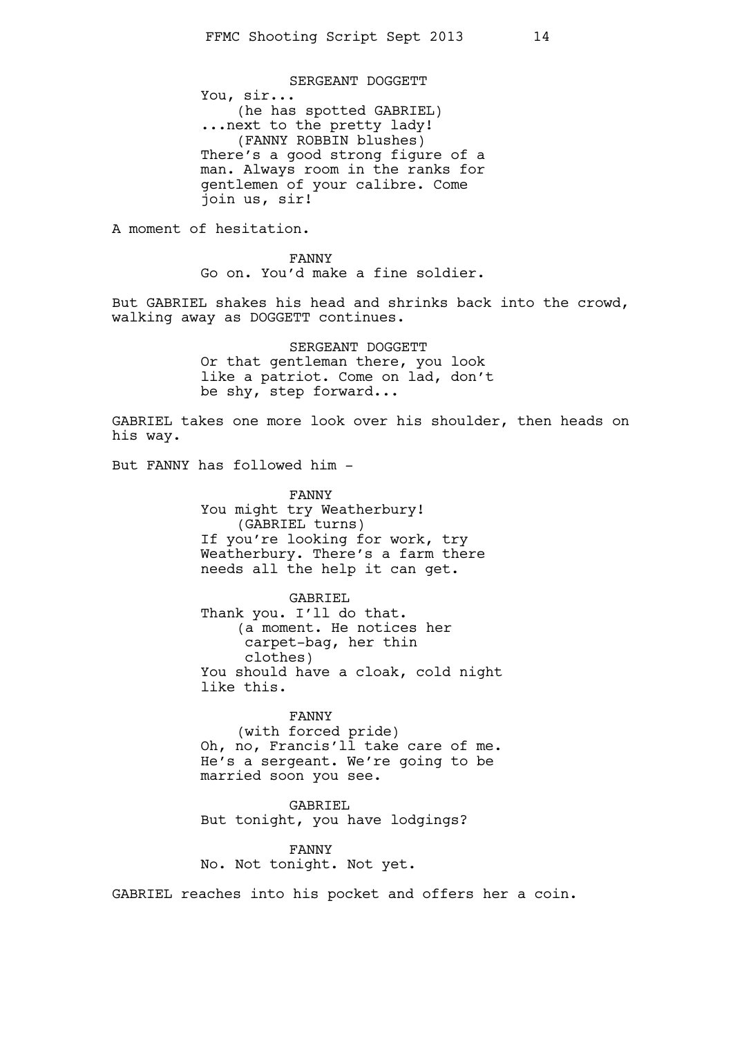SERGEANT DOGGETT You, sir... (he has spotted GABRIEL) ...next to the pretty lady! (FANNY ROBBIN blushes) There's a good strong figure of a man. Always room in the ranks for gentlemen of your calibre. Come join us, sir!

A moment of hesitation.

FANNY Go on. You'd make a fine soldier.

But GABRIEL shakes his head and shrinks back into the crowd, walking away as DOGGETT continues.

> SERGEANT DOGGETT Or that gentleman there, you look like a patriot. Come on lad, don't be shy, step forward...

GABRIEL takes one more look over his shoulder, then heads on his way.

But FANNY has followed him -

FANNY You might try Weatherbury! (GABRIEL turns) If you're looking for work, try Weatherbury. There's a farm there needs all the help it can get.

GABRIEL Thank you. I'll do that. (a moment. He notices her carpet-bag, her thin clothes) You should have a cloak, cold night like this.

#### FANNY

(with forced pride) Oh, no, Francis'll take care of me. He's a sergeant. We're going to be married soon you see.

GABRIEL But tonight, you have lodgings?

FANNY No. Not tonight. Not yet.

GABRIEL reaches into his pocket and offers her a coin.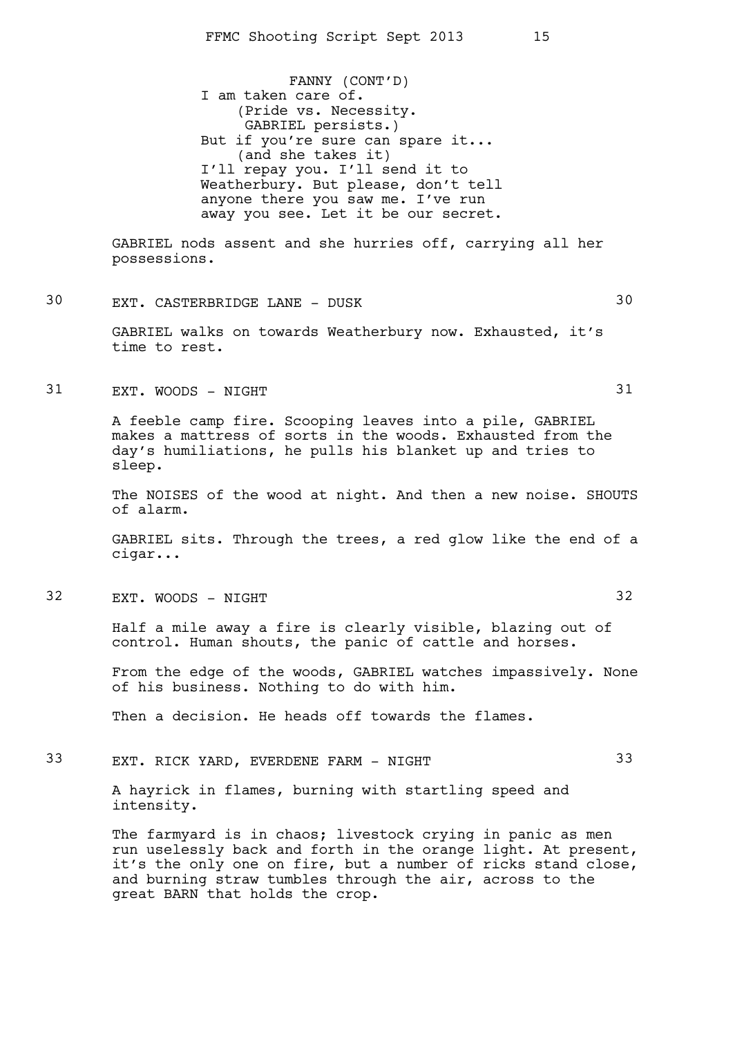FANNY (CONT'D) I am taken care of. (Pride vs. Necessity. GABRIEL persists.) But if you're sure can spare it... (and she takes it) I'll repay you. I'll send it to Weatherbury. But please, don't tell anyone there you saw me. I've run away you see. Let it be our secret.

GABRIEL nods assent and she hurries off, carrying all her possessions.

30 EXT. CASTERBRIDGE LANE - DUSK 30

GABRIEL walks on towards Weatherbury now. Exhausted, it's time to rest.

31 EXT. WOODS - NIGHT 31

A feeble camp fire. Scooping leaves into a pile, GABRIEL makes a mattress of sorts in the woods. Exhausted from the day's humiliations, he pulls his blanket up and tries to sleep.

The NOISES of the wood at night. And then a new noise. SHOUTS of alarm.

GABRIEL sits. Through the trees, a red glow like the end of a cigar...

32 EXT. WOODS - NIGHT 32

Half a mile away a fire is clearly visible, blazing out of control. Human shouts, the panic of cattle and horses.

From the edge of the woods, GABRIEL watches impassively. None of his business. Nothing to do with him.

Then a decision. He heads off towards the flames.

33 EXT. RICK YARD, EVERDENE FARM - NIGHT 33

A hayrick in flames, burning with startling speed and intensity.

The farmyard is in chaos; livestock crying in panic as men run uselessly back and forth in the orange light. At present, it's the only one on fire, but a number of ricks stand close, and burning straw tumbles through the air, across to the great BARN that holds the crop.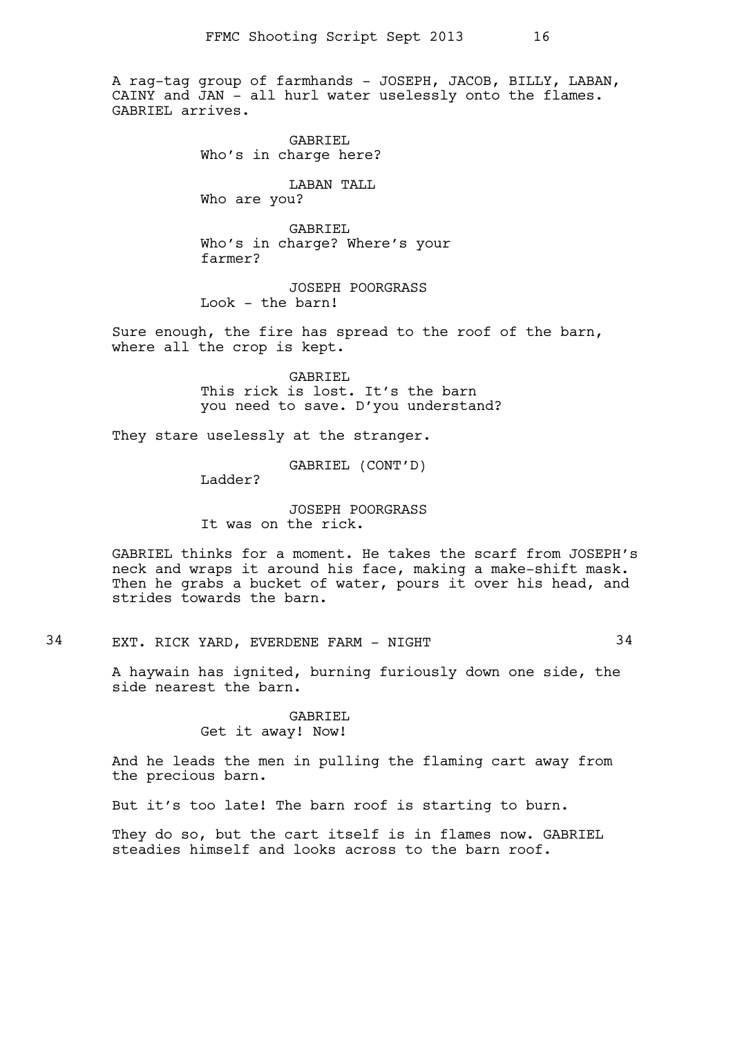A rag-tag group of farmhands - JOSEPH, JACOB, BILLY, LABAN, CAINY and JAN - all hurl water uselessly onto the flames. GABRIEL arrives.

> GABRIEL Who's in charge here?

LABAN TALL Who are you?

GABRIEL Who's in charge? Where's your farmer?

JOSEPH POORGRASS Look - the barn!

Sure enough, the fire has spread to the roof of the barn, where all the crop is kept.

> GABRIEL This rick is lost. It's the barn you need to save. D'you understand?

They stare uselessly at the stranger.

GABRIEL (CONT'D)

Ladder?

JOSEPH POORGRASS It was on the rick.

GABRIEL thinks for a moment. He takes the scarf from JOSEPH's neck and wraps it around his face, making a make-shift mask. Then he grabs a bucket of water, pours it over his head, and strides towards the barn.

# 34 EXT. RICK YARD, EVERDENE FARM - NIGHT 34

A haywain has ignited, burning furiously down one side, the side nearest the barn.

### GABRIEL Get it away! Now!

And he leads the men in pulling the flaming cart away from the precious barn.

But it's too late! The barn roof is starting to burn.

They do so, but the cart itself is in flames now. GABRIEL steadies himself and looks across to the barn roof.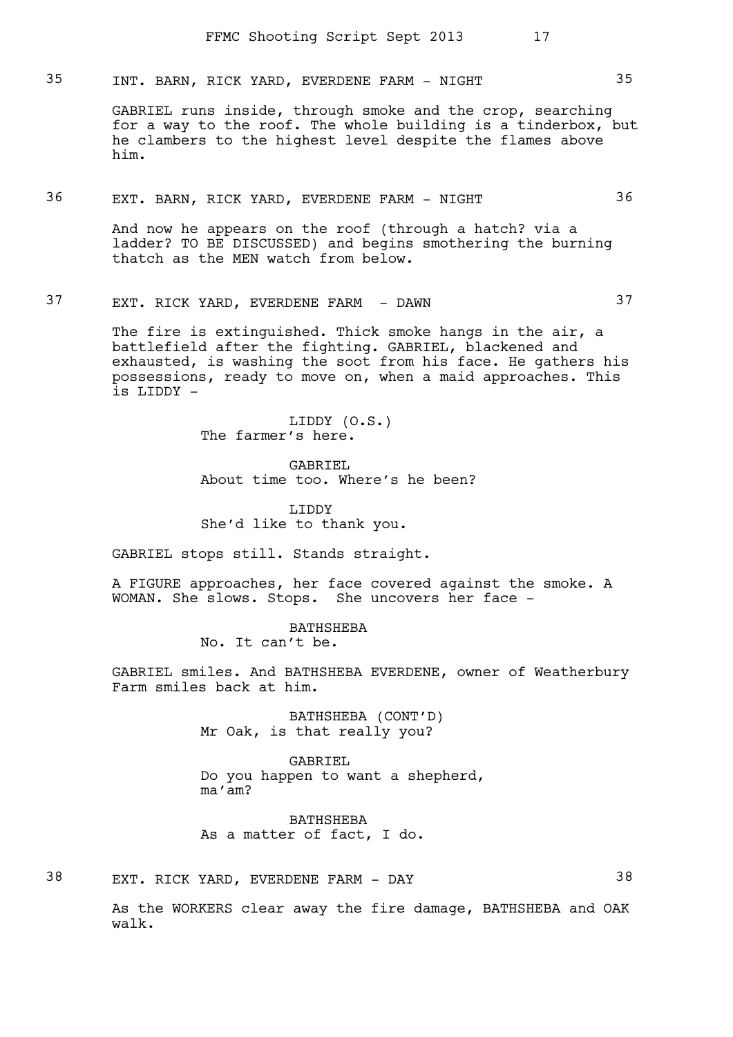# 35 INT. BARN, RICK YARD, EVERDENE FARM - NIGHT 35

GABRIEL runs inside, through smoke and the crop, searching for a way to the roof. The whole building is a tinderbox, but he clambers to the highest level despite the flames above him.

### 36 EXT. BARN, RICK YARD, EVERDENE FARM - NIGHT 36

And now he appears on the roof (through a hatch? via a ladder? TO BE DISCUSSED) and begins smothering the burning thatch as the MEN watch from below.

# 37 EXT. RICK YARD, EVERDENE FARM - DAWN 37

The fire is extinguished. Thick smoke hangs in the air, a battlefield after the fighting. GABRIEL, blackened and exhausted, is washing the soot from his face. He gathers his possessions, ready to move on, when a maid approaches. This is LIDDY -

> LIDDY (O.S.) The farmer's here.

GABRIEL About time too. Where's he been?

LIDDY She'd like to thank you.

GABRIEL stops still. Stands straight.

A FIGURE approaches, her face covered against the smoke. A WOMAN. She slows. Stops. She uncovers her face -

> BATHSHEBA No. It can't be.

GABRIEL smiles. And BATHSHEBA EVERDENE, owner of Weatherbury Farm smiles back at him.

> BATHSHEBA (CONT'D) Mr Oak, is that really you?

GABRIEL Do you happen to want a shepherd, ma'am?

BATHSHEBA As a matter of fact, I do.

38 EXT. RICK YARD, EVERDENE FARM - DAY 38

As the WORKERS clear away the fire damage, BATHSHEBA and OAK walk.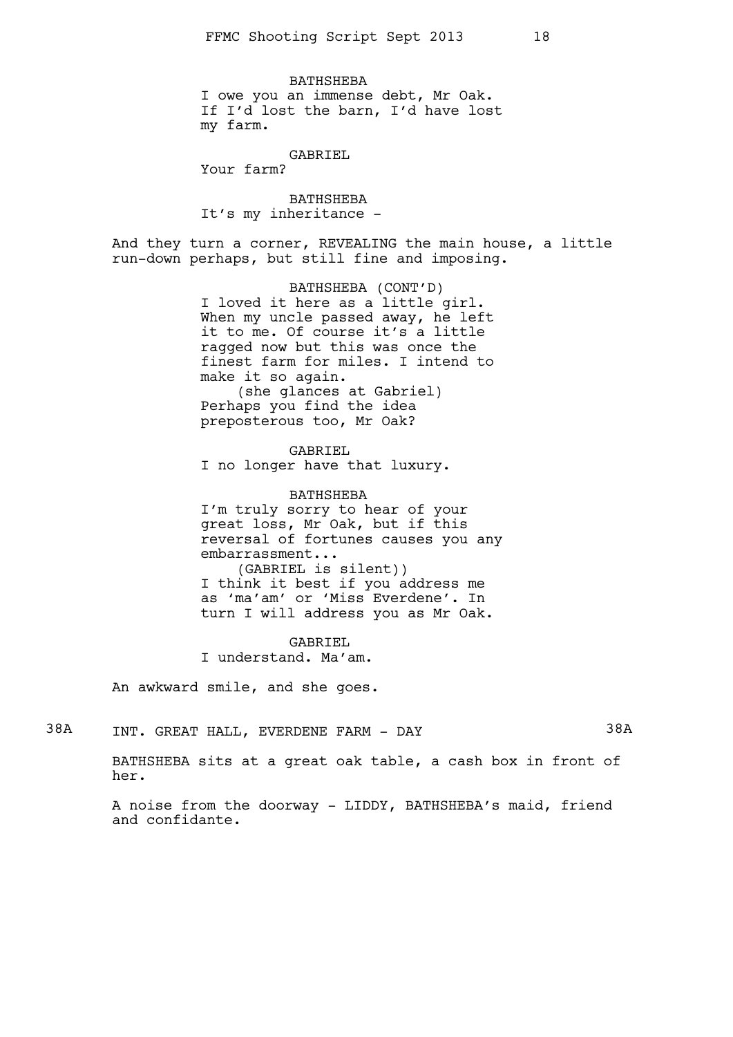BATHSHEBA I owe you an immense debt, Mr Oak. If I'd lost the barn, I'd have lost my farm.

GABRIEL

Your farm?

BATHSHEBA It's my inheritance -

And they turn a corner, REVEALING the main house, a little run-down perhaps, but still fine and imposing.

> BATHSHEBA (CONT'D) I loved it here as a little girl. When my uncle passed away, he left it to me. Of course it's a little ragged now but this was once the finest farm for miles. I intend to make it so again. (she glances at Gabriel)

Perhaps you find the idea preposterous too, Mr Oak?

GABRIEL

I no longer have that luxury.

BATHSHEBA

I'm truly sorry to hear of your great loss, Mr Oak, but if this reversal of fortunes causes you any embarrassment...

(GABRIEL is silent)) I think it best if you address me as 'ma'am' or 'Miss Everdene'. In turn I will address you as Mr Oak.

GABRIEL I understand. Ma'am.

An awkward smile, and she goes.

38A INT. GREAT HALL, EVERDENE FARM - DAY 38A

BATHSHEBA sits at a great oak table, a cash box in front of her.

A noise from the doorway - LIDDY, BATHSHEBA's maid, friend and confidante.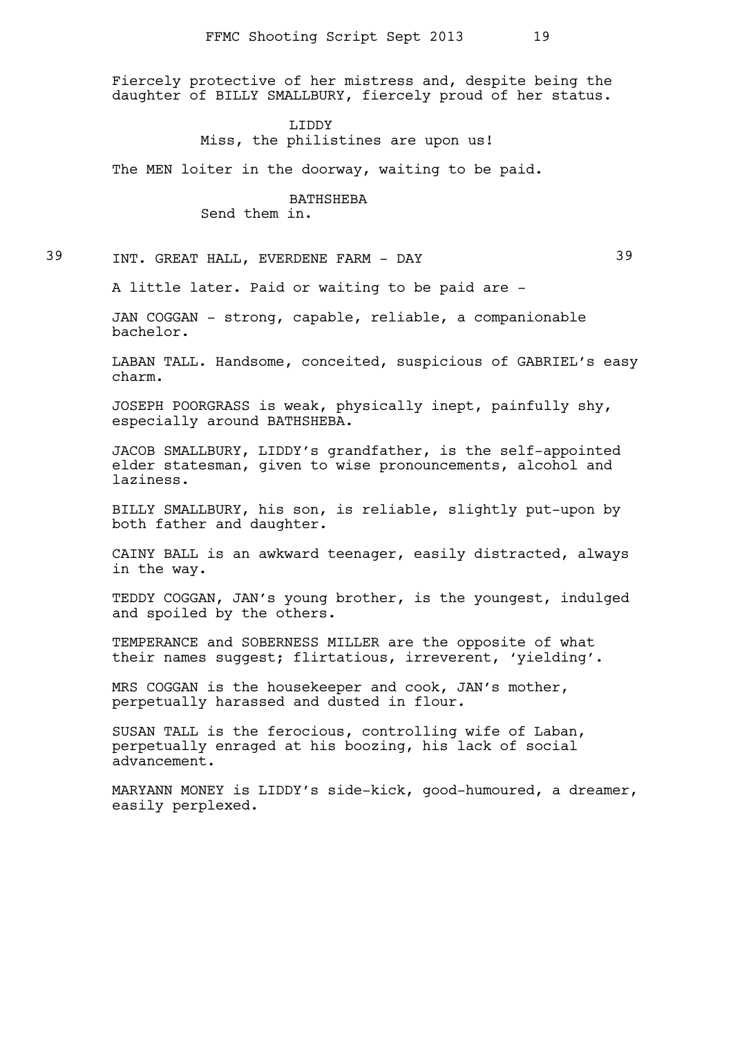Fiercely protective of her mistress and, despite being the daughter of BILLY SMALLBURY, fiercely proud of her status.

> LIDDY Miss, the philistines are upon us!

The MEN loiter in the doorway, waiting to be paid.

BATHSHEBA Send them in.

39 INT. GREAT HALL, EVERDENE FARM - DAY 39

A little later. Paid or waiting to be paid are -

JAN COGGAN - strong, capable, reliable, a companionable bachelor.

LABAN TALL. Handsome, conceited, suspicious of GABRIEL's easy charm.

JOSEPH POORGRASS is weak, physically inept, painfully shy, especially around BATHSHEBA.

JACOB SMALLBURY, LIDDY's grandfather, is the self-appointed elder statesman, given to wise pronouncements, alcohol and laziness.

BILLY SMALLBURY, his son, is reliable, slightly put-upon by both father and daughter.

CAINY BALL is an awkward teenager, easily distracted, always in the way.

TEDDY COGGAN, JAN's young brother, is the youngest, indulged and spoiled by the others.

TEMPERANCE and SOBERNESS MILLER are the opposite of what their names suggest; flirtatious, irreverent, 'yielding'.

MRS COGGAN is the housekeeper and cook, JAN's mother, perpetually harassed and dusted in flour.

SUSAN TALL is the ferocious, controlling wife of Laban, perpetually enraged at his boozing, his lack of social advancement.

MARYANN MONEY is LIDDY's side-kick, good-humoured, a dreamer, easily perplexed.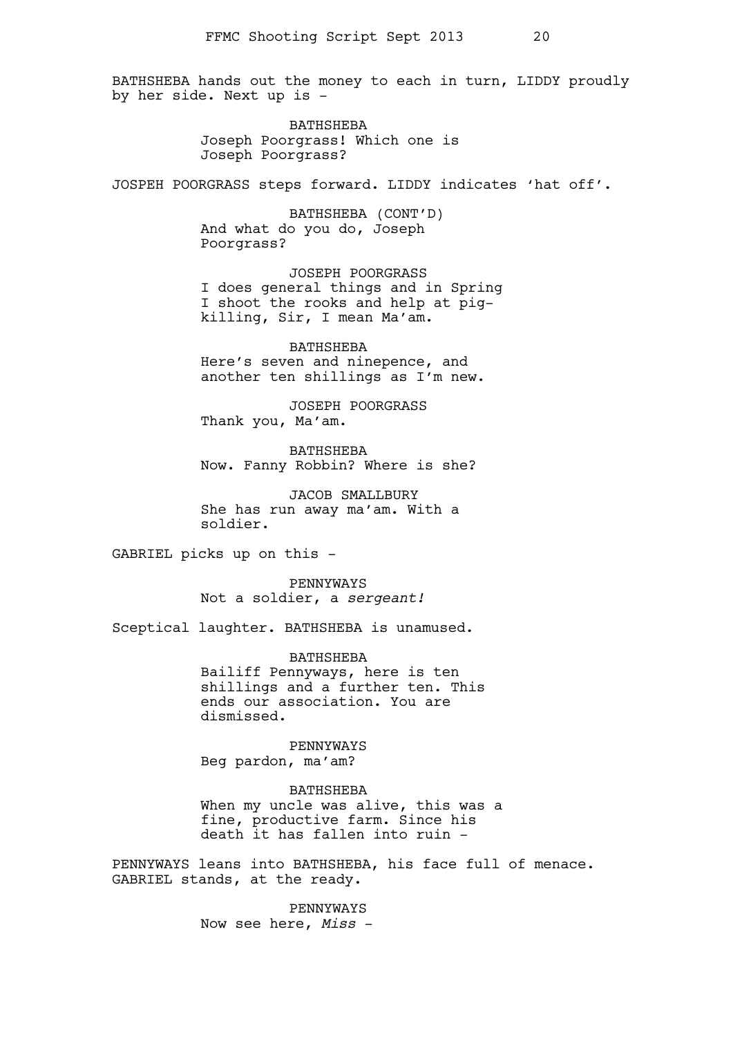BATHSHEBA hands out the money to each in turn, LIDDY proudly by her side. Next up is -

> BATHSHEBA Joseph Poorgrass! Which one is Joseph Poorgrass?

JOSPEH POORGRASS steps forward. LIDDY indicates 'hat off'.

BATHSHEBA (CONT'D) And what do you do, Joseph Poorgrass?

JOSEPH POORGRASS I does general things and in Spring I shoot the rooks and help at pigkilling, Sir, I mean Ma'am.

BATHSHEBA Here's seven and ninepence, and another ten shillings as I'm new.

JOSEPH POORGRASS Thank you, Ma'am.

BATHSHEBA Now. Fanny Robbin? Where is she?

JACOB SMALLBURY She has run away ma'am. With a soldier.

GABRIEL picks up on this -

PENNYWAYS Not a soldier, a *sergeant!*

Sceptical laughter. BATHSHEBA is unamused.

BATHSHEBA Bailiff Pennyways, here is ten shillings and a further ten. This ends our association. You are dismissed.

PENNYWAYS Beg pardon, ma'am?

BATHSHEBA When my uncle was alive, this was a fine, productive farm. Since his death it has fallen into ruin -

PENNYWAYS leans into BATHSHEBA, his face full of menace. GABRIEL stands, at the ready.

> PENNYWAYS Now see here, *Miss* -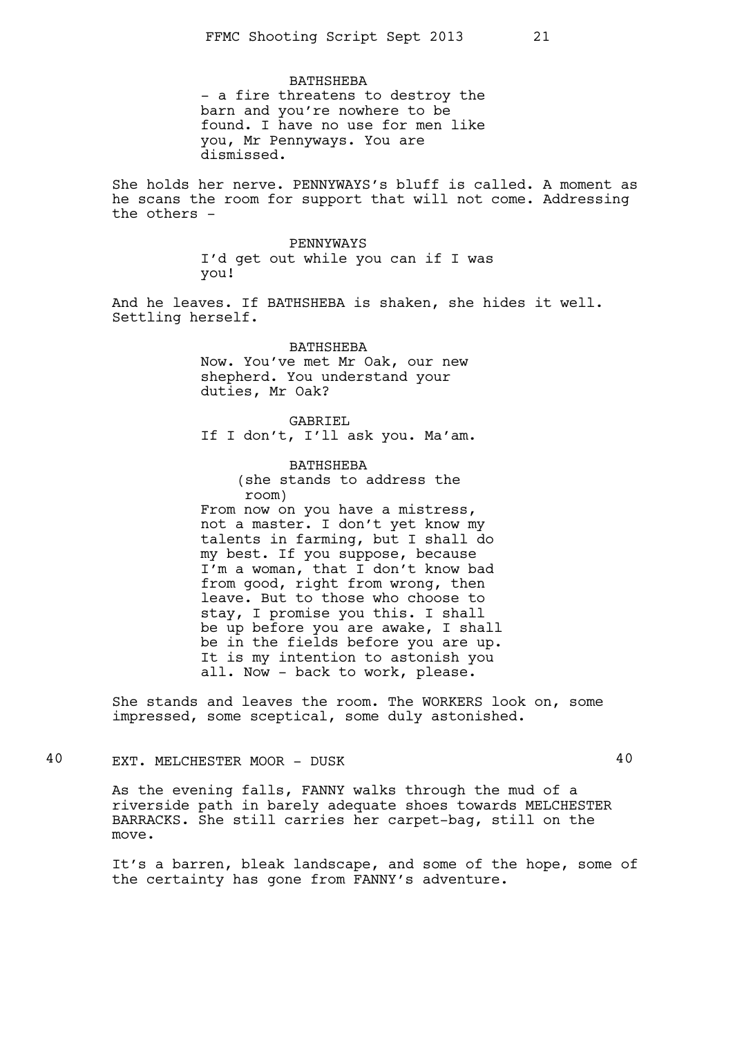BATHSHEBA - a fire threatens to destroy the barn and you're nowhere to be found. I have no use for men like you, Mr Pennyways. You are dismissed.

She holds her nerve. PENNYWAYS's bluff is called. A moment as he scans the room for support that will not come. Addressing the others -

> PENNYWAYS I'd get out while you can if I was you!

And he leaves. If BATHSHEBA is shaken, she hides it well. Settling herself.

> BATHSHEBA Now. You've met Mr Oak, our new shepherd. You understand your duties, Mr Oak?

GABRIEL If I don't, I'll ask you. Ma'am.

BATHSHEBA (she stands to address the room) From now on you have a mistress, not a master. I don't yet know my talents in farming, but I shall do my best. If you suppose, because I'm a woman, that I don't know bad from good, right from wrong, then leave. But to those who choose to stay, I promise you this. I shall be up before you are awake, I shall be in the fields before you are up. It is my intention to astonish you all. Now - back to work, please.

She stands and leaves the room. The WORKERS look on, some impressed, some sceptical, some duly astonished.

40 EXT. MELCHESTER MOOR - DUSK 40

As the evening falls, FANNY walks through the mud of a riverside path in barely adequate shoes towards MELCHESTER BARRACKS. She still carries her carpet-bag, still on the move.

It's a barren, bleak landscape, and some of the hope, some of the certainty has gone from FANNY's adventure.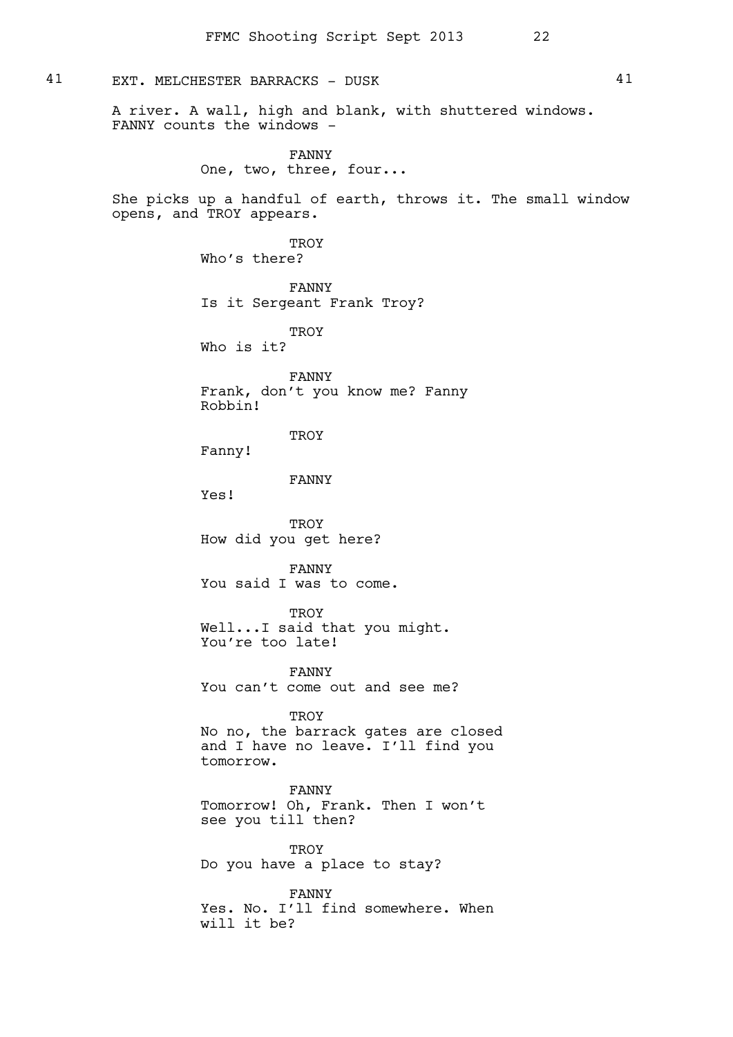# 41 EXT. MELCHESTER BARRACKS - DUSK 41

A river. A wall, high and blank, with shuttered windows. FANNY counts the windows -

> FANNY One, two, three, four...

She picks up a handful of earth, throws it. The small window opens, and TROY appears.

> TROY Who's there?

FANNY Is it Sergeant Frank Troy?

TROY Who is it?

FANNY Frank, don't you know me? Fanny Robbin!

TROY

Fanny!

tomorrow.

FANNY

Yes!

TROY How did you get here?

FANNY You said I was to come.

TROY Well...I said that you might. You're too late!

FANNY You can't come out and see me?

TROY No no, the barrack gates are closed and I have no leave. I'll find you

FANNY Tomorrow! Oh, Frank. Then I won't see you till then?

**TROY** Do you have a place to stay?

FANNY Yes. No. I'll find somewhere. When will it be?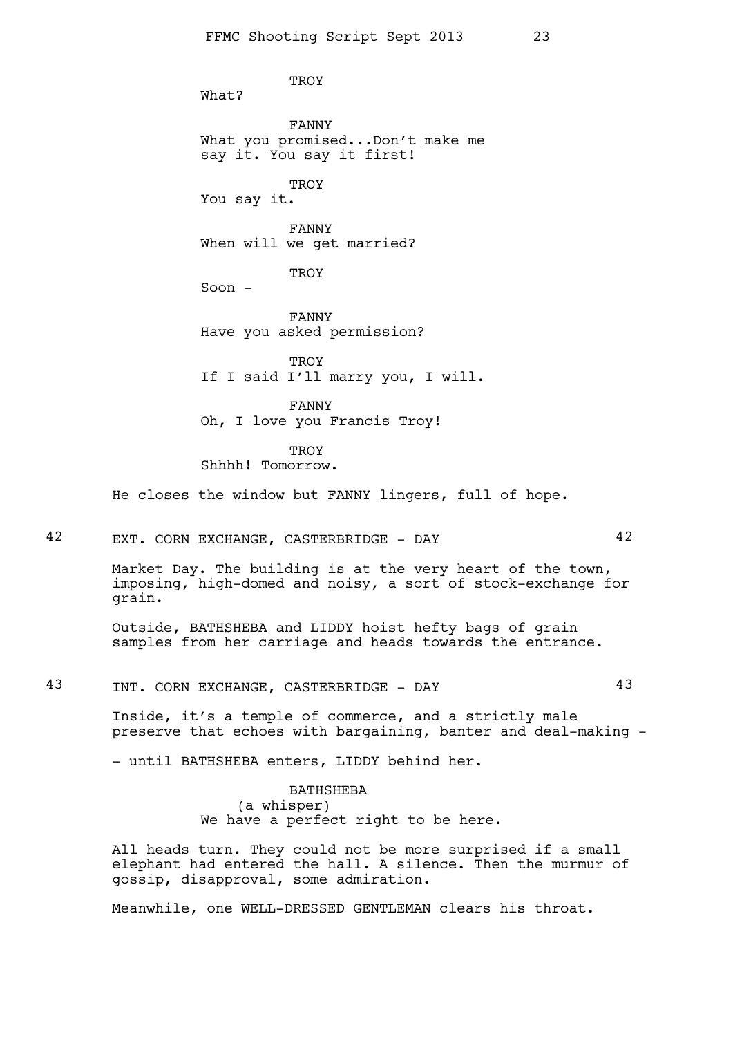What?

FANNY What you promised...Don't make me say it. You say it first!

**TROY** 

You say it.

FANNY When will we get married?

TROY

**TROY** 

Soon -

FANNY Have you asked permission?

**TROY** If I said I'll marry you, I will.

FANNY Oh, I love you Francis Troy!

**TROY** Shhhh! Tomorrow.

He closes the window but FANNY lingers, full of hope.

42 EXT. CORN EXCHANGE, CASTERBRIDGE - DAY 42

Market Day. The building is at the very heart of the town, imposing, high-domed and noisy, a sort of stock-exchange for grain.

Outside, BATHSHEBA and LIDDY hoist hefty bags of grain samples from her carriage and heads towards the entrance.

43 INT. CORN EXCHANGE, CASTERBRIDGE - DAY 43

Inside, it's a temple of commerce, and a strictly male preserve that echoes with bargaining, banter and deal-making -

- until BATHSHEBA enters, LIDDY behind her.

BATHSHEBA (a whisper) We have a perfect right to be here.

All heads turn. They could not be more surprised if a small elephant had entered the hall. A silence. Then the murmur of gossip, disapproval, some admiration.

Meanwhile, one WELL-DRESSED GENTLEMAN clears his throat.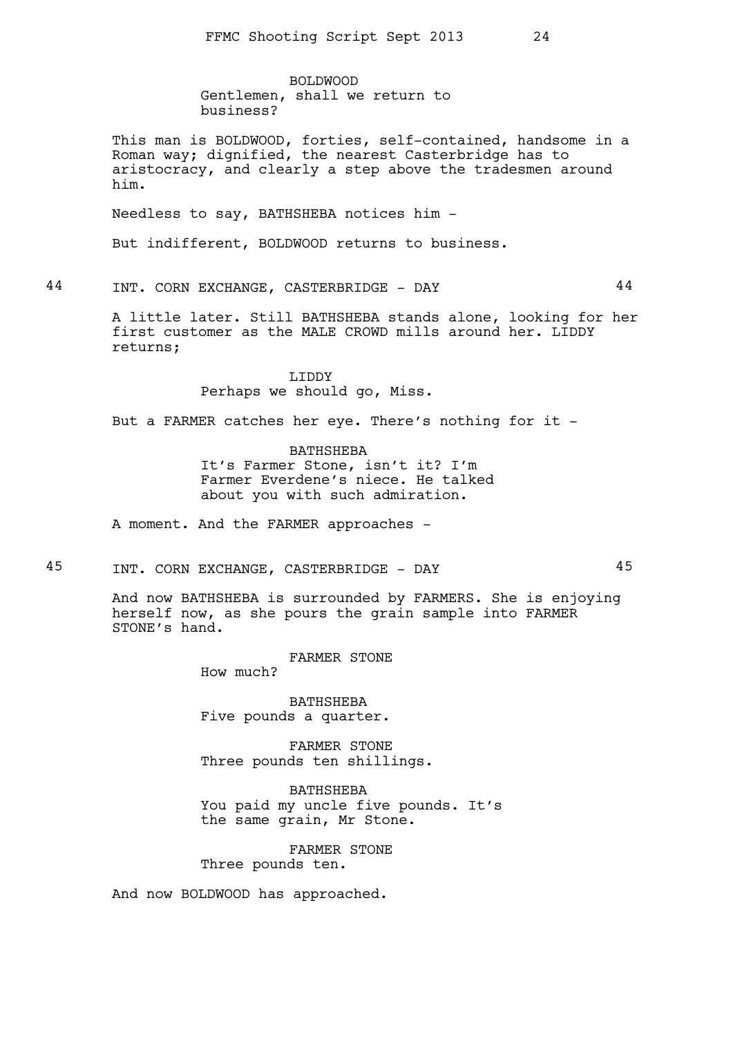BOLDWOOD Gentlemen, shall we return to business?

This man is BOLDWOOD, forties, self-contained, handsome in a Roman way; dignified, the nearest Casterbridge has to aristocracy, and clearly a step above the tradesmen around him.

Needless to say, BATHSHEBA notices him -

But indifferent, BOLDWOOD returns to business.

44 INT. CORN EXCHANGE, CASTERBRIDGE - DAY 44

A little later. Still BATHSHEBA stands alone, looking for her first customer as the MALE CROWD mills around her. LIDDY returns;

> LIDDY Perhaps we should go, Miss.

But a FARMER catches her eye. There's nothing for it -

BATHSHEBA It's Farmer Stone, isn't it? I'm Farmer Everdene's niece. He talked about you with such admiration.

A moment. And the FARMER approaches -

45 INT. CORN EXCHANGE, CASTERBRIDGE - DAY 45

And now BATHSHEBA is surrounded by FARMERS. She is enjoying herself now, as she pours the grain sample into FARMER STONE's hand.

FARMER STONE

How much?

BATHSHEBA Five pounds a quarter.

FARMER STONE Three pounds ten shillings.

BATHSHEBA You paid my uncle five pounds. It's the same grain, Mr Stone.

FARMER STONE Three pounds ten.

And now BOLDWOOD has approached.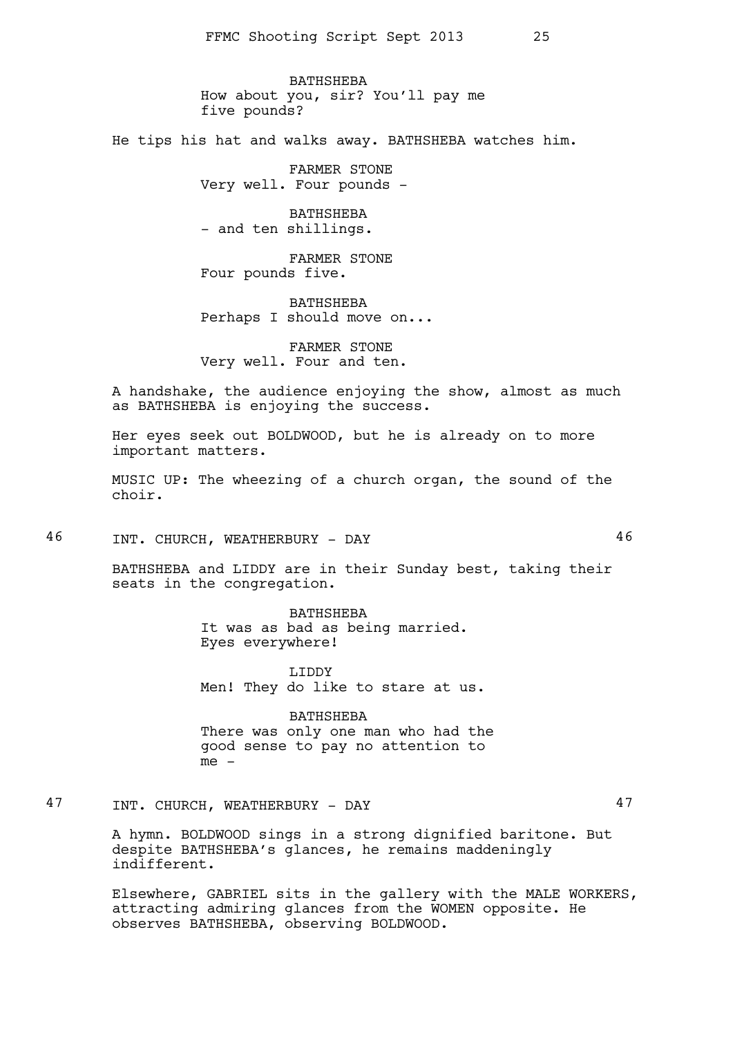BATHSHEBA How about you, sir? You'll pay me five pounds?

He tips his hat and walks away. BATHSHEBA watches him.

FARMER STONE Very well. Four pounds -

BATHSHEBA - and ten shillings.

FARMER STONE Four pounds five.

BATHSHEBA Perhaps I should move on...

FARMER STONE Very well. Four and ten.

A handshake, the audience enjoying the show, almost as much as BATHSHEBA is enjoying the success.

Her eyes seek out BOLDWOOD, but he is already on to more important matters.

MUSIC UP: The wheezing of a church organ, the sound of the choir.

46 INT. CHURCH, WEATHERBURY - DAY 46

BATHSHEBA and LIDDY are in their Sunday best, taking their seats in the congregation.

> BATHSHEBA It was as bad as being married. Eyes everywhere!

LIDDY Men! They do like to stare at us.

BATHSHEBA There was only one man who had the good sense to pay no attention to me -

47 INT. CHURCH, WEATHERBURY - DAY 47

A hymn. BOLDWOOD sings in a strong dignified baritone. But despite BATHSHEBA's glances, he remains maddeningly indifferent.

Elsewhere, GABRIEL sits in the gallery with the MALE WORKERS, attracting admiring glances from the WOMEN opposite. He observes BATHSHEBA, observing BOLDWOOD.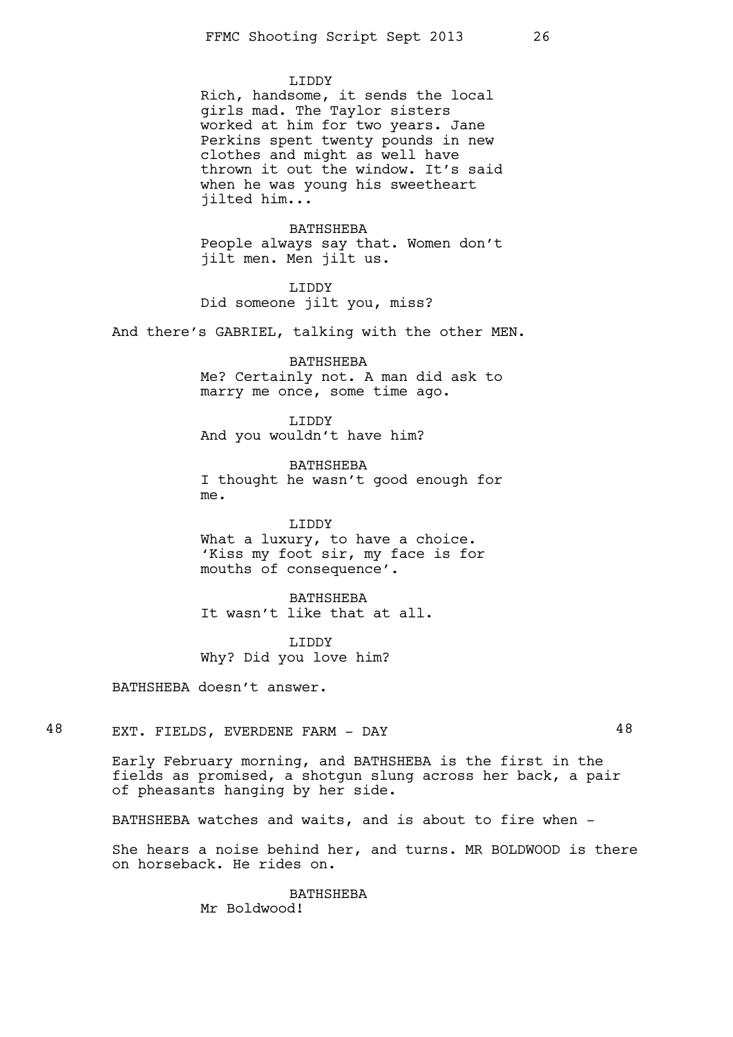#### LIDDY

Rich, handsome, it sends the local girls mad. The Taylor sisters worked at him for two years. Jane Perkins spent twenty pounds in new clothes and might as well have thrown it out the window. It's said when he was young his sweetheart jilted him...

BATHSHEBA People always say that. Women don't jilt men. Men jilt us.

LIDDY Did someone jilt you, miss?

And there's GABRIEL, talking with the other MEN.

BATHSHEBA Me? Certainly not. A man did ask to marry me once, some time ago.

LIDDY And you wouldn't have him?

BATHSHEBA I thought he wasn't good enough for me.

LIDDY

What a luxury, to have a choice. 'Kiss my foot sir, my face is for mouths of consequence'.

BATHSHEBA It wasn't like that at all.

LIDDY Why? Did you love him?

BATHSHEBA doesn't answer.

48 EXT. FIELDS, EVERDENE FARM - DAY 48

Early February morning, and BATHSHEBA is the first in the fields as promised, a shotgun slung across her back, a pair of pheasants hanging by her side.

BATHSHEBA watches and waits, and is about to fire when -

She hears a noise behind her, and turns. MR BOLDWOOD is there on horseback. He rides on.

> BATHSHEBA Mr Boldwood!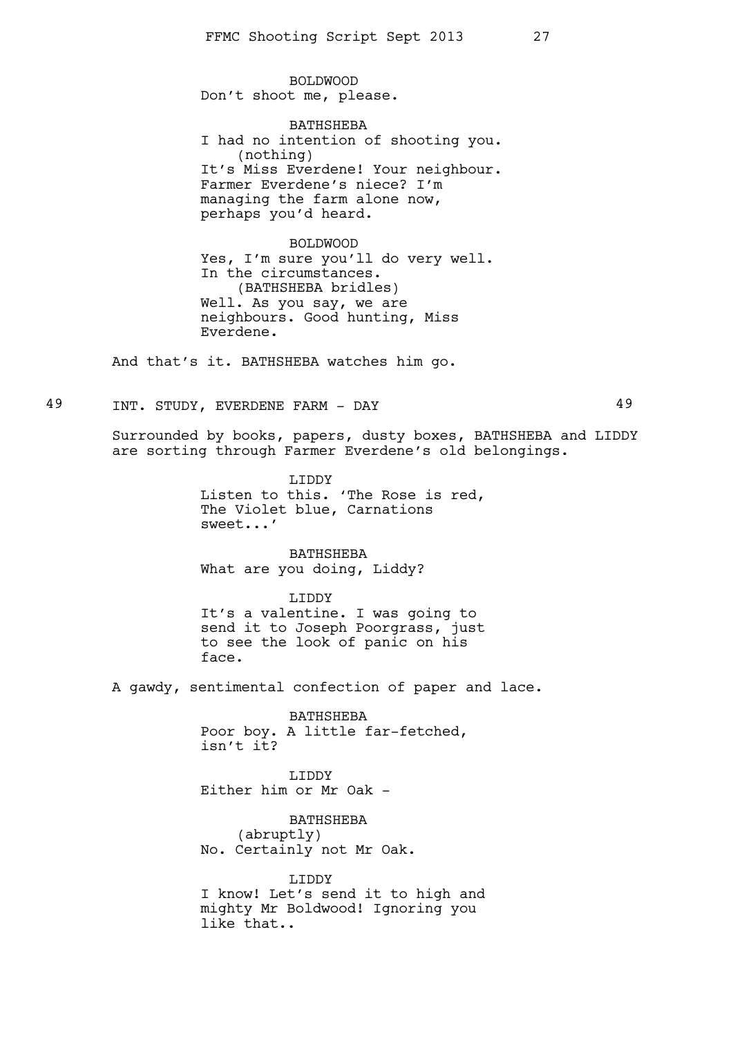BOLDWOOD Don't shoot me, please.

BATHSHEBA I had no intention of shooting you. (nothing) It's Miss Everdene! Your neighbour. Farmer Everdene's niece? I'm managing the farm alone now, perhaps you'd heard.

BOLDWOOD Yes, I'm sure you'll do very well. In the circumstances. (BATHSHEBA bridles) Well. As you say, we are neighbours. Good hunting, Miss Everdene.

And that's it. BATHSHEBA watches him go.

49 INT. STUDY, EVERDENE FARM - DAY 49

Surrounded by books, papers, dusty boxes, BATHSHEBA and LIDDY are sorting through Farmer Everdene's old belongings.

> LIDDY Listen to this. 'The Rose is red, The Violet blue, Carnations sweet...'

BATHSHEBA What are you doing, Liddy?

LIDDY

It's a valentine. I was going to send it to Joseph Poorgrass, just to see the look of panic on his face.

A gawdy, sentimental confection of paper and lace.

BATHSHEBA Poor boy. A little far-fetched, isn't it?

LIDDY Either him or Mr Oak -

BATHSHEBA (abruptly) No. Certainly not Mr Oak.

LIDDY I know! Let's send it to high and mighty Mr Boldwood! Ignoring you like that..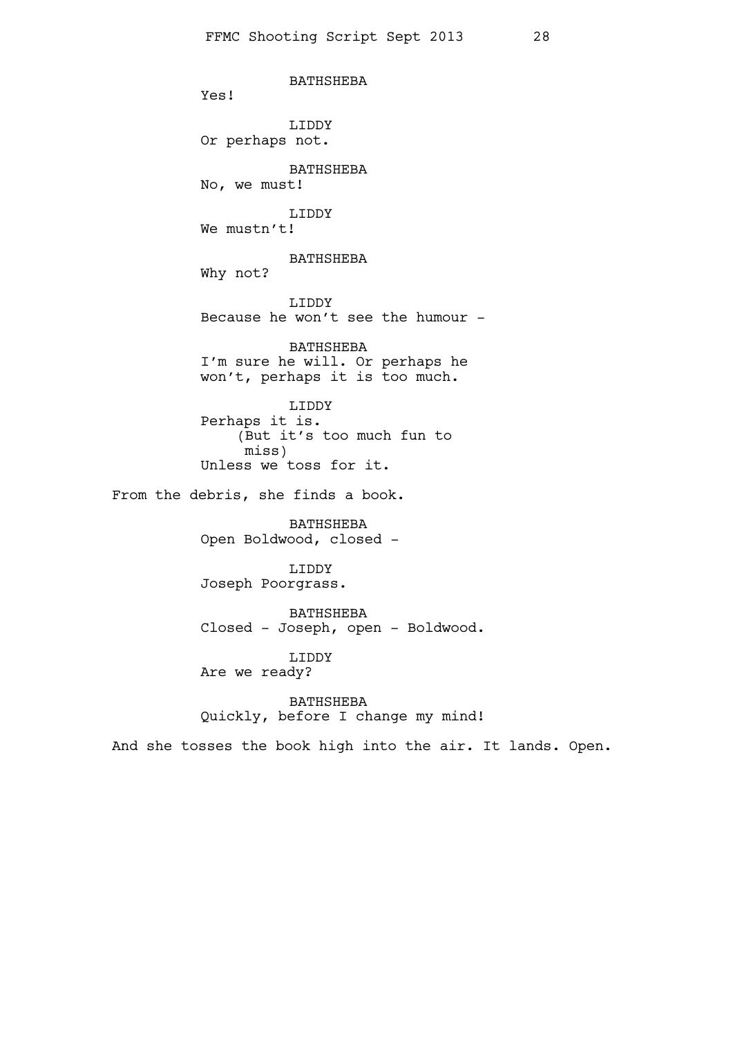BATHSHEBA Yes! LIDDY Or perhaps not. BATHSHEBA No, we must! LIDDY We mustn't! BATHSHEBA Why not? LIDDY Because he won't see the humour - BATHSHEBA I'm sure he will. Or perhaps he won't, perhaps it is too much. LIDDY Perhaps it is. (But it's too much fun to miss) Unless we toss for it. From the debris, she finds a book. BATHSHEBA Open Boldwood, closed - LIDDY Joseph Poorgrass. BATHSHEBA Closed - Joseph, open - Boldwood. LIDDY Are we ready? BATHSHEBA

Quickly, before I change my mind!

And she tosses the book high into the air. It lands. Open.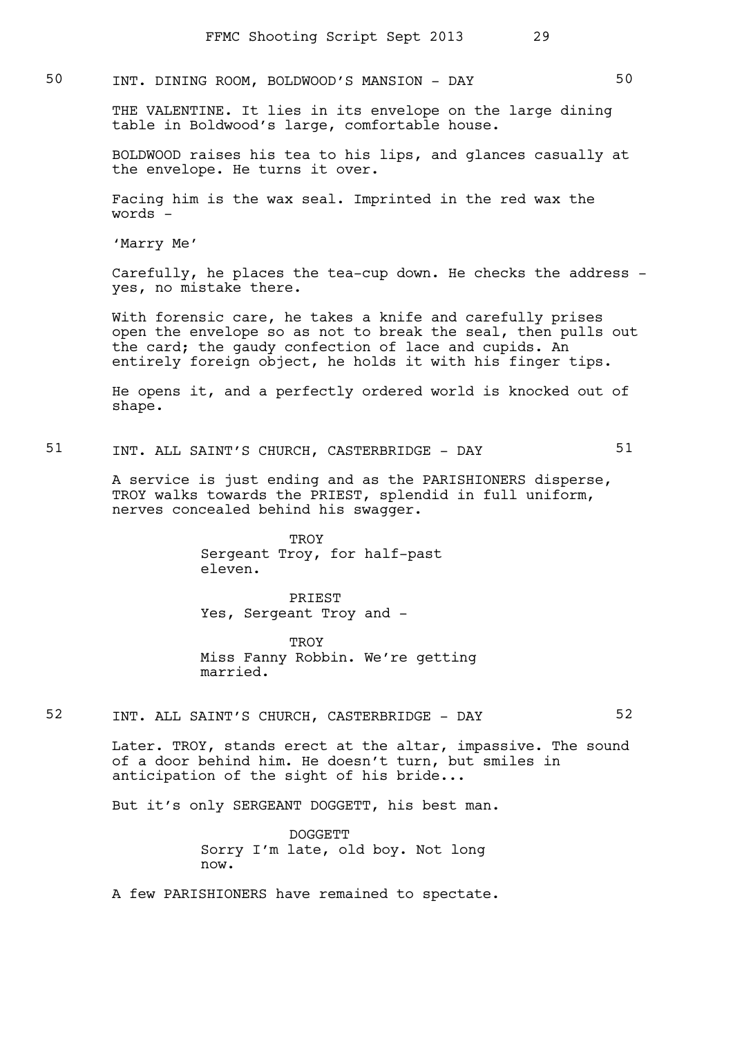# 50 INT. DINING ROOM, BOLDWOOD'S MANSION - DAY 50

THE VALENTINE. It lies in its envelope on the large dining table in Boldwood's large, comfortable house.

BOLDWOOD raises his tea to his lips, and glances casually at the envelope. He turns it over.

Facing him is the wax seal. Imprinted in the red wax the words -

'Marry Me'

Carefully, he places the tea-cup down. He checks the address yes, no mistake there.

With forensic care, he takes a knife and carefully prises open the envelope so as not to break the seal, then pulls out the card; the gaudy confection of lace and cupids. An entirely foreign object, he holds it with his finger tips.

He opens it, and a perfectly ordered world is knocked out of shape.

51 INT. ALL SAINT'S CHURCH, CASTERBRIDGE - DAY 51

A service is just ending and as the PARISHIONERS disperse, TROY walks towards the PRIEST, splendid in full uniform, nerves concealed behind his swagger.

> **TROY** Sergeant Troy, for half-past eleven.

PRIEST Yes, Sergeant Troy and -

**TROY** Miss Fanny Robbin. We're getting married.

52 INT. ALL SAINT'S CHURCH, CASTERBRIDGE - DAY 52

Later. TROY, stands erect at the altar, impassive. The sound of a door behind him. He doesn't turn, but smiles in anticipation of the sight of his bride...

But it's only SERGEANT DOGGETT, his best man.

DOGGETT Sorry I'm late, old boy. Not long now.

A few PARISHIONERS have remained to spectate.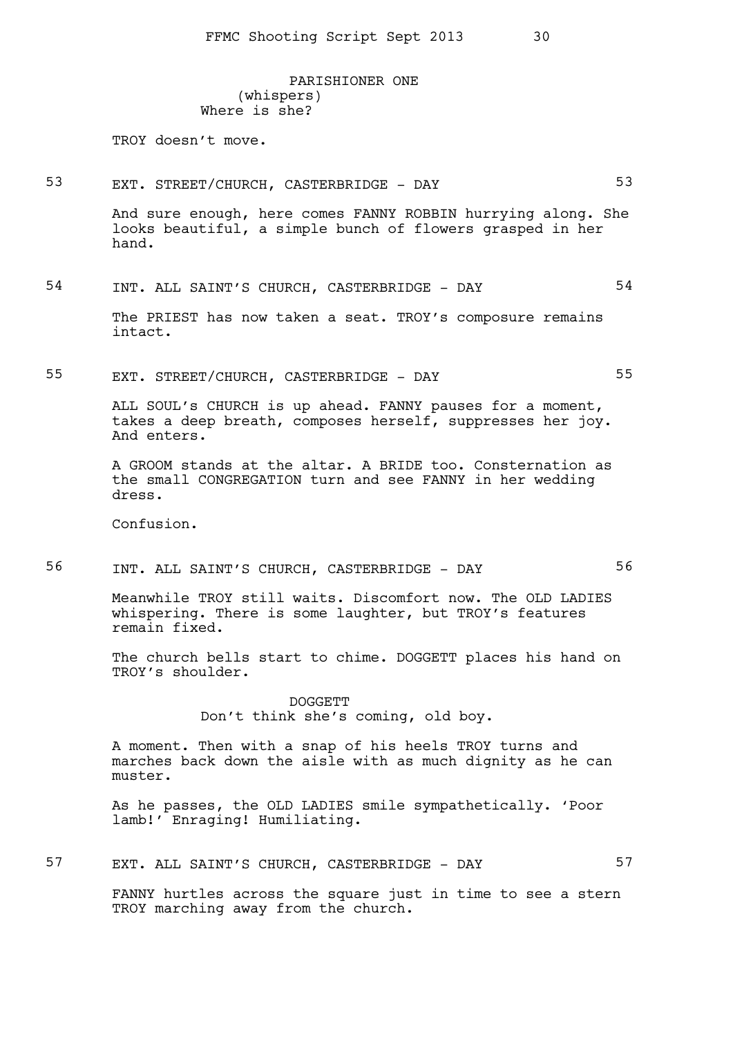PARISHIONER ONE (whispers) Where is she?

TROY doesn't move.

53 EXT. STREET/CHURCH, CASTERBRIDGE - DAY 53

And sure enough, here comes FANNY ROBBIN hurrying along. She looks beautiful, a simple bunch of flowers grasped in her hand.

54 INT. ALL SAINT'S CHURCH, CASTERBRIDGE - DAY 54

The PRIEST has now taken a seat. TROY's composure remains intact.

55 EXT. STREET/CHURCH, CASTERBRIDGE - DAY 55

ALL SOUL's CHURCH is up ahead. FANNY pauses for a moment, takes a deep breath, composes herself, suppresses her joy. And enters.

A GROOM stands at the altar. A BRIDE too. Consternation as the small CONGREGATION turn and see FANNY in her wedding dress.

Confusion.

56 INT. ALL SAINT'S CHURCH, CASTERBRIDGE - DAY 56

Meanwhile TROY still waits. Discomfort now. The OLD LADIES whispering. There is some laughter, but TROY's features remain fixed.

The church bells start to chime. DOGGETT places his hand on TROY's shoulder.

> DOGGETT Don't think she's coming, old boy.

A moment. Then with a snap of his heels TROY turns and marches back down the aisle with as much dignity as he can muster.

As he passes, the OLD LADIES smile sympathetically. 'Poor lamb!' Enraging! Humiliating.

57 EXT. ALL SAINT'S CHURCH, CASTERBRIDGE - DAY 57

FANNY hurtles across the square just in time to see a stern TROY marching away from the church.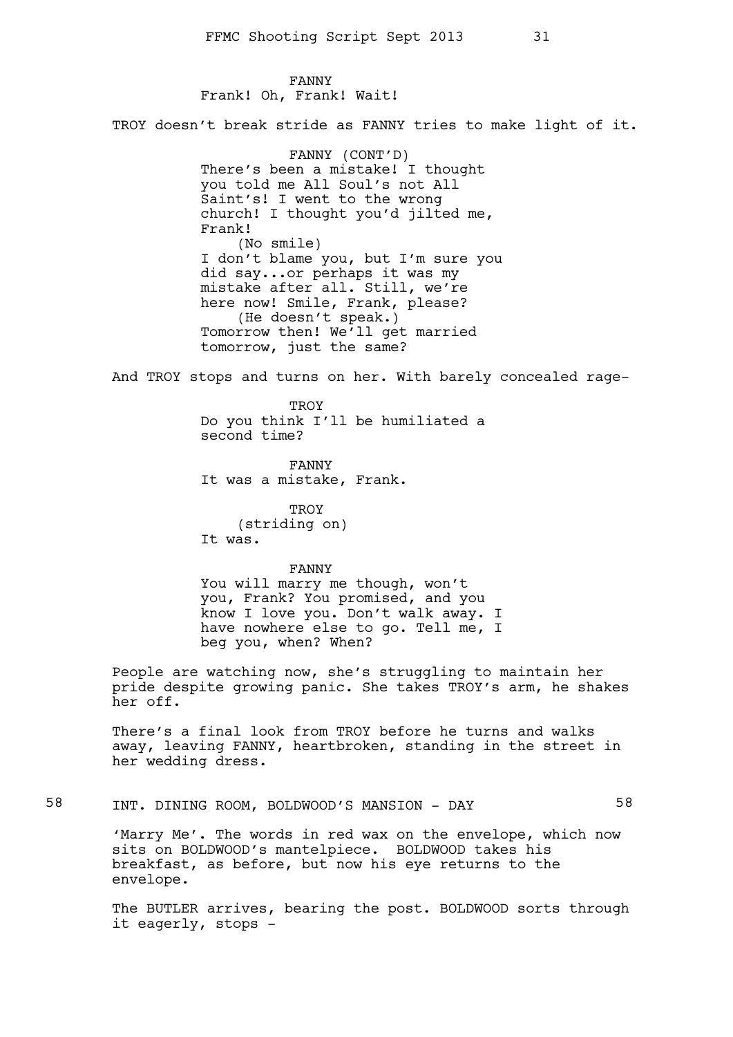FANNY Frank! Oh, Frank! Wait!

TROY doesn't break stride as FANNY tries to make light of it.

FANNY (CONT'D) There's been a mistake! I thought you told me All Soul's not All Saint's! I went to the wrong church! I thought you'd jilted me, Frank! (No smile) I don't blame you, but I'm sure you did say...or perhaps it was my mistake after all. Still, we're here now! Smile, Frank, please? (He doesn't speak.) Tomorrow then! We'll get married tomorrow, just the same?

And TROY stops and turns on her. With barely concealed rage-

**TROY** Do you think I'll be humiliated a second time?

FANNY It was a mistake, Frank.

**TROY** (striding on) It was.

#### FANNY

You will marry me though, won't you, Frank? You promised, and you know I love you. Don't walk away. I have nowhere else to go. Tell me, I beg you, when? When?

People are watching now, she's struggling to maintain her pride despite growing panic. She takes TROY's arm, he shakes her off.

There's a final look from TROY before he turns and walks away, leaving FANNY, heartbroken, standing in the street in her wedding dress.

58 INT. DINING ROOM, BOLDWOOD'S MANSION - DAY 58

'Marry Me'. The words in red wax on the envelope, which now sits on BOLDWOOD's mantelpiece. BOLDWOOD takes his breakfast, as before, but now his eye returns to the envelope.

The BUTLER arrives, bearing the post. BOLDWOOD sorts through it eagerly, stops -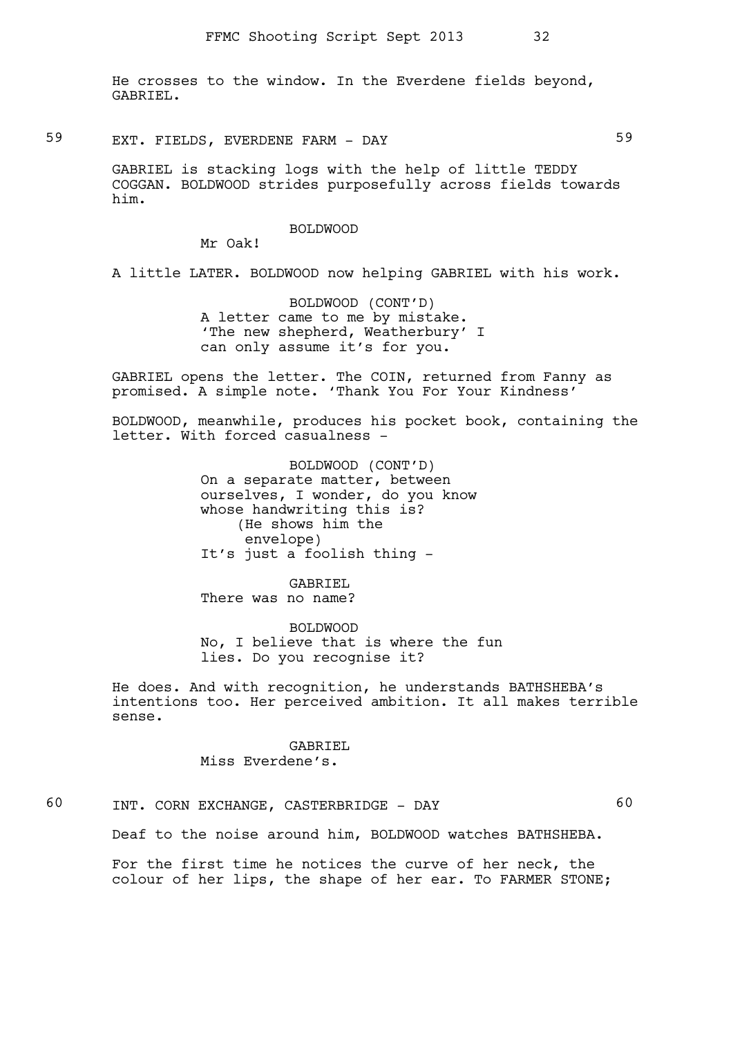He crosses to the window. In the Everdene fields beyond, GABRIEL.

59 EXT. FIELDS, EVERDENE FARM - DAY 59

GABRIEL is stacking logs with the help of little TEDDY COGGAN. BOLDWOOD strides purposefully across fields towards him.

### BOLDWOOD

Mr Oak!

A little LATER. BOLDWOOD now helping GABRIEL with his work.

BOLDWOOD (CONT'D) A letter came to me by mistake. 'The new shepherd, Weatherbury' I can only assume it's for you.

GABRIEL opens the letter. The COIN, returned from Fanny as promised. A simple note. 'Thank You For Your Kindness'

BOLDWOOD, meanwhile, produces his pocket book, containing the letter. With forced casualness -

> BOLDWOOD (CONT'D) On a separate matter, between ourselves, I wonder, do you know whose handwriting this is? (He shows him the envelope) It's just a foolish thing -

GABRIEL There was no name?

BOLDWOOD No, I believe that is where the fun lies. Do you recognise it?

He does. And with recognition, he understands BATHSHEBA's intentions too. Her perceived ambition. It all makes terrible sense.

### GABRIEL Miss Everdene's.

60 INT. CORN EXCHANGE, CASTERBRIDGE - DAY 60

For the first time he notices the curve of her neck, the colour of her lips, the shape of her ear. To FARMER STONE;

Deaf to the noise around him, BOLDWOOD watches BATHSHEBA.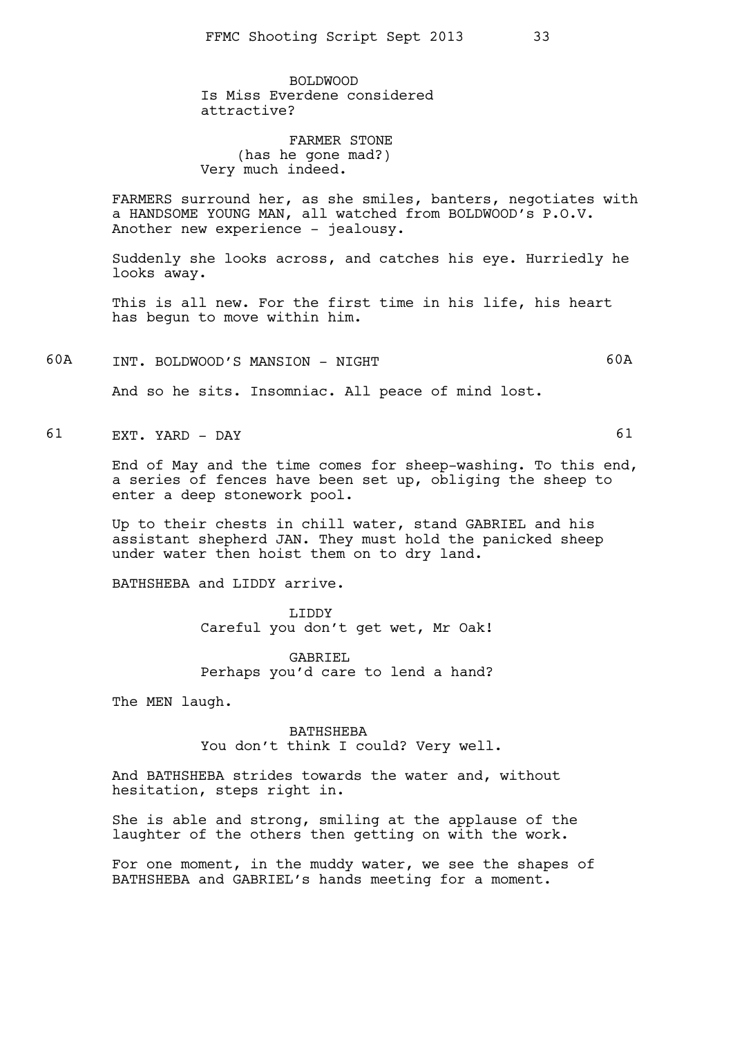BOLDWOOD Is Miss Everdene considered attractive?

FARMER STONE (has he gone mad?) Very much indeed.

FARMERS surround her, as she smiles, banters, negotiates with a HANDSOME YOUNG MAN, all watched from BOLDWOOD's P.O.V. Another new experience - jealousy.

Suddenly she looks across, and catches his eye. Hurriedly he looks away.

This is all new. For the first time in his life, his heart has begun to move within him.

60A INT. BOLDWOOD'S MANSION - NIGHT 60A

And so he sits. Insomniac. All peace of mind lost.

61 EXT. YARD - DAY 61

End of May and the time comes for sheep-washing. To this end, a series of fences have been set up, obliging the sheep to enter a deep stonework pool.

Up to their chests in chill water, stand GABRIEL and his assistant shepherd JAN. They must hold the panicked sheep under water then hoist them on to dry land.

BATHSHEBA and LIDDY arrive.

LIDDY Careful you don't get wet, Mr Oak!

GABRIEL Perhaps you'd care to lend a hand?

The MEN laugh.

BATHSHEBA You don't think I could? Very well.

And BATHSHEBA strides towards the water and, without hesitation, steps right in.

She is able and strong, smiling at the applause of the laughter of the others then getting on with the work.

For one moment, in the muddy water, we see the shapes of BATHSHEBA and GABRIEL's hands meeting for a moment.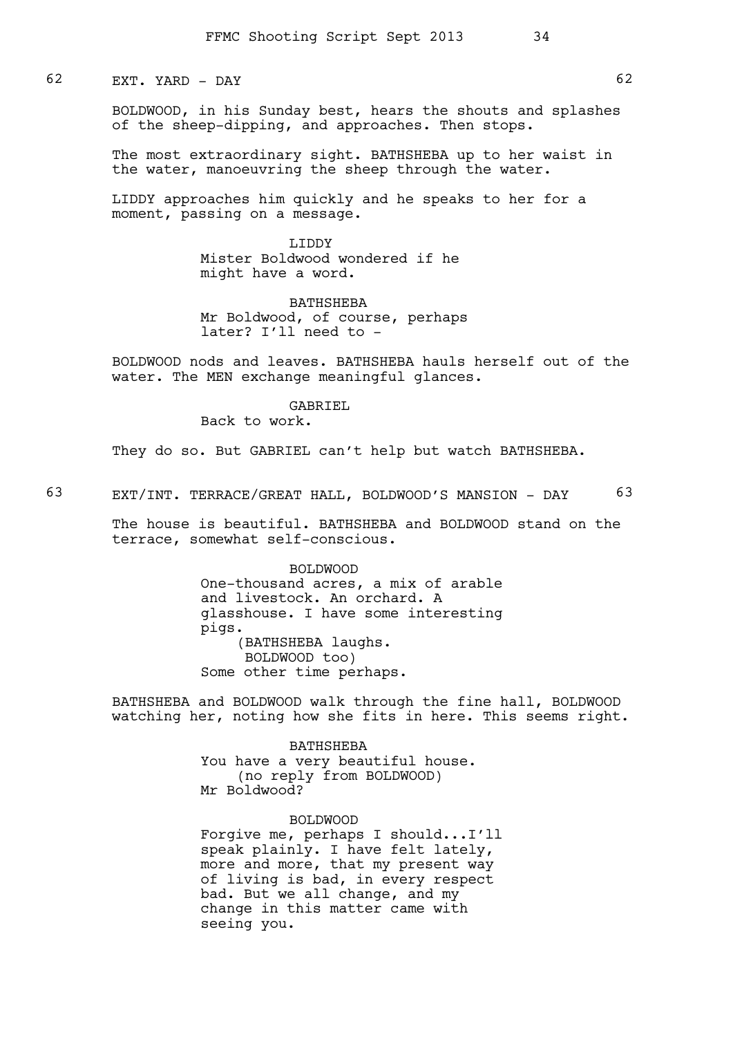# 62 EXT. YARD - DAY 62

BOLDWOOD, in his Sunday best, hears the shouts and splashes of the sheep-dipping, and approaches. Then stops.

The most extraordinary sight. BATHSHEBA up to her waist in the water, manoeuvring the sheep through the water.

LIDDY approaches him quickly and he speaks to her for a moment, passing on a message.

> LIDDY Mister Boldwood wondered if he might have a word.

BATHSHEBA Mr Boldwood, of course, perhaps later? I'll need to -

BOLDWOOD nods and leaves. BATHSHEBA hauls herself out of the water. The MEN exchange meaningful glances.

### GABRIEL

Back to work.

They do so. But GABRIEL can't help but watch BATHSHEBA.

63 EXT/INT. TERRACE/GREAT HALL, BOLDWOOD'S MANSION - DAY 63

The house is beautiful. BATHSHEBA and BOLDWOOD stand on the terrace, somewhat self-conscious.

> BOLDWOOD One-thousand acres, a mix of arable and livestock. An orchard. A glasshouse. I have some interesting pigs. (BATHSHEBA laughs. BOLDWOOD too) Some other time perhaps.

BATHSHEBA and BOLDWOOD walk through the fine hall, BOLDWOOD watching her, noting how she fits in here. This seems right.

> BATHSHEBA You have a very beautiful house. (no reply from BOLDWOOD) Mr Boldwood?

### BOLDWOOD

Forgive me, perhaps I should...I'll speak plainly. I have felt lately, more and more, that my present way of living is bad, in every respect bad. But we all change, and my change in this matter came with seeing you.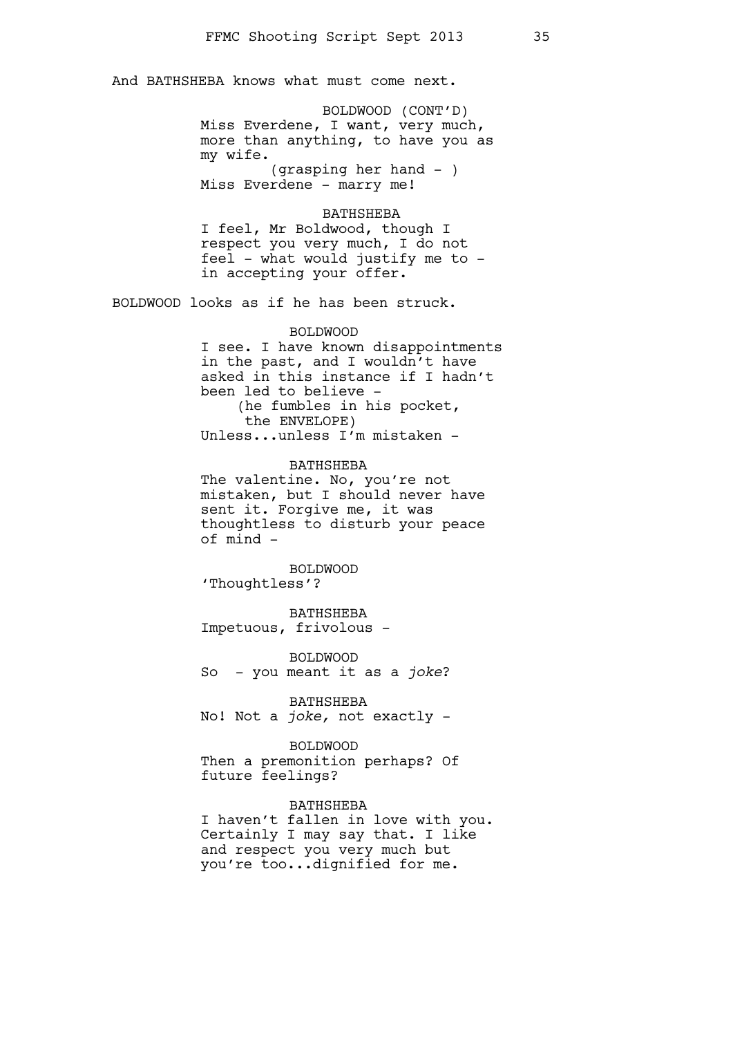And BATHSHEBA knows what must come next.

BOLDWOOD (CONT'D) Miss Everdene, I want, very much, more than anything, to have you as my wife. (grasping her hand - )

Miss Everdene - marry me!

### BATHSHEBA

I feel, Mr Boldwood, though I respect you very much, I do not feel - what would justify me to in accepting your offer.

BOLDWOOD looks as if he has been struck.

## BOLDWOOD

I see. I have known disappointments in the past, and I wouldn't have asked in this instance if I hadn't been led to believe - (he fumbles in his pocket, the ENVELOPE) Unless...unless I'm mistaken -

BATHSHEBA The valentine. No, you're not mistaken, but I should never have sent it. Forgive me, it was thoughtless to disturb your peace of mind -

BOLDWOOD 'Thoughtless'?

BATHSHEBA Impetuous, frivolous -

BOLDWOOD So - you meant it as a *joke*?

BATHSHEBA No! Not a *joke,* not exactly -

#### BOLDWOOD

Then a premonition perhaps? Of future feelings?

#### BATHSHEBA

I haven't fallen in love with you. Certainly I may say that. I like and respect you very much but you're too...dignified for me.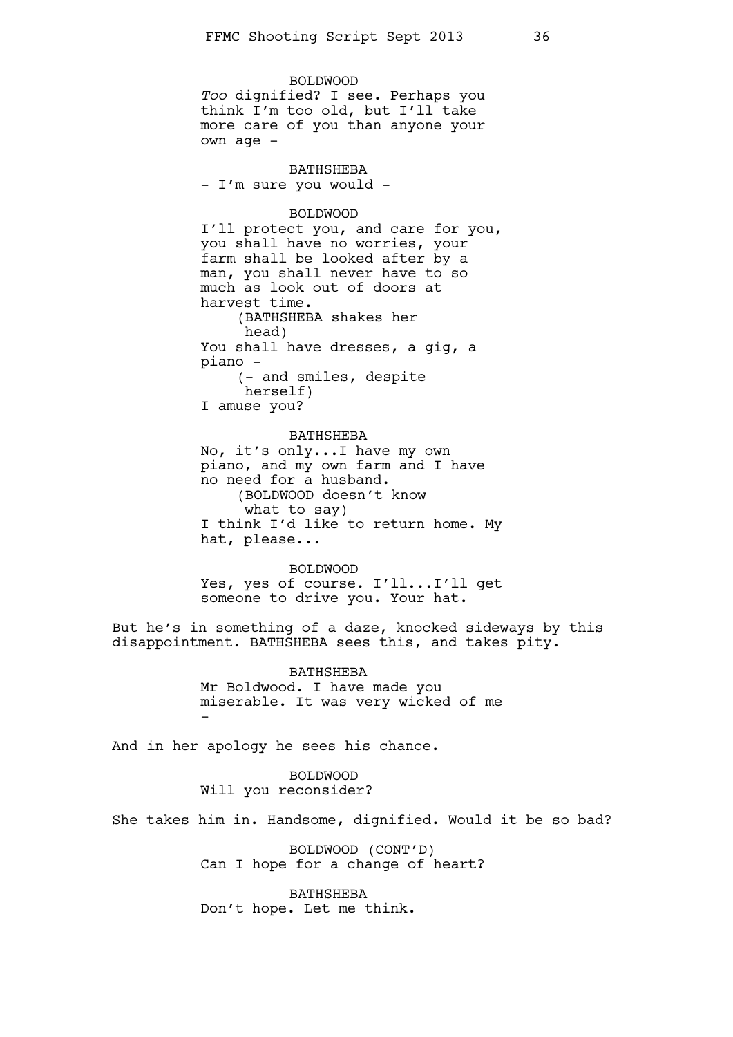BOLDWOOD *Too* dignified? I see. Perhaps you think I'm too old, but I'll take more care of you than anyone your own age -

BATHSHEBA - I'm sure you would -

#### BOLDWOOD

I'll protect you, and care for you, you shall have no worries, your farm shall be looked after by a man, you shall never have to so much as look out of doors at harvest time. (BATHSHEBA shakes her head) You shall have dresses, a gig, a piano - (- and smiles, despite herself) I amuse you?

#### BATHSHEBA

No, it's only...I have my own piano, and my own farm and I have no need for a husband. (BOLDWOOD doesn't know what to say) I think I'd like to return home. My hat, please...

BOLDWOOD Yes, yes of course. I'll...I'll get someone to drive you. Your hat.

But he's in something of a daze, knocked sideways by this disappointment. BATHSHEBA sees this, and takes pity.

> BATHSHEBA Mr Boldwood. I have made you miserable. It was very wicked of me -

And in her apology he sees his chance.

BOLDWOOD Will you reconsider?

She takes him in. Handsome, dignified. Would it be so bad?

BOLDWOOD (CONT'D) Can I hope for a change of heart?

BATHSHEBA Don't hope. Let me think.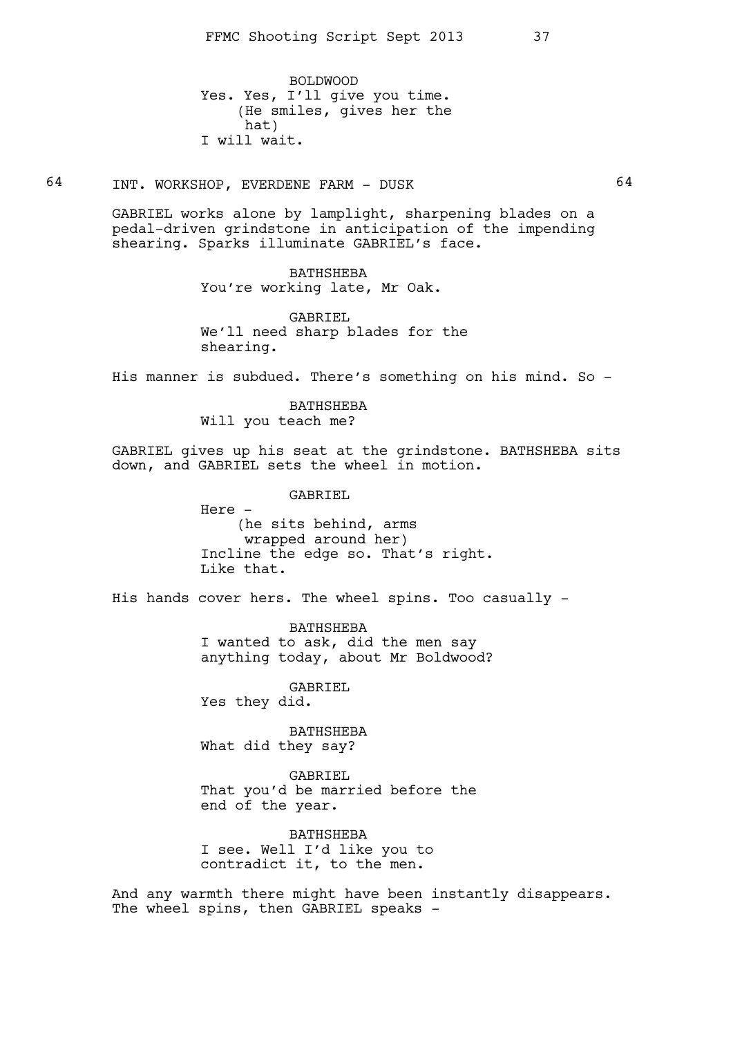BOLDWOOD Yes. Yes, I'll give you time. (He smiles, gives her the hat) I will wait.

64 INT. WORKSHOP, EVERDENE FARM - DUSK 64

GABRIEL works alone by lamplight, sharpening blades on a pedal-driven grindstone in anticipation of the impending shearing. Sparks illuminate GABRIEL's face.

## BATHSHEBA

You're working late, Mr Oak.

GABRIEL We'll need sharp blades for the shearing.

His manner is subdued. There's something on his mind. So -

# BATHSHEBA

Will you teach me?

GABRIEL gives up his seat at the grindstone. BATHSHEBA sits down, and GABRIEL sets the wheel in motion.

### GABRIEL

Here - (he sits behind, arms wrapped around her) Incline the edge so. That's right. Like that.

His hands cover hers. The wheel spins. Too casually -

BATHSHEBA I wanted to ask, did the men say anything today, about Mr Boldwood?

GABRIEL Yes they did.

BATHSHEBA What did they say?

GABRIEL That you'd be married before the end of the year.

BATHSHEBA I see. Well I'd like you to contradict it, to the men.

And any warmth there might have been instantly disappears. The wheel spins, then GABRIEL speaks -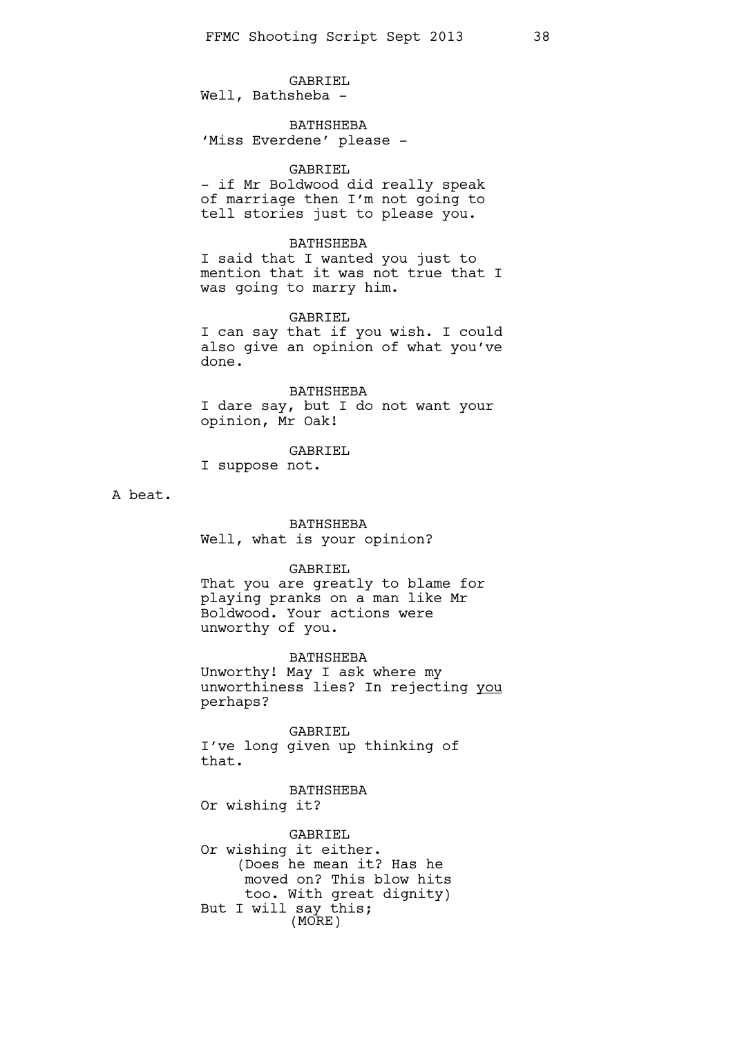GABRIEL Well, Bathsheba -

**BATHSHEBA** 'Miss Everdene' please -

#### GABRIEL

- if Mr Boldwood did really speak of marriage then I'm not going to tell stories just to please you.

#### BATHSHEBA

I said that I wanted you just to mention that it was not true that I was going to marry him.

#### GABRIEL

I can say that if you wish. I could also give an opinion of what you've done.

BATHSHEBA

I dare say, but I do not want your opinion, Mr Oak!

GABRIEL

I suppose not.

A beat.

#### BATHSHEBA

Well, what is your opinion?

### GABRIEL

That you are greatly to blame for playing pranks on a man like Mr Boldwood. Your actions were unworthy of you.

### BATHSHEBA

Unworthy! May I ask where my unworthiness lies? In rejecting you perhaps?

GABRIEL I've long given up thinking of that.

BATHSHEBA Or wishing it?

GABRIEL Or wishing it either. (Does he mean it? Has he moved on? This blow hits too. With great dignity) But I will say this; (MORE)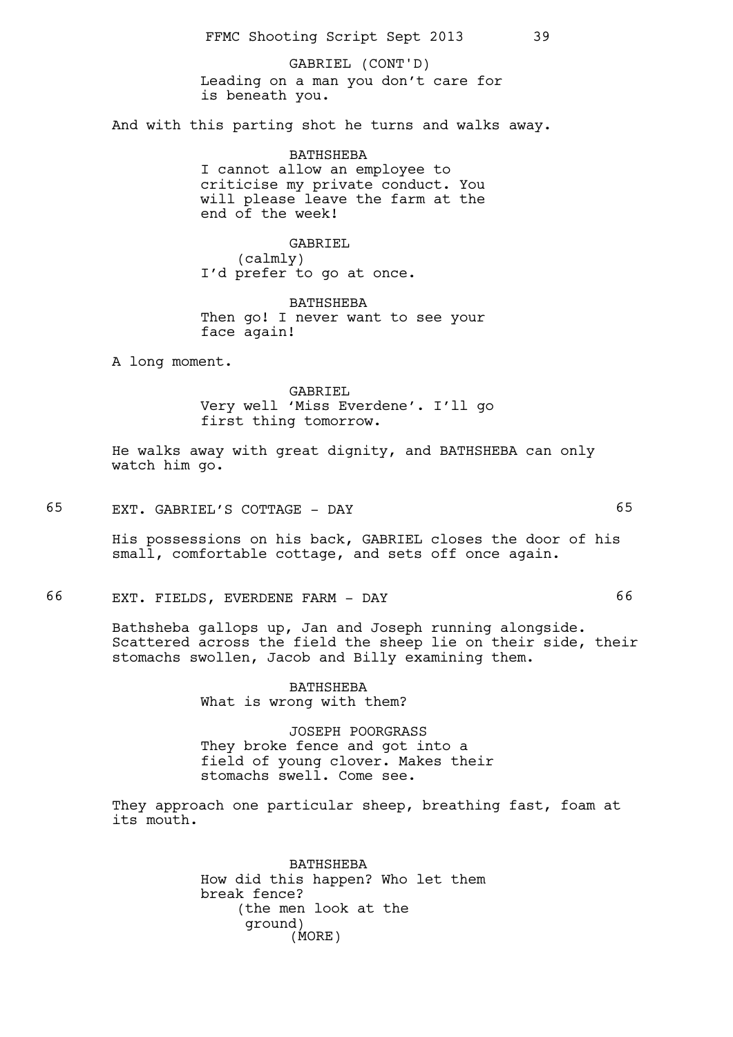Leading on a man you don't care for is beneath you. GABRIEL (CONT'D)

And with this parting shot he turns and walks away.

BATHSHEBA I cannot allow an employee to criticise my private conduct. You will please leave the farm at the end of the week!

GABRIEL (calmly) I'd prefer to go at once.

BATHSHEBA Then go! I never want to see your face again!

A long moment.

GABRIEL Very well 'Miss Everdene'. I'll go first thing tomorrow.

He walks away with great dignity, and BATHSHEBA can only watch him go.

65 EXT. GABRIEL'S COTTAGE - DAY 65

His possessions on his back, GABRIEL closes the door of his small, comfortable cottage, and sets off once again.

66 EXT. FIELDS, EVERDENE FARM - DAY 66

Bathsheba gallops up, Jan and Joseph running alongside. Scattered across the field the sheep lie on their side, their stomachs swollen, Jacob and Billy examining them.

> BATHSHEBA What is wrong with them?

JOSEPH POORGRASS They broke fence and got into a field of young clover. Makes their stomachs swell. Come see.

They approach one particular sheep, breathing fast, foam at its mouth.

> BATHSHEBA How did this happen? Who let them break fence? (the men look at the ground) (MORE)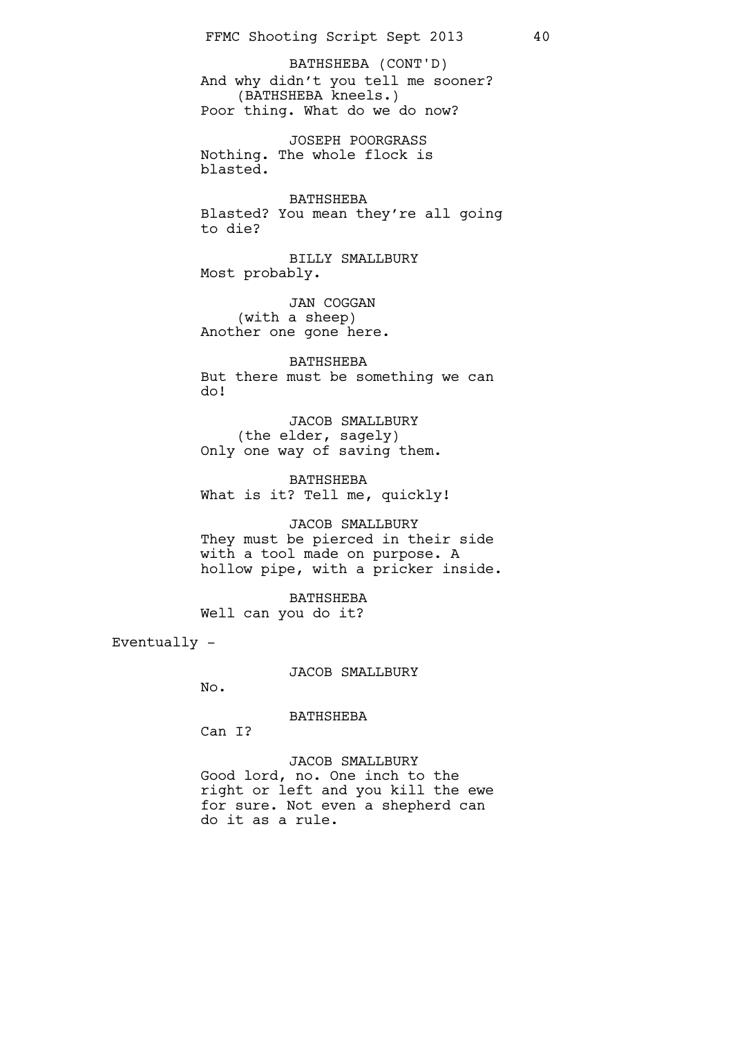And why didn't you tell me sooner? (BATHSHEBA kneels.) Poor thing. What do we do now? BATHSHEBA (CONT'D)

JOSEPH POORGRASS Nothing. The whole flock is blasted.

BATHSHEBA Blasted? You mean they're all going to die?

BILLY SMALLBURY Most probably.

JAN COGGAN (with a sheep) Another one gone here.

BATHSHEBA But there must be something we can do!

JACOB SMALLBURY (the elder, sagely) Only one way of saving them.

BATHSHEBA What is it? Tell me, quickly!

JACOB SMALLBURY They must be pierced in their side with a tool made on purpose. A hollow pipe, with a pricker inside.

BATHSHEBA Well can you do it?

Eventually -

JACOB SMALLBURY

No.

BATHSHEBA

Can I?

JACOB SMALLBURY Good lord, no. One inch to the right or left and you kill the ewe for sure. Not even a shepherd can do it as a rule.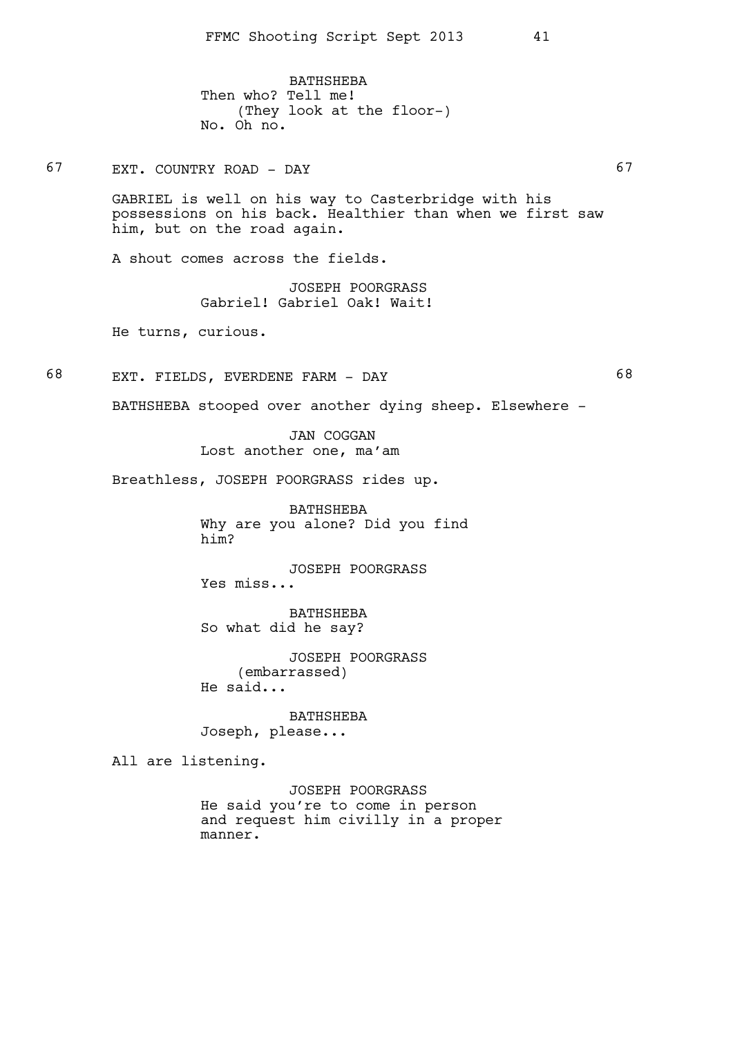BATHSHEBA Then who? Tell me! (They look at the floor-) No. Oh no.

67 EXT. COUNTRY ROAD - DAY 67

GABRIEL is well on his way to Casterbridge with his possessions on his back. Healthier than when we first saw him, but on the road again.

A shout comes across the fields.

JOSEPH POORGRASS Gabriel! Gabriel Oak! Wait!

He turns, curious.

68 EXT. FIELDS, EVERDENE FARM - DAY 68

BATHSHEBA stooped over another dying sheep. Elsewhere -

JAN COGGAN Lost another one, ma'am

Breathless, JOSEPH POORGRASS rides up.

BATHSHEBA Why are you alone? Did you find him?

JOSEPH POORGRASS Yes miss...

BATHSHEBA So what did he say?

JOSEPH POORGRASS (embarrassed) He said...

BATHSHEBA

Joseph, please...

All are listening.

JOSEPH POORGRASS He said you're to come in person and request him civilly in a proper manner.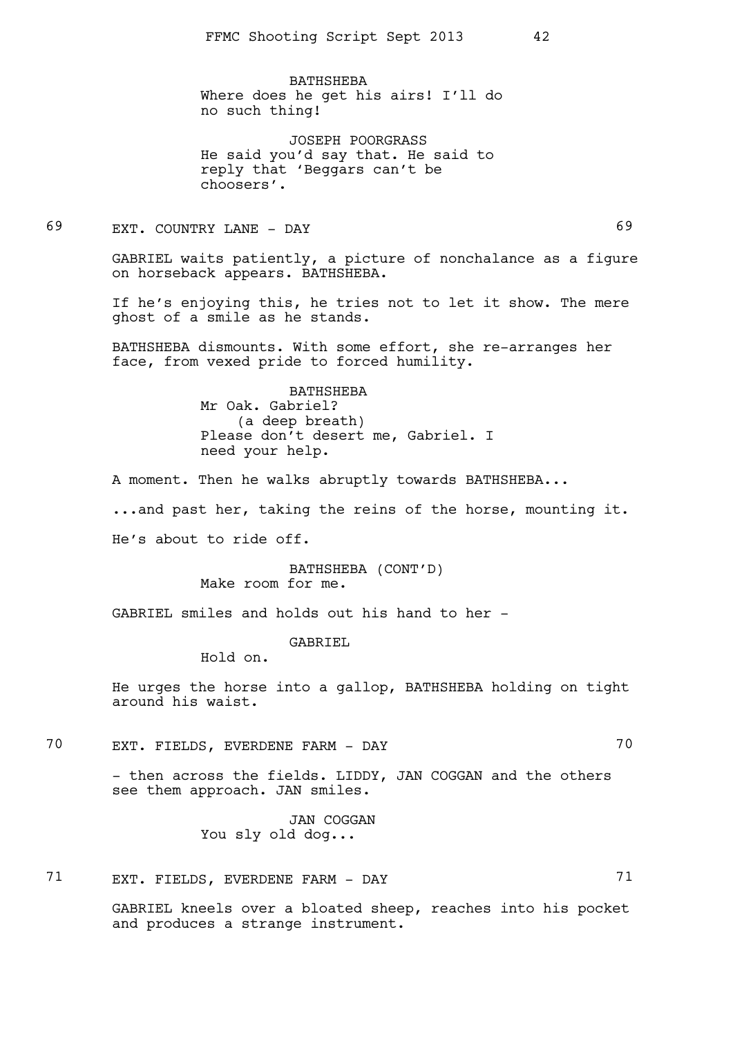BATHSHEBA Where does he get his airs! I'll do no such thing!

JOSEPH POORGRASS He said you'd say that. He said to reply that 'Beggars can't be choosers'.

69 EXT. COUNTRY LANE - DAY 69

GABRIEL waits patiently, a picture of nonchalance as a figure on horseback appears. BATHSHEBA.

If he's enjoying this, he tries not to let it show. The mere ghost of a smile as he stands.

BATHSHEBA dismounts. With some effort, she re-arranges her face, from vexed pride to forced humility.

> BATHSHEBA Mr Oak. Gabriel? (a deep breath) Please don't desert me, Gabriel. I need your help.

A moment. Then he walks abruptly towards BATHSHEBA...

...and past her, taking the reins of the horse, mounting it.

He's about to ride off.

BATHSHEBA (CONT'D) Make room for me.

GABRIEL smiles and holds out his hand to her -

GABRIEL

Hold on.

He urges the horse into a gallop, BATHSHEBA holding on tight around his waist.

70 EXT. FIELDS, EVERDENE FARM - DAY 70

- then across the fields. LIDDY, JAN COGGAN and the others see them approach. JAN smiles.

> JAN COGGAN You sly old dog...

71 EXT. FIELDS, EVERDENE FARM - DAY 71

GABRIEL kneels over a bloated sheep, reaches into his pocket and produces a strange instrument.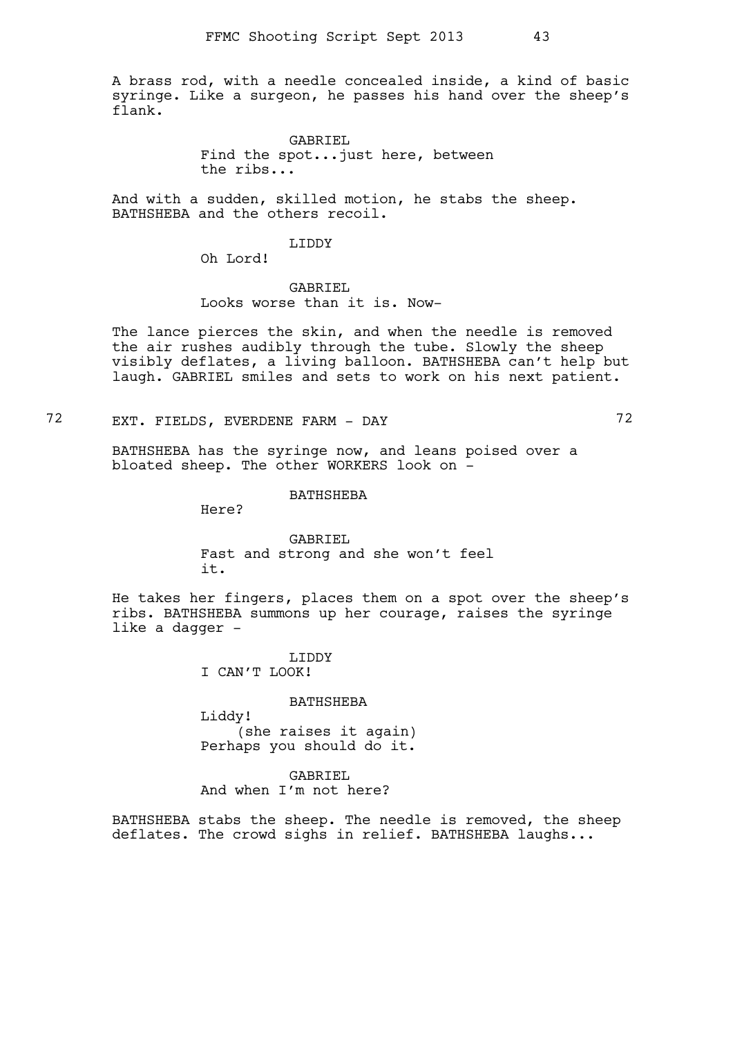A brass rod, with a needle concealed inside, a kind of basic syringe. Like a surgeon, he passes his hand over the sheep's flank.

> GABRIEL Find the spot...just here, between the ribs...

And with a sudden, skilled motion, he stabs the sheep. BATHSHEBA and the others recoil.

### LIDDY

Oh Lord!

### GABRIEL Looks worse than it is. Now-

The lance pierces the skin, and when the needle is removed the air rushes audibly through the tube. Slowly the sheep visibly deflates, a living balloon. BATHSHEBA can't help but laugh. GABRIEL smiles and sets to work on his next patient.

72 EXT. FIELDS, EVERDENE FARM - DAY 72

BATHSHEBA has the syringe now, and leans poised over a bloated sheep. The other WORKERS look on -

BATHSHEBA

Here?

### GABRIEL Fast and strong and she won't feel it.

He takes her fingers, places them on a spot over the sheep's ribs. BATHSHEBA summons up her courage, raises the syringe like a dagger -

> LIDDY I CAN'T LOOK!

#### BATHSHEBA

Liddy! (she raises it again) Perhaps you should do it.

# GABRIEL

And when I'm not here?

BATHSHEBA stabs the sheep. The needle is removed, the sheep deflates. The crowd sighs in relief. BATHSHEBA laughs...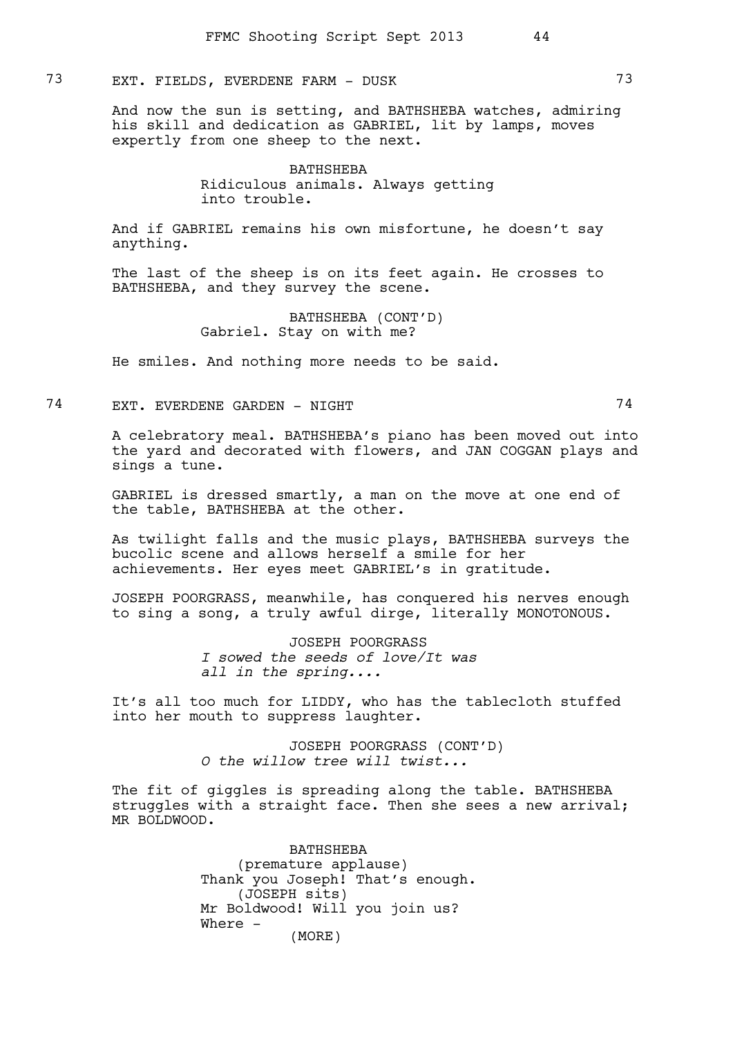## 73 EXT. FIELDS, EVERDENE FARM - DUSK 73

And now the sun is setting, and BATHSHEBA watches, admiring his skill and dedication as GABRIEL, lit by lamps, moves expertly from one sheep to the next.

> BATHSHEBA Ridiculous animals. Always getting into trouble.

And if GABRIEL remains his own misfortune, he doesn't say anything.

The last of the sheep is on its feet again. He crosses to BATHSHEBA, and they survey the scene.

> BATHSHEBA (CONT'D) Gabriel. Stay on with me?

He smiles. And nothing more needs to be said.

74 EXT. EVERDENE GARDEN - NIGHT 74

A celebratory meal. BATHSHEBA's piano has been moved out into the yard and decorated with flowers, and JAN COGGAN plays and sings a tune.

GABRIEL is dressed smartly, a man on the move at one end of the table, BATHSHEBA at the other.

As twilight falls and the music plays, BATHSHEBA surveys the bucolic scene and allows herself a smile for her achievements. Her eyes meet GABRIEL's in gratitude.

JOSEPH POORGRASS, meanwhile, has conquered his nerves enough to sing a song, a truly awful dirge, literally MONOTONOUS.

> JOSEPH POORGRASS *I sowed the seeds of love/It was all in the spring....*

It's all too much for LIDDY, who has the tablecloth stuffed into her mouth to suppress laughter.

> JOSEPH POORGRASS (CONT'D) *O the willow tree will twist...*

The fit of giggles is spreading along the table. BATHSHEBA struggles with a straight face. Then she sees a new arrival; MR BOLDWOOD.

> BATHSHEBA (premature applause) Thank you Joseph! That's enough. (JOSEPH sits) Mr Boldwood! Will you join us? Where - (MORE)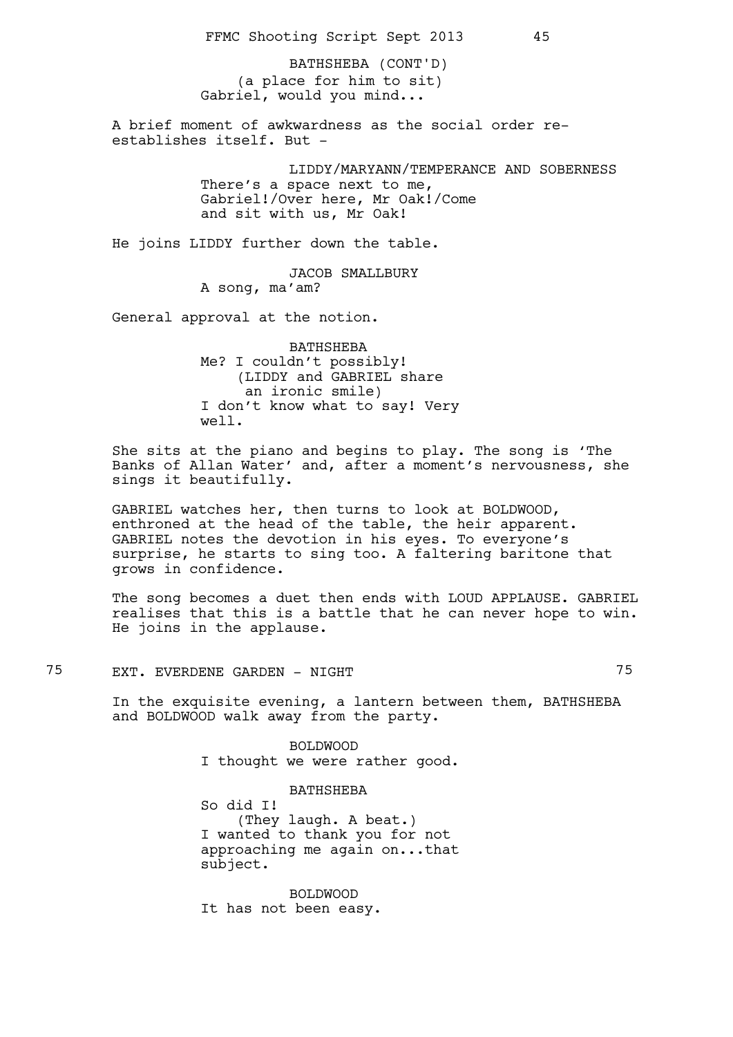(a place for him to sit) Gabriel, would you mind... BATHSHEBA (CONT'D)

A brief moment of awkwardness as the social order reestablishes itself. But -

> LIDDY/MARYANN/TEMPERANCE AND SOBERNESS There's a space next to me, Gabriel!/Over here, Mr Oak!/Come and sit with us, Mr Oak!

He joins LIDDY further down the table.

JACOB SMALLBURY A song, ma'am?

General approval at the notion.

BATHSHEBA Me? I couldn't possibly! (LIDDY and GABRIEL share an ironic smile) I don't know what to say! Very well.

She sits at the piano and begins to play. The song is 'The Banks of Allan Water' and, after a moment's nervousness, she sings it beautifully.

GABRIEL watches her, then turns to look at BOLDWOOD, enthroned at the head of the table, the heir apparent. GABRIEL notes the devotion in his eyes. To everyone's surprise, he starts to sing too. A faltering baritone that grows in confidence.

The song becomes a duet then ends with LOUD APPLAUSE. GABRIEL realises that this is a battle that he can never hope to win. He joins in the applause.

75 EXT. EVERDENE GARDEN - NIGHT 75

In the exquisite evening, a lantern between them, BATHSHEBA and BOLDWOOD walk away from the party.

> BOLDWOOD I thought we were rather good.

> BATHSHEBA So did I! (They laugh. A beat.) I wanted to thank you for not approaching me again on...that subject.

BOLDWOOD It has not been easy.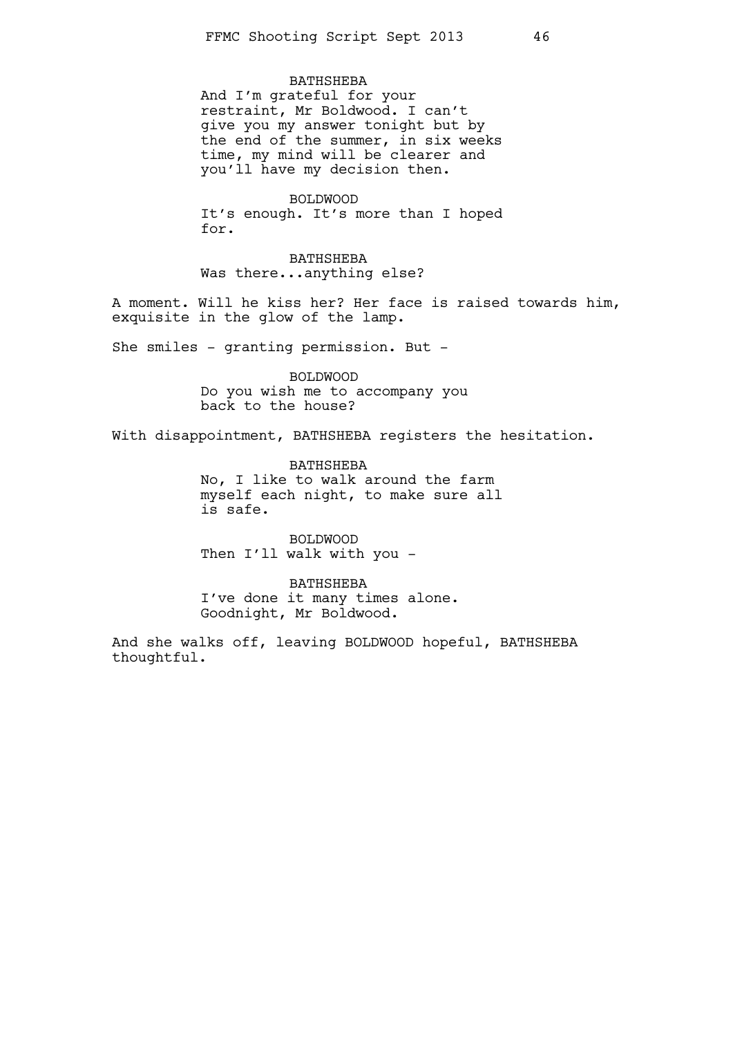#### BATHSHEBA

And I'm grateful for your restraint, Mr Boldwood. I can't give you my answer tonight but by the end of the summer, in six weeks time, my mind will be clearer and you'll have my decision then.

BOLDWOOD It's enough. It's more than I hoped for.

BATHSHEBA Was there...anything else?

A moment. Will he kiss her? Her face is raised towards him, exquisite in the glow of the lamp.

She smiles - granting permission. But -

BOLDWOOD Do you wish me to accompany you back to the house?

With disappointment, BATHSHEBA registers the hesitation.

BATHSHEBA No, I like to walk around the farm myself each night, to make sure all is safe.

BOLDWOOD Then I'll walk with you -

BATHSHEBA I've done it many times alone. Goodnight, Mr Boldwood.

And she walks off, leaving BOLDWOOD hopeful, BATHSHEBA thoughtful.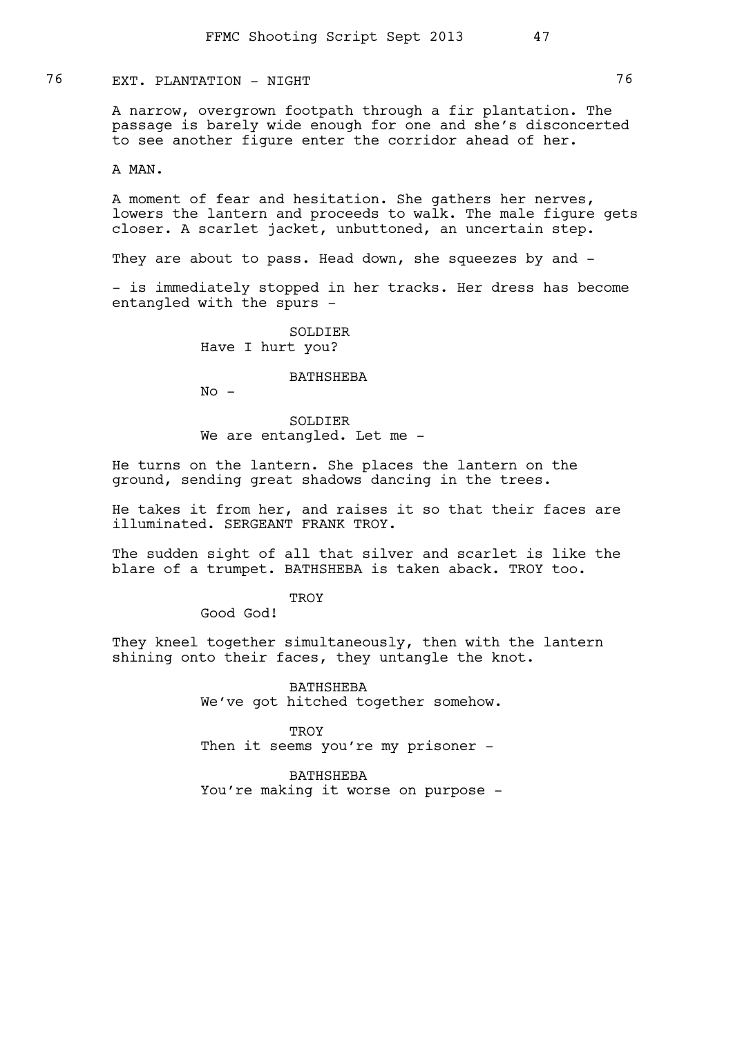76 EXT. PLANTATION - NIGHT 76

A narrow, overgrown footpath through a fir plantation. The passage is barely wide enough for one and she's disconcerted to see another figure enter the corridor ahead of her.

A MAN.

A moment of fear and hesitation. She gathers her nerves, lowers the lantern and proceeds to walk. The male figure gets closer. A scarlet jacket, unbuttoned, an uncertain step.

They are about to pass. Head down, she squeezes by and -

- is immediately stopped in her tracks. Her dress has become entangled with the spurs -

> SOLDIER Have I hurt you?

#### BATHSHEBA

 $No -$ 

SOLDIER We are entangled. Let me -

He turns on the lantern. She places the lantern on the ground, sending great shadows dancing in the trees.

He takes it from her, and raises it so that their faces are illuminated. SERGEANT FRANK TROY.

The sudden sight of all that silver and scarlet is like the blare of a trumpet. BATHSHEBA is taken aback. TROY too.

**TROY** 

Good God!

They kneel together simultaneously, then with the lantern shining onto their faces, they untangle the knot.

> BATHSHEBA We've got hitched together somehow.

**TROY** Then it seems you're my prisoner -

BATHSHEBA You're making it worse on purpose -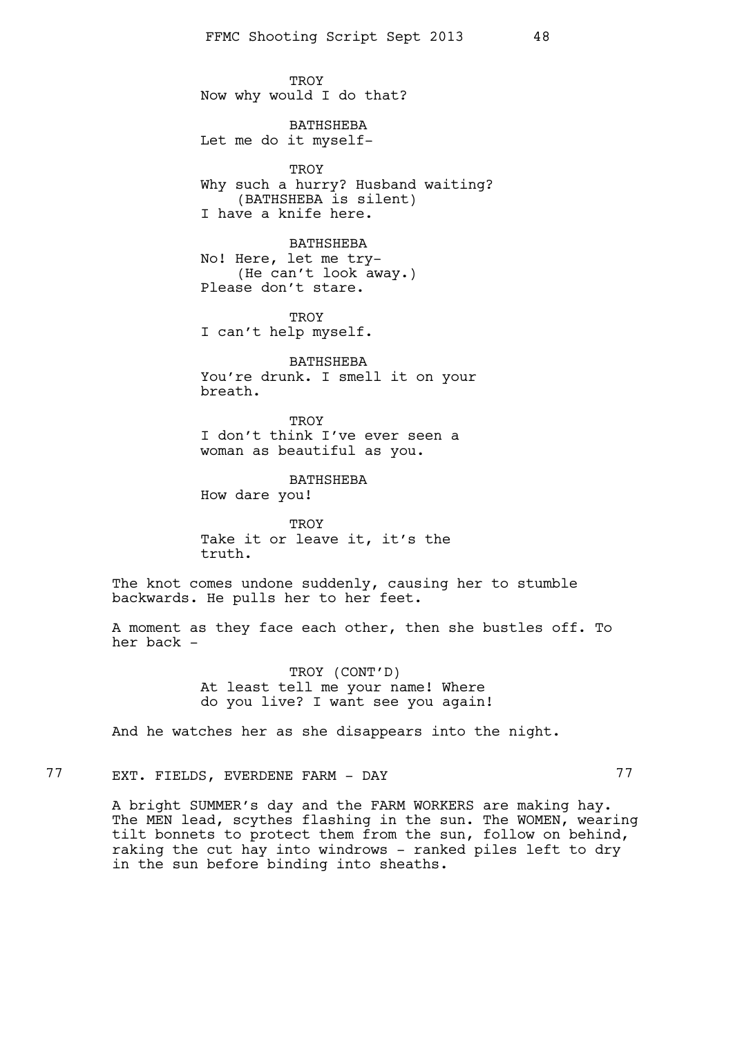TROY Now why would I do that?

BATHSHEBA Let me do it myself-

**TROY** Why such a hurry? Husband waiting? (BATHSHEBA is silent) I have a knife here.

BATHSHEBA No! Here, let me try- (He can't look away.) Please don't stare.

TROY I can't help myself.

BATHSHEBA You're drunk. I smell it on your breath.

**TROY** I don't think I've ever seen a woman as beautiful as you.

BATHSHEBA How dare you!

TROY Take it or leave it, it's the truth.

The knot comes undone suddenly, causing her to stumble backwards. He pulls her to her feet.

A moment as they face each other, then she bustles off. To her back -

> TROY (CONT'D) At least tell me your name! Where do you live? I want see you again!

And he watches her as she disappears into the night.

77 EXT. FIELDS, EVERDENE FARM - DAY 77

A bright SUMMER's day and the FARM WORKERS are making hay. The MEN lead, scythes flashing in the sun. The WOMEN, wearing tilt bonnets to protect them from the sun, follow on behind, raking the cut hay into windrows - ranked piles left to dry in the sun before binding into sheaths.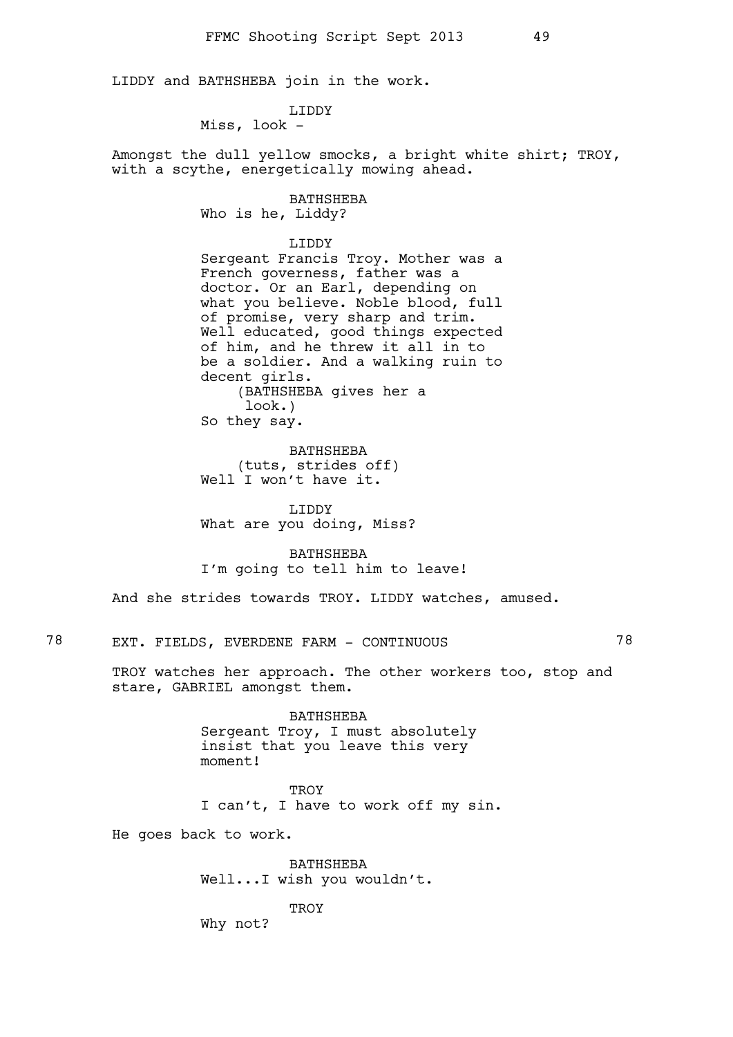LIDDY and BATHSHEBA join in the work.

LIDDY

Miss, look -

Amongst the dull yellow smocks, a bright white shirt; TROY, with a scythe, energetically mowing ahead.

# BATHSHEBA

Who is he, Liddy?

### LIDDY

Sergeant Francis Troy. Mother was a French governess, father was a doctor. Or an Earl, depending on what you believe. Noble blood, full of promise, very sharp and trim. Well educated, good things expected of him, and he threw it all in to be a soldier. And a walking ruin to decent girls. (BATHSHEBA gives her a look.) So they say.

BATHSHEBA (tuts, strides off) Well I won't have it.

LIDDY What are you doing, Miss?

BATHSHEBA I'm going to tell him to leave!

And she strides towards TROY. LIDDY watches, amused.

78 EXT. FIELDS, EVERDENE FARM - CONTINUOUS 78

TROY watches her approach. The other workers too, stop and stare, GABRIEL amongst them.

> BATHSHEBA Sergeant Troy, I must absolutely insist that you leave this very moment!

> > **TROY**

I can't, I have to work off my sin.

He goes back to work.

BATHSHEBA Well...I wish you wouldn't.

**TROY** 

Why not?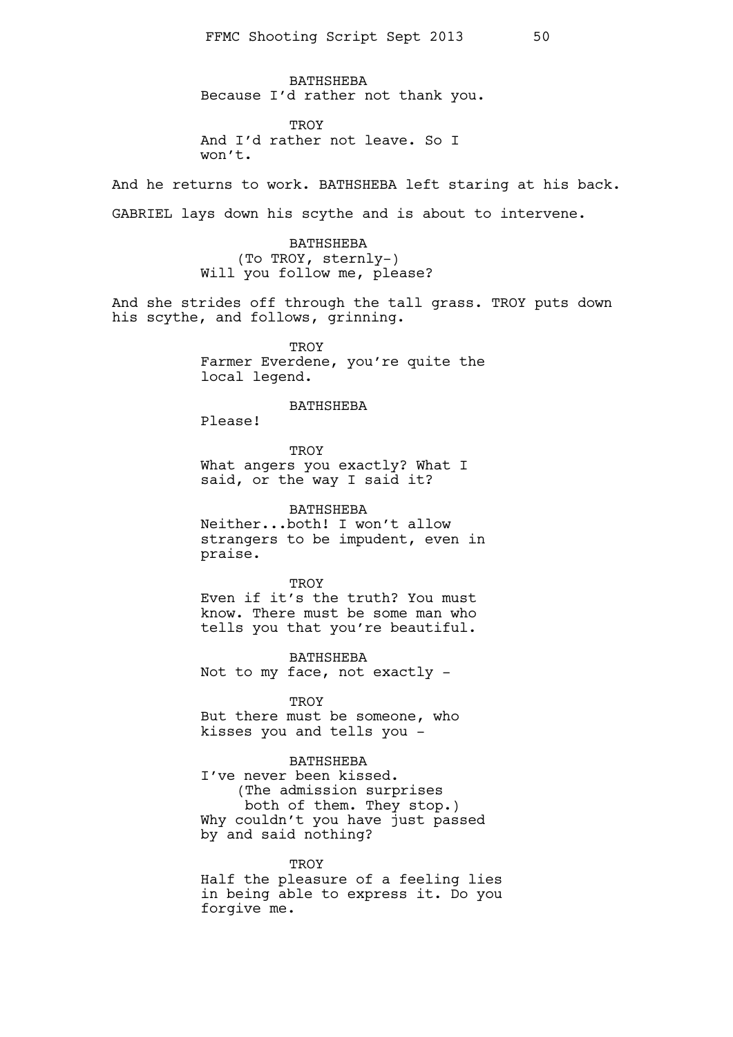BATHSHEBA Because I'd rather not thank you.

**TROY** And I'd rather not leave. So I won't.

And he returns to work. BATHSHEBA left staring at his back.

GABRIEL lays down his scythe and is about to intervene.

BATHSHEBA (To TROY, sternly-) Will you follow me, please?

And she strides off through the tall grass. TROY puts down his scythe, and follows, grinning.

> **TROY** Farmer Everdene, you're quite the local legend.

### BATHSHEBA

Please!

**TROY** What angers you exactly? What I said, or the way I said it?

BATHSHEBA Neither...both! I won't allow strangers to be impudent, even in praise.

#### **TROY**

Even if it's the truth? You must know. There must be some man who tells you that you're beautiful.

BATHSHEBA Not to my face, not exactly -

**TROY** But there must be someone, who kisses you and tells you -

### BATHSHEBA

I've never been kissed. (The admission surprises both of them. They stop.) Why couldn't you have just passed by and said nothing?

#### **TROY**

Half the pleasure of a feeling lies in being able to express it. Do you forgive me.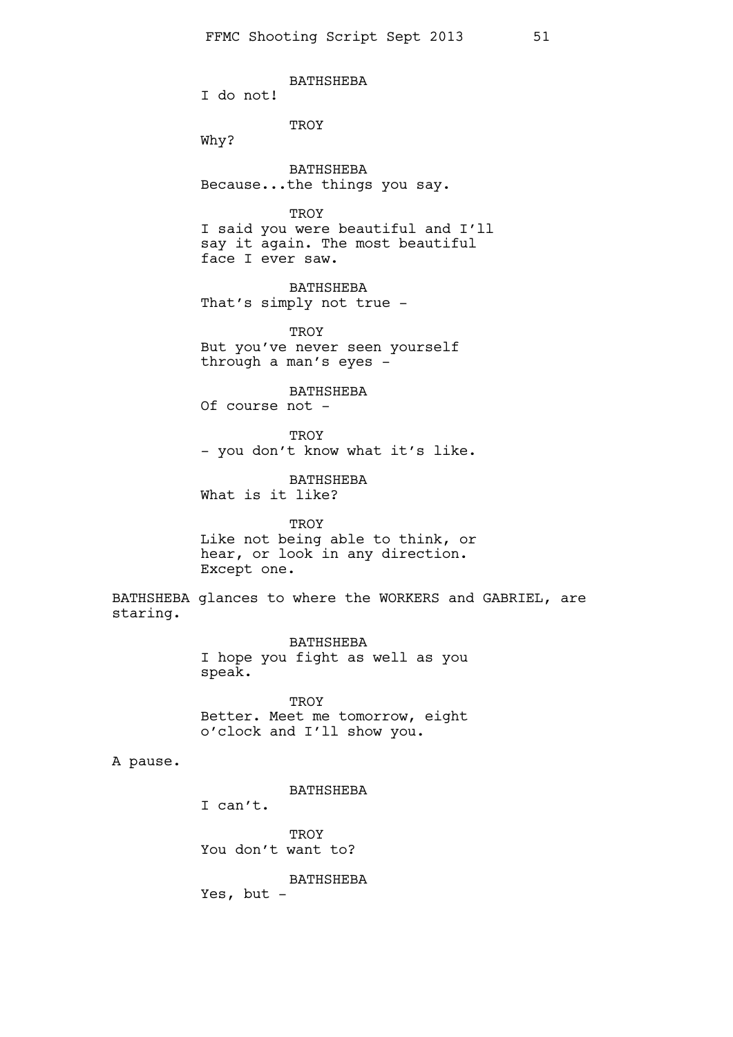BATHSHEBA I do not! **TROY** Why? BATHSHEBA Because...the things you say. **TROY** I said you were beautiful and I'll say it again. The most beautiful face I ever saw. BATHSHEBA That's simply not true -**TROY** But you've never seen yourself through a man's eyes - BATHSHEBA Of course not - TROY - you don't know what it's like. BATHSHEBA What is it like? TROY Like not being able to think, or hear, or look in any direction. Except one. BATHSHEBA glances to where the WORKERS and GABRIEL, are staring.

> BATHSHEBA I hope you fight as well as you speak.

> **TROY** Better. Meet me tomorrow, eight o'clock and I'll show you.

### A pause.

BATHSHEBA

I can't.

**TROY** You don't want to?

BATHSHEBA

Yes, but -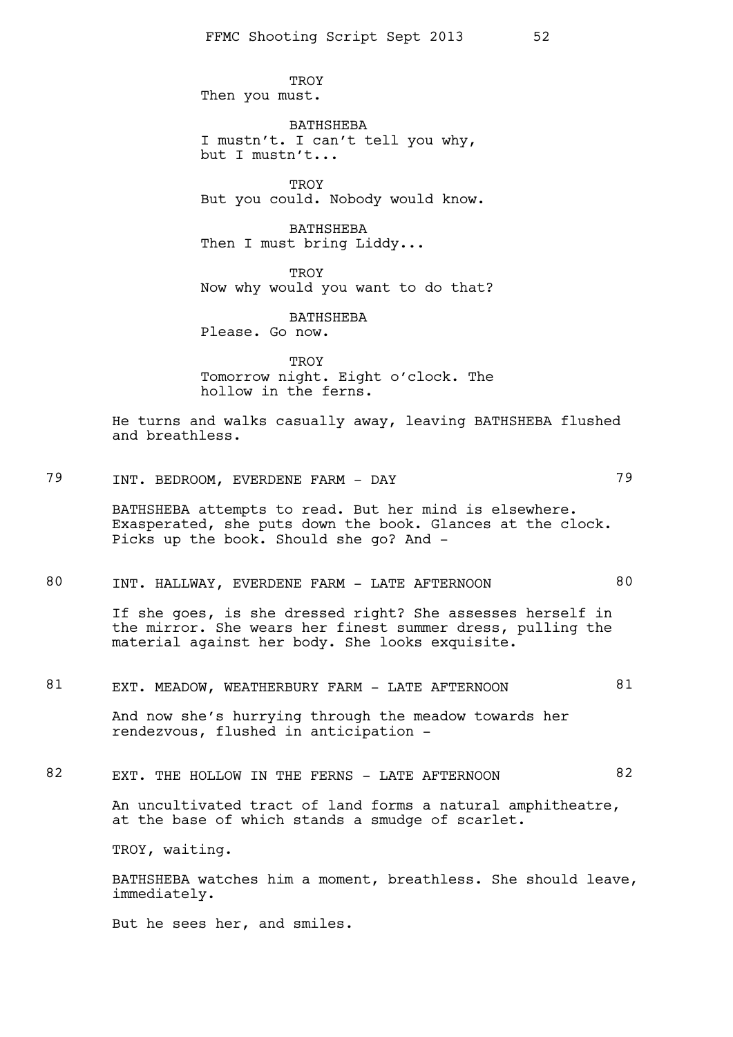**TROY** Then you must.

BATHSHEBA I mustn't. I can't tell you why, but I mustn't...

**TROY** But you could. Nobody would know.

BATHSHEBA Then I must bring Liddy...

**TROY** Now why would you want to do that?

BATHSHEBA Please. Go now.

**TROY** Tomorrow night. Eight o'clock. The hollow in the ferns.

He turns and walks casually away, leaving BATHSHEBA flushed and breathless.

# 79 INT. BEDROOM, EVERDENE FARM - DAY 79

BATHSHEBA attempts to read. But her mind is elsewhere. Exasperated, she puts down the book. Glances at the clock. Picks up the book. Should she go? And -

# 80 INT. HALLWAY, EVERDENE FARM - LATE AFTERNOON 80

If she goes, is she dressed right? She assesses herself in the mirror. She wears her finest summer dress, pulling the material against her body. She looks exquisite.

### 81 EXT. MEADOW, WEATHERBURY FARM - LATE AFTERNOON 61

And now she's hurrying through the meadow towards her rendezvous, flushed in anticipation -

### 82 EXT. THE HOLLOW IN THE FERNS - LATE AFTERNOON 82

An uncultivated tract of land forms a natural amphitheatre, at the base of which stands a smudge of scarlet.

TROY, waiting.

BATHSHEBA watches him a moment, breathless. She should leave, immediately.

But he sees her, and smiles.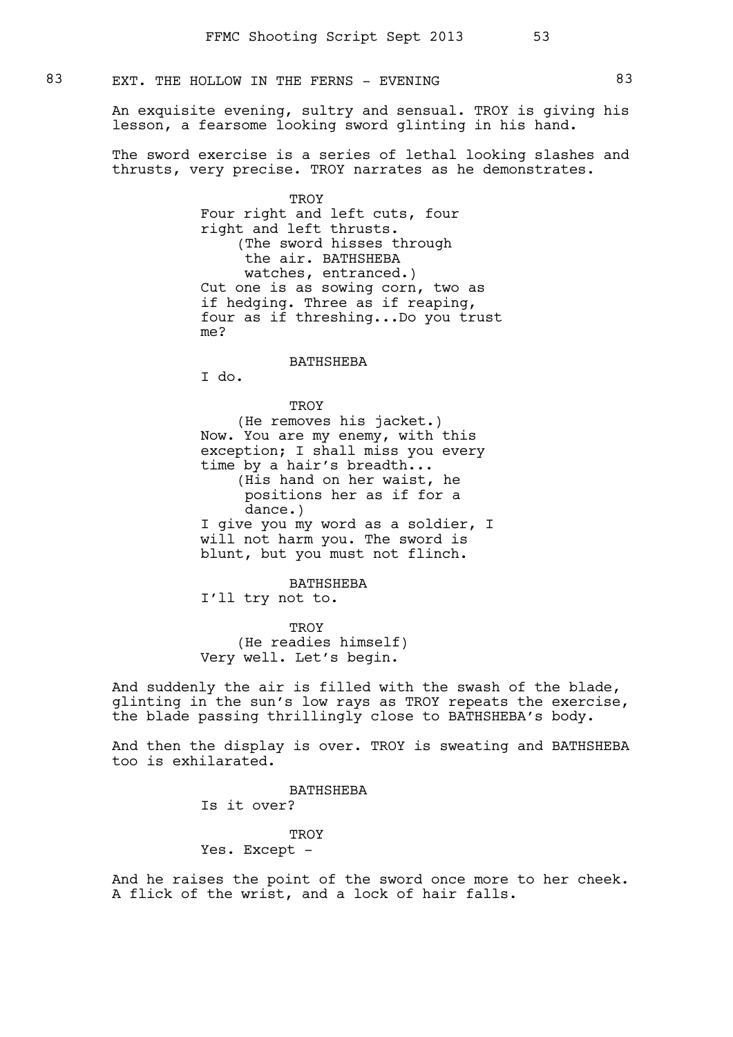### 83 EXT. THE HOLLOW IN THE FERNS - EVENING 83

An exquisite evening, sultry and sensual. TROY is giving his lesson, a fearsome looking sword glinting in his hand.

The sword exercise is a series of lethal looking slashes and thrusts, very precise. TROY narrates as he demonstrates.

> **TROY** Four right and left cuts, four right and left thrusts. (The sword hisses through the air. BATHSHEBA watches, entranced.) Cut one is as sowing corn, two as if hedging. Three as if reaping, four as if threshing...Do you trust me?

#### BATHSHEBA

I do.

**TROY** 

(He removes his jacket.) Now. You are my enemy, with this exception; I shall miss you every time by a hair's breadth... (His hand on her waist, he positions her as if for a dance.) I give you my word as a soldier, I will not harm you. The sword is blunt, but you must not flinch.

BATHSHEBA I'll try not to.

TROY (He readies himself) Very well. Let's begin.

And suddenly the air is filled with the swash of the blade, glinting in the sun's low rays as TROY repeats the exercise, the blade passing thrillingly close to BATHSHEBA's body.

And then the display is over. TROY is sweating and BATHSHEBA too is exhilarated.

> BATHSHEBA Is it over?

### **TROY**

### Yes. Except -

And he raises the point of the sword once more to her cheek. A flick of the wrist, and a lock of hair falls.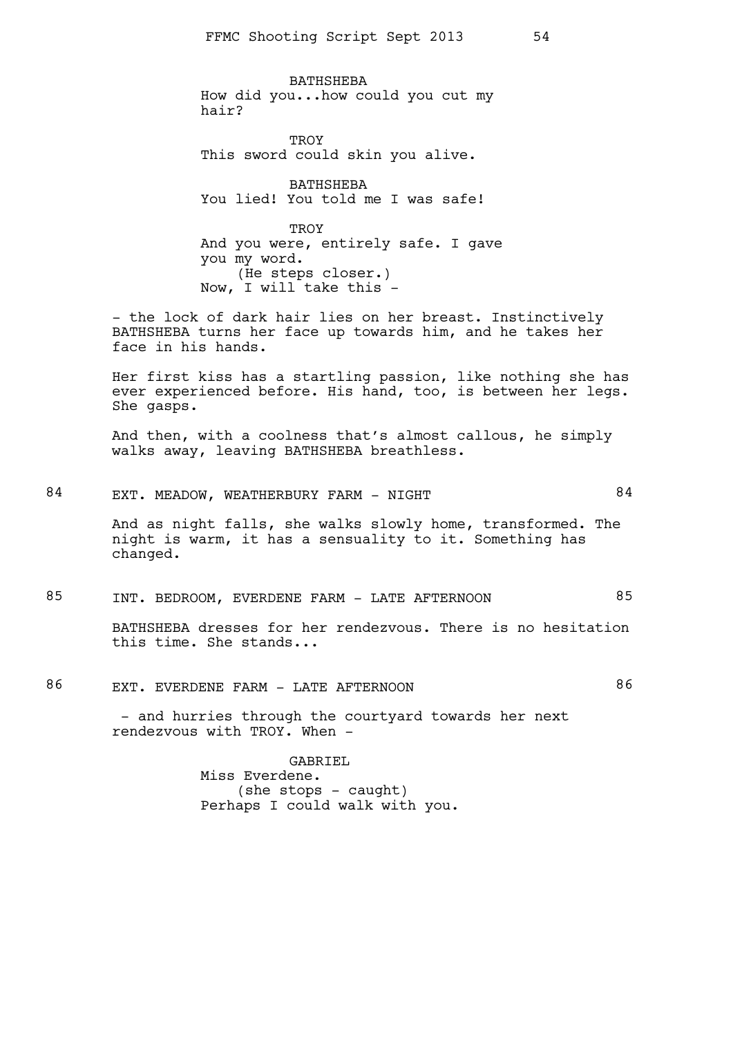BATHSHEBA How did you...how could you cut my hair?

TROY This sword could skin you alive.

BATHSHEBA You lied! You told me I was safe!

TROY And you were, entirely safe. I gave you my word. (He steps closer.) Now, I will take this -

- the lock of dark hair lies on her breast. Instinctively BATHSHEBA turns her face up towards him, and he takes her face in his hands.

Her first kiss has a startling passion, like nothing she has ever experienced before. His hand, too, is between her legs. She gasps.

And then, with a coolness that's almost callous, he simply walks away, leaving BATHSHEBA breathless.

# 84 EXT. MEADOW, WEATHERBURY FARM - NIGHT 84

And as night falls, she walks slowly home, transformed. The night is warm, it has a sensuality to it. Something has changed.

### 85 INT. BEDROOM, EVERDENE FARM - LATE AFTERNOON 85

BATHSHEBA dresses for her rendezvous. There is no hesitation this time. She stands...

86 EXT. EVERDENE FARM - LATE AFTERNOON 86

- and hurries through the courtyard towards her next rendezvous with TROY. When -

> GABRIEL Miss Everdene.  $(she stops - caught)$ Perhaps I could walk with you.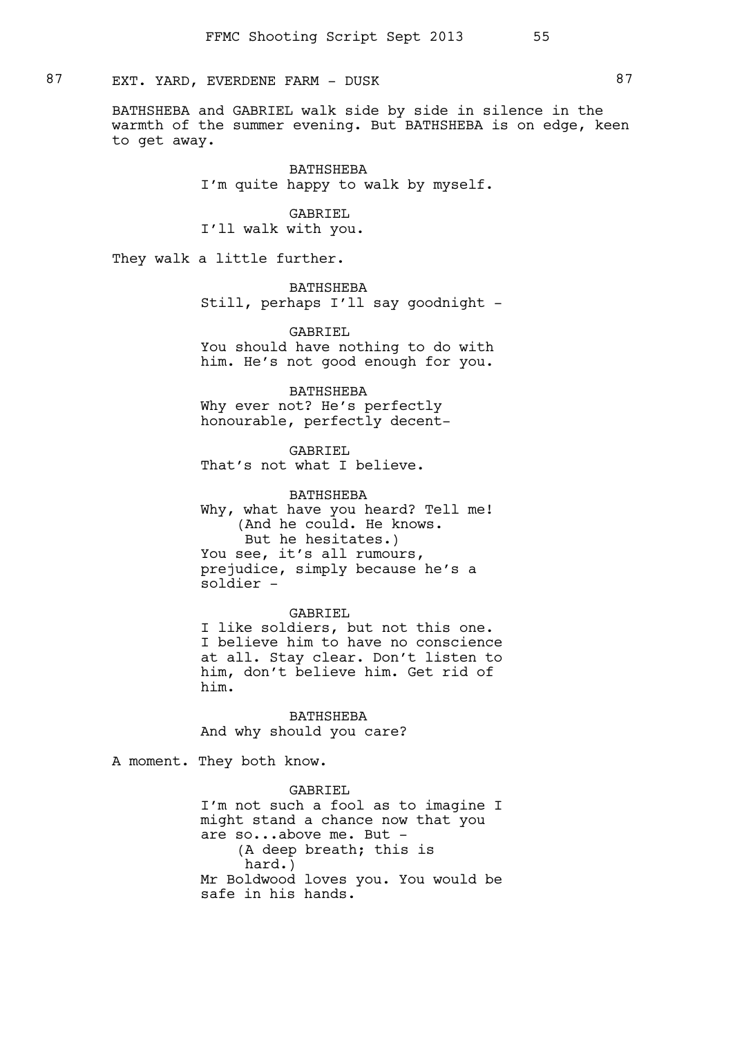87 EXT. YARD, EVERDENE FARM - DUSK 87

BATHSHEBA and GABRIEL walk side by side in silence in the warmth of the summer evening. But BATHSHEBA is on edge, keen to get away.

> BATHSHEBA I'm quite happy to walk by myself.

GABRIEL I'll walk with you.

They walk a little further.

BATHSHEBA Still, perhaps I'll say goodnight -

GABRIEL You should have nothing to do with him. He's not good enough for you.

BATHSHEBA Why ever not? He's perfectly honourable, perfectly decent-

GABRIEL That's not what I believe.

BATHSHEBA Why, what have you heard? Tell me! (And he could. He knows. But he hesitates.) You see, it's all rumours, prejudice, simply because he's a soldier -

#### GABRIEL

I like soldiers, but not this one. I believe him to have no conscience at all. Stay clear. Don't listen to him, don't believe him. Get rid of him.

BATHSHEBA And why should you care?

A moment. They both know.

GABRIEL I'm not such a fool as to imagine I might stand a chance now that you are so...above me. But - (A deep breath; this is hard.) Mr Boldwood loves you. You would be safe in his hands.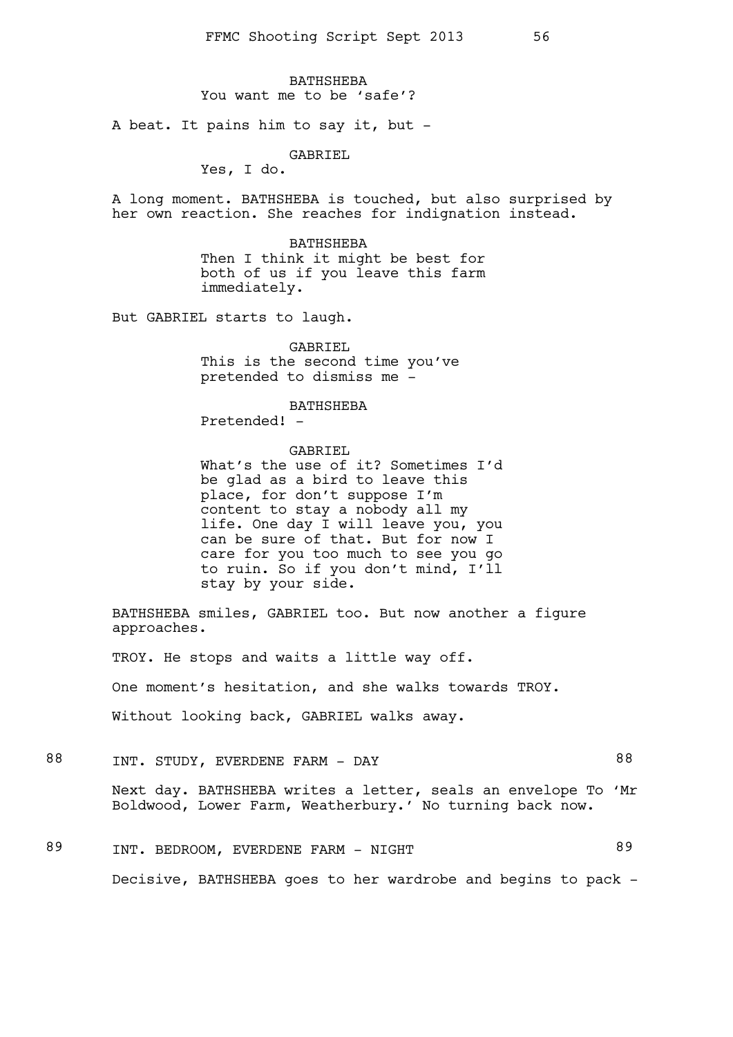**BATHSHEBA** You want me to be 'safe'?

A beat. It pains him to say it, but -

GABRIEL

Yes, I do.

A long moment. BATHSHEBA is touched, but also surprised by her own reaction. She reaches for indignation instead.

> BATHSHEBA Then I think it might be best for both of us if you leave this farm immediately.

But GABRIEL starts to laugh.

GABRIEL This is the second time you've pretended to dismiss me -

BATHSHEBA

Pretended! -

GABRIEL

What's the use of it? Sometimes I'd be glad as a bird to leave this place, for don't suppose I'm content to stay a nobody all my life. One day I will leave you, you can be sure of that. But for now I care for you too much to see you go to ruin. So if you don't mind, I'll stay by your side.

BATHSHEBA smiles, GABRIEL too. But now another a figure approaches.

TROY. He stops and waits a little way off. One moment's hesitation, and she walks towards TROY. Without looking back, GABRIEL walks away.

- 88 INT. STUDY, EVERDENE FARM DAY 68 Next day. BATHSHEBA writes a letter, seals an envelope To 'Mr Boldwood, Lower Farm, Weatherbury.' No turning back now.
- 89 INT. BEDROOM, EVERDENE FARM NIGHT Decisive, BATHSHEBA goes to her wardrobe and begins to pack -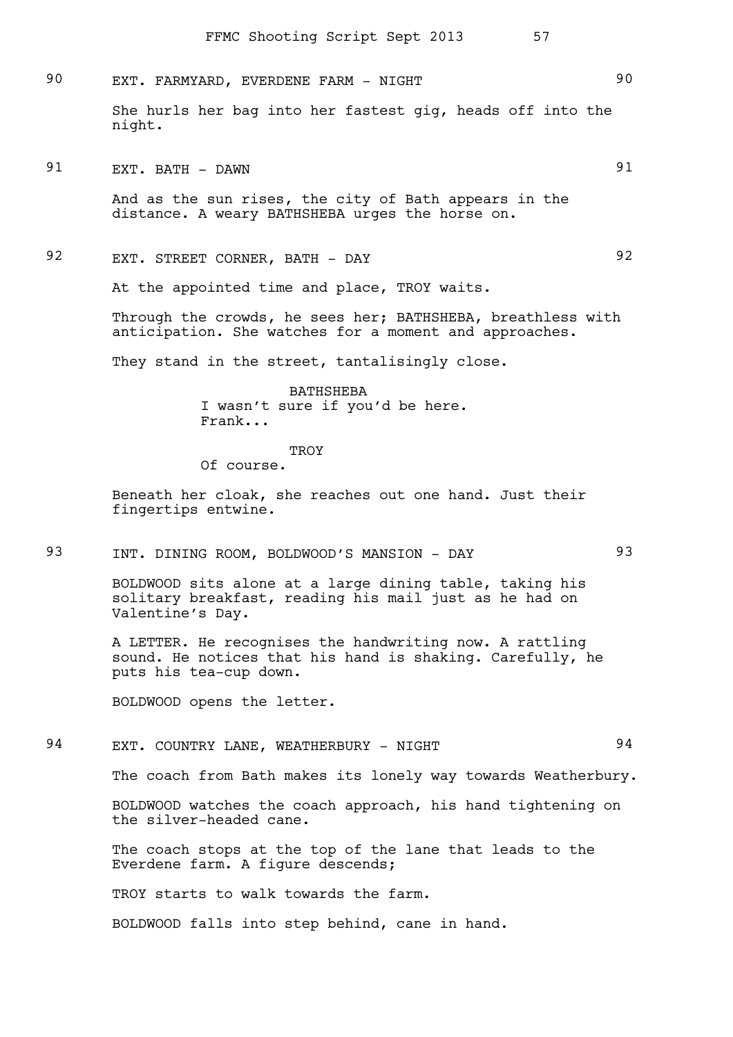# 90 EXT. FARMYARD, EVERDENE FARM - NIGHT 30

She hurls her bag into her fastest gig, heads off into the night.

91 EXT. BATH - DAWN 91

And as the sun rises, the city of Bath appears in the distance. A weary BATHSHEBA urges the horse on.

# 92 EXT. STREET CORNER, BATH - DAY 92

At the appointed time and place, TROY waits.

Through the crowds, he sees her; BATHSHEBA, breathless with anticipation. She watches for a moment and approaches.

They stand in the street, tantalisingly close.

BATHSHEBA I wasn't sure if you'd be here. Frank...

**TROY** 

Of course.

Beneath her cloak, she reaches out one hand. Just their fingertips entwine.

# 93 INT. DINING ROOM, BOLDWOOD'S MANSION - DAY 93

BOLDWOOD sits alone at a large dining table, taking his solitary breakfast, reading his mail just as he had on Valentine's Day.

A LETTER. He recognises the handwriting now. A rattling sound. He notices that his hand is shaking. Carefully, he puts his tea-cup down.

BOLDWOOD opens the letter.

### 94 EXT. COUNTRY LANE, WEATHERBURY - NIGHT 34

The coach from Bath makes its lonely way towards Weatherbury.

BOLDWOOD watches the coach approach, his hand tightening on the silver-headed cane.

The coach stops at the top of the lane that leads to the Everdene farm. A figure descends;

TROY starts to walk towards the farm.

BOLDWOOD falls into step behind, cane in hand.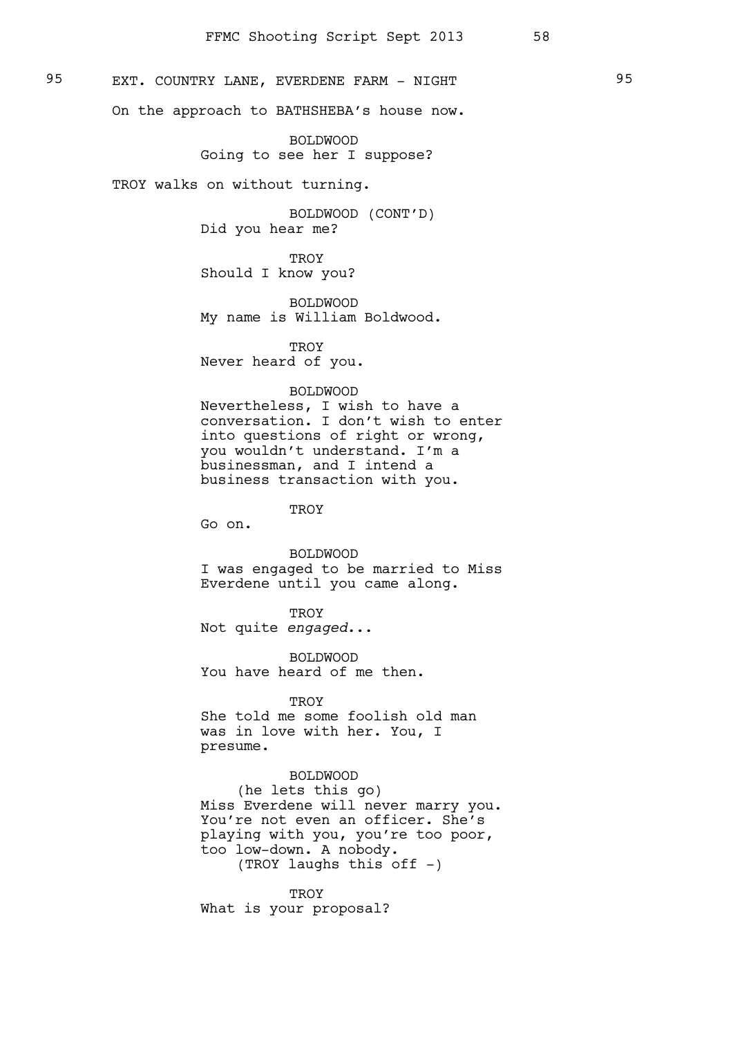# 95 EXT. COUNTRY LANE, EVERDENE FARM - NIGHT 95

On the approach to BATHSHEBA's house now.

BOLDWOOD Going to see her I suppose?

TROY walks on without turning.

BOLDWOOD (CONT'D) Did you hear me?

**TROY** Should I know you?

BOLDWOOD My name is William Boldwood.

**TROY** Never heard of you.

#### BOLDWOOD

Nevertheless, I wish to have a conversation. I don't wish to enter into questions of right or wrong, you wouldn't understand. I'm a businessman, and I intend a business transaction with you.

**TROY** 

Go on.

BOLDWOOD I was engaged to be married to Miss Everdene until you came along.

**TROY** Not quite *engaged*...

BOLDWOOD You have heard of me then.

**TROY** She told me some foolish old man was in love with her. You, I presume.

BOLDWOOD (he lets this go) Miss Everdene will never marry you. You're not even an officer. She's playing with you, you're too poor, too low-down. A nobody. (TROY laughs this off -)

**TROY** What is your proposal?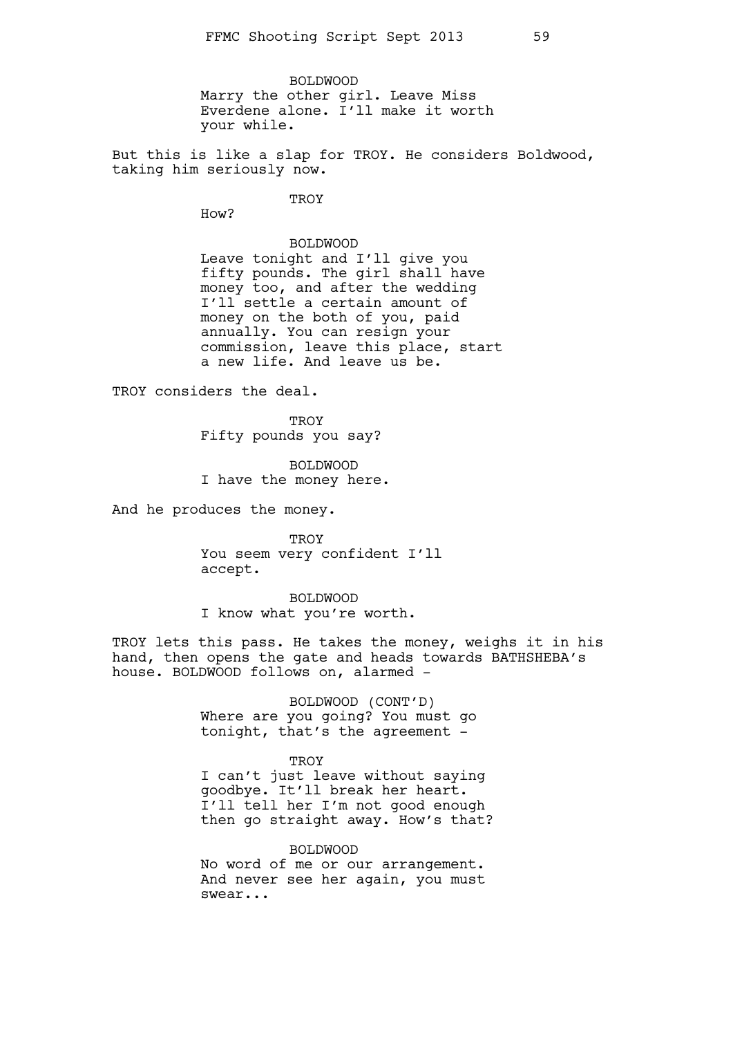BOLDWOOD Marry the other girl. Leave Miss Everdene alone. I'll make it worth your while.

But this is like a slap for TROY. He considers Boldwood, taking him seriously now.

**TROY** 

How?

BOLDWOOD Leave tonight and I'll give you fifty pounds. The girl shall have money too, and after the wedding I'll settle a certain amount of money on the both of you, paid annually. You can resign your commission, leave this place, start a new life. And leave us be.

TROY considers the deal.

TROY Fifty pounds you say?

BOLDWOOD I have the money here.

And he produces the money.

**TROY** You seem very confident I'll accept.

BOLDWOOD I know what you're worth.

TROY lets this pass. He takes the money, weighs it in his hand, then opens the gate and heads towards BATHSHEBA's house. BOLDWOOD follows on, alarmed -

> BOLDWOOD (CONT'D) Where are you going? You must go tonight, that's the agreement -

**TROY** I can't just leave without saying goodbye. It'll break her heart. I'll tell her I'm not good enough then go straight away. How's that?

BOLDWOOD No word of me or our arrangement. And never see her again, you must swear...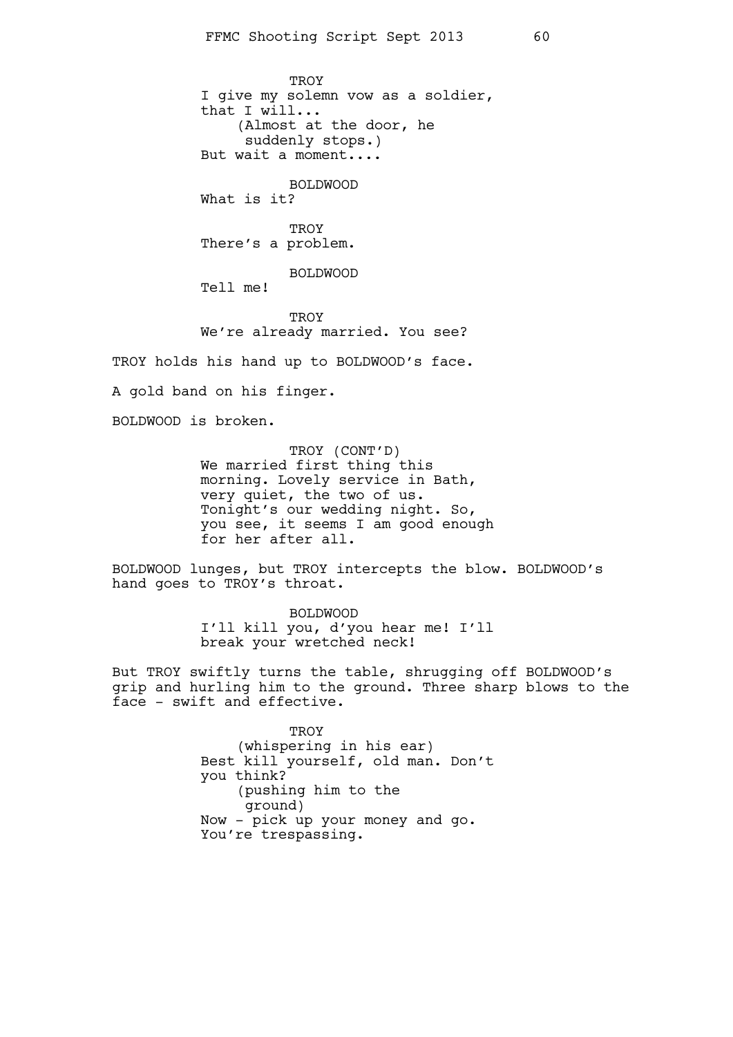TROY I give my solemn vow as a soldier, that I will... (Almost at the door, he suddenly stops.) But wait a moment.... BOLDWOOD What is it? **TROY** There's a problem. BOLDWOOD Tell me! **TROY** We're already married. You see? TROY holds his hand up to BOLDWOOD's face. A gold band on his finger. BOLDWOOD is broken. TROY (CONT'D)

We married first thing this morning. Lovely service in Bath, very quiet, the two of us. Tonight's our wedding night. So, you see, it seems I am good enough for her after all.

BOLDWOOD lunges, but TROY intercepts the blow. BOLDWOOD's hand goes to TROY's throat.

> BOLDWOOD I'll kill you, d'you hear me! I'll break your wretched neck!

But TROY swiftly turns the table, shrugging off BOLDWOOD's grip and hurling him to the ground. Three sharp blows to the face - swift and effective.

> **TROY** (whispering in his ear) Best kill yourself, old man. Don't you think? (pushing him to the ground) Now - pick up your money and go. You're trespassing.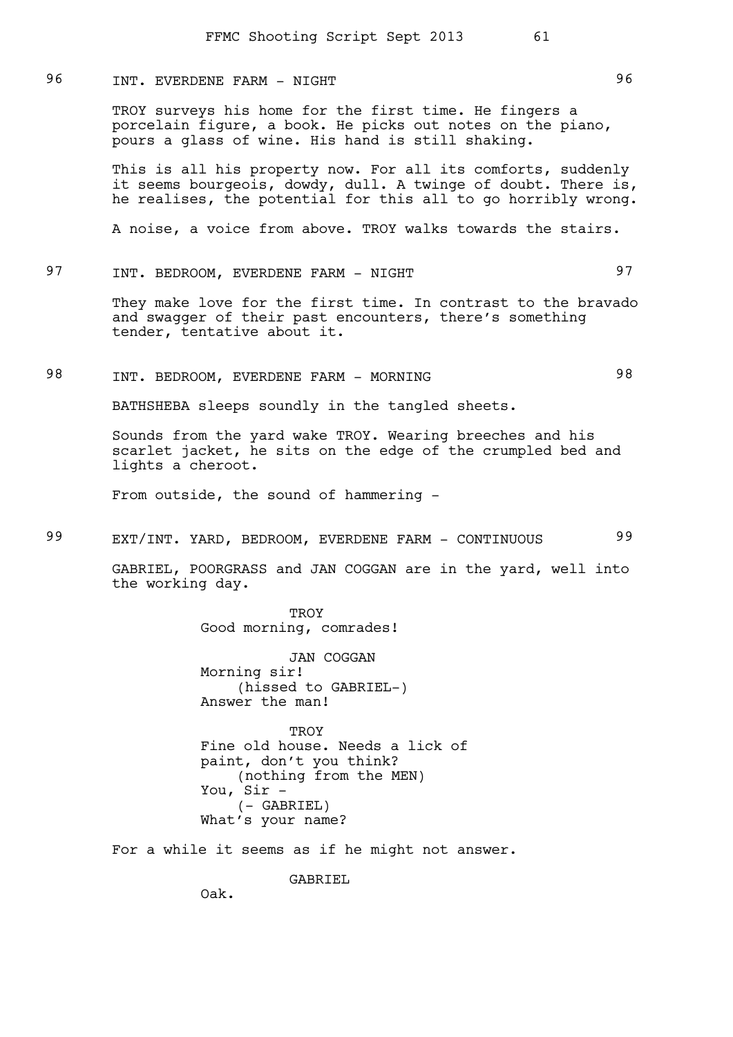## 96 INT. EVERDENE FARM - NIGHT 196

TROY surveys his home for the first time. He fingers a porcelain figure, a book. He picks out notes on the piano, pours a glass of wine. His hand is still shaking.

This is all his property now. For all its comforts, suddenly it seems bourgeois, dowdy, dull. A twinge of doubt. There is, he realises, the potential for this all to go horribly wrong.

A noise, a voice from above. TROY walks towards the stairs.

# 97 INT. BEDROOM, EVERDENE FARM - NIGHT

They make love for the first time. In contrast to the bravado and swagger of their past encounters, there's something tender, tentative about it.

# 98 INT. BEDROOM, EVERDENE FARM - MORNING 98

BATHSHEBA sleeps soundly in the tangled sheets.

Sounds from the yard wake TROY. Wearing breeches and his scarlet jacket, he sits on the edge of the crumpled bed and lights a cheroot.

From outside, the sound of hammering -

# 99 EXT/INT. YARD, BEDROOM, EVERDENE FARM - CONTINUOUS 99

GABRIEL, POORGRASS and JAN COGGAN are in the yard, well into the working day.

> **TROY** Good morning, comrades!

JAN COGGAN Morning sir! (hissed to GABRIEL-) Answer the man!

TROY Fine old house. Needs a lick of paint, don't you think? (nothing from the MEN) You, Sir - (- GABRIEL) What's your name?

For a while it seems as if he might not answer.

GABRIEL

Oak.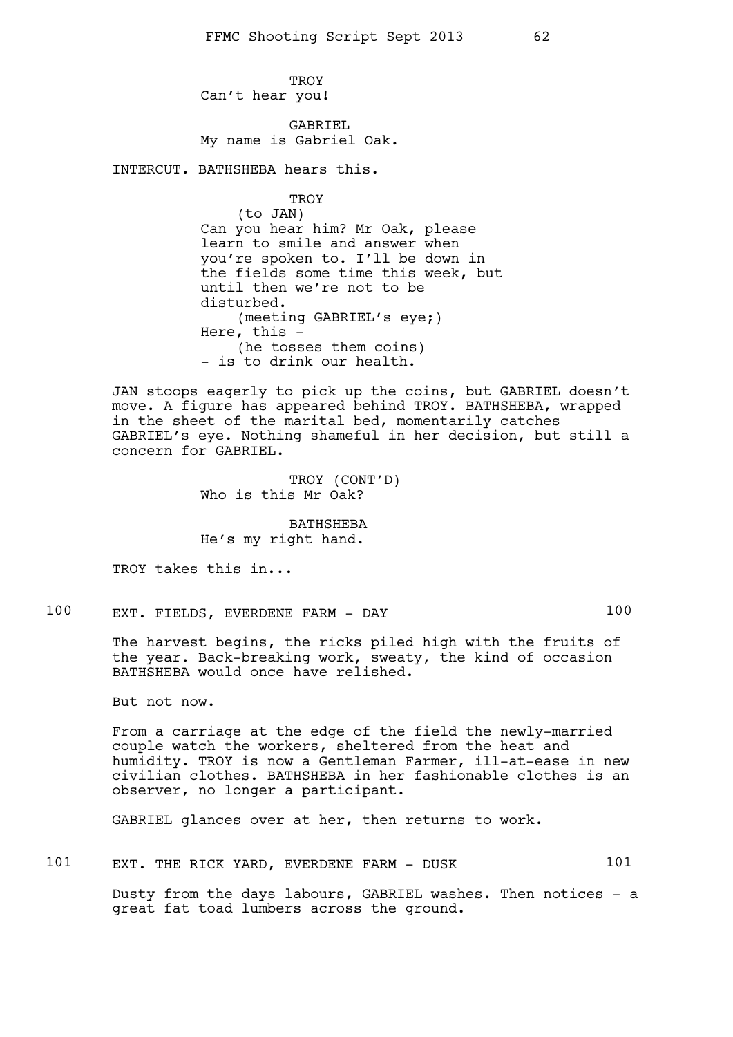TROY Can't hear you!

GABRIEL My name is Gabriel Oak.

INTERCUT. BATHSHEBA hears this.

### **TROY**

(to JAN) Can you hear him? Mr Oak, please learn to smile and answer when you're spoken to. I'll be down in the fields some time this week, but until then we're not to be disturbed. (meeting GABRIEL's eye;) Here, this - (he tosses them coins) - is to drink our health.

JAN stoops eagerly to pick up the coins, but GABRIEL doesn't move. A figure has appeared behind TROY. BATHSHEBA, wrapped in the sheet of the marital bed, momentarily catches GABRIEL's eye. Nothing shameful in her decision, but still a concern for GABRIEL.

> TROY (CONT'D) Who is this Mr Oak?

BATHSHEBA He's my right hand.

TROY takes this in...

100 EXT. FIELDS, EVERDENE FARM - DAY 100

The harvest begins, the ricks piled high with the fruits of the year. Back-breaking work, sweaty, the kind of occasion BATHSHEBA would once have relished.

But not now.

From a carriage at the edge of the field the newly-married couple watch the workers, sheltered from the heat and humidity. TROY is now a Gentleman Farmer, ill-at-ease in new civilian clothes. BATHSHEBA in her fashionable clothes is an observer, no longer a participant.

GABRIEL glances over at her, then returns to work.

101 EXT. THE RICK YARD, EVERDENE FARM - DUSK 101

Dusty from the days labours, GABRIEL washes. Then notices - a great fat toad lumbers across the ground.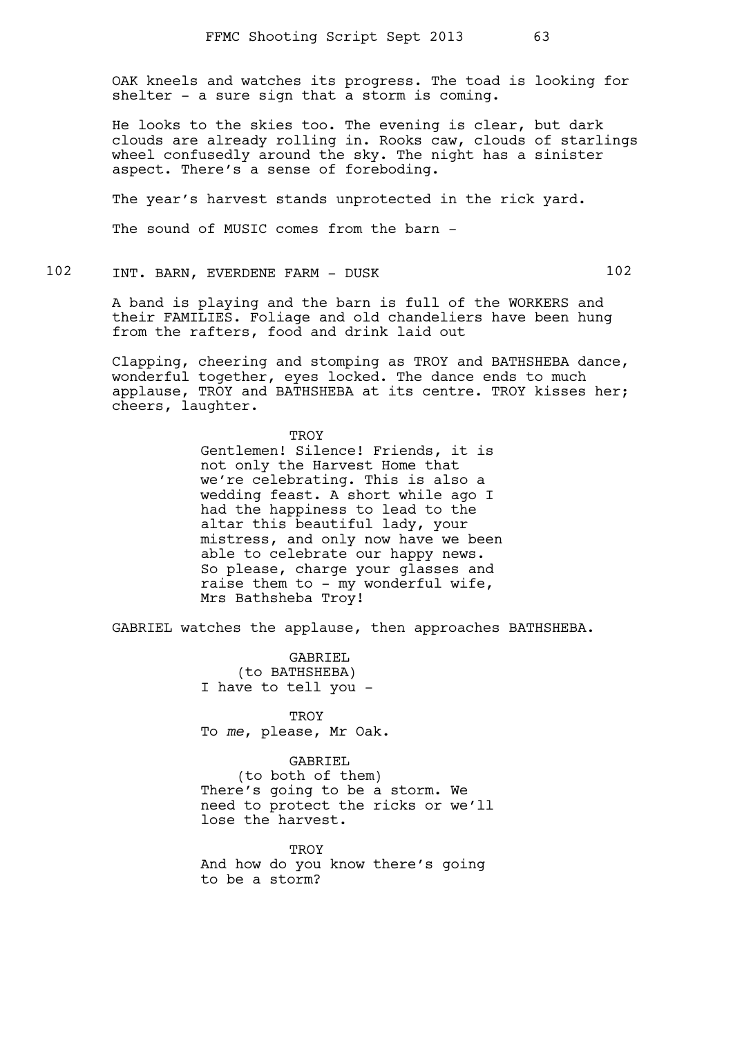OAK kneels and watches its progress. The toad is looking for shelter - a sure sign that a storm is coming.

He looks to the skies too. The evening is clear, but dark clouds are already rolling in. Rooks caw, clouds of starlings wheel confusedly around the sky. The night has a sinister aspect. There's a sense of foreboding.

The year's harvest stands unprotected in the rick yard.

The sound of MUSIC comes from the barn -

### 102 INT. BARN, EVERDENE FARM - DUSK 102

A band is playing and the barn is full of the WORKERS and their FAMILIES. Foliage and old chandeliers have been hung from the rafters, food and drink laid out

Clapping, cheering and stomping as TROY and BATHSHEBA dance, wonderful together, eyes locked. The dance ends to much applause, TROY and BATHSHEBA at its centre. TROY kisses her; cheers, laughter.

> **TROY** Gentlemen! Silence! Friends, it is not only the Harvest Home that we're celebrating. This is also a wedding feast. A short while ago I had the happiness to lead to the altar this beautiful lady, your mistress, and only now have we been able to celebrate our happy news. So please, charge your glasses and raise them to - my wonderful wife, Mrs Bathsheba Troy!

GABRIEL watches the applause, then approaches BATHSHEBA.

GABRIEL (to BATHSHEBA) I have to tell you -

**TROY** To *me*, please, Mr Oak.

### GABRIEL

(to both of them) There's going to be a storm. We need to protect the ricks or we'll lose the harvest.

**TROY** And how do you know there's going to be a storm?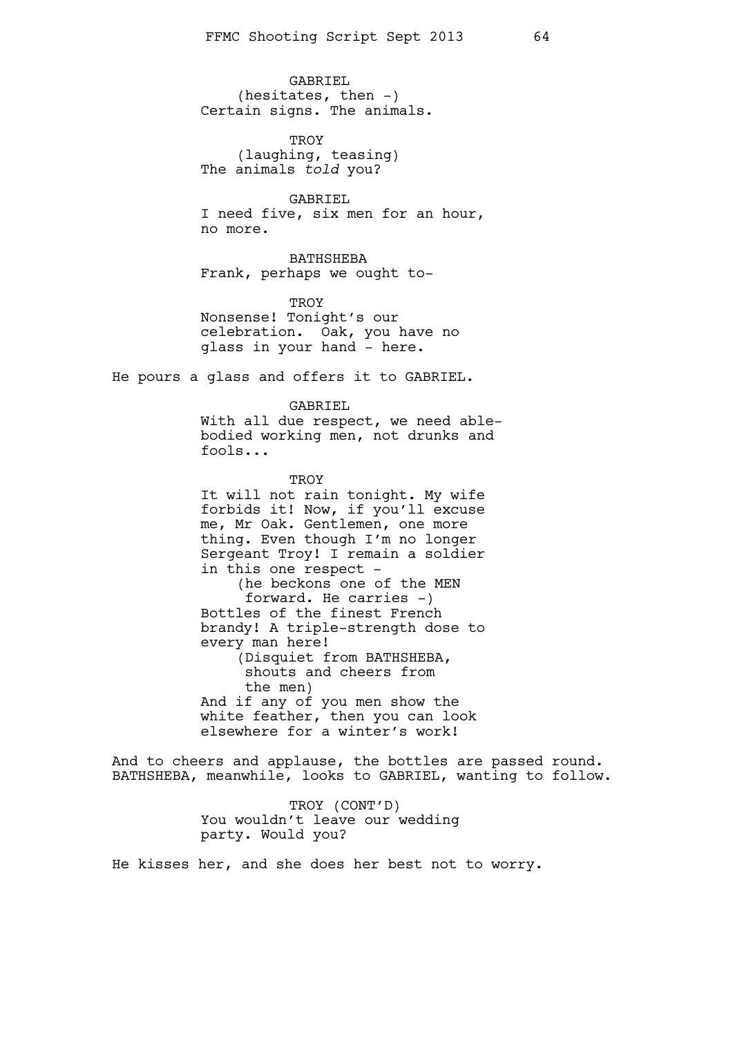GABRIEL (hesitates, then  $-$ ) Certain signs. The animals.

TROY (laughing, teasing) The animals *told* you?

GABRIEL I need five, six men for an hour, no more.

BATHSHEBA Frank, perhaps we ought to-

TROY Nonsense! Tonight's our celebration. Oak, you have no glass in your hand - here.

He pours a glass and offers it to GABRIEL.

#### GABRIEL

With all due respect, we need ablebodied working men, not drunks and fools...

**TROY** It will not rain tonight. My wife forbids it! Now, if you'll excuse me, Mr Oak. Gentlemen, one more thing. Even though I'm no longer Sergeant Troy! I remain a soldier in this one respect - (he beckons one of the MEN forward. He carries -) Bottles of the finest French brandy! A triple-strength dose to every man here! (Disquiet from BATHSHEBA, shouts and cheers from the men) And if any of you men show the white feather, then you can look elsewhere for a winter's work!

And to cheers and applause, the bottles are passed round. BATHSHEBA, meanwhile, looks to GABRIEL, wanting to follow.

> TROY (CONT'D) You wouldn't leave our wedding party. Would you?

He kisses her, and she does her best not to worry.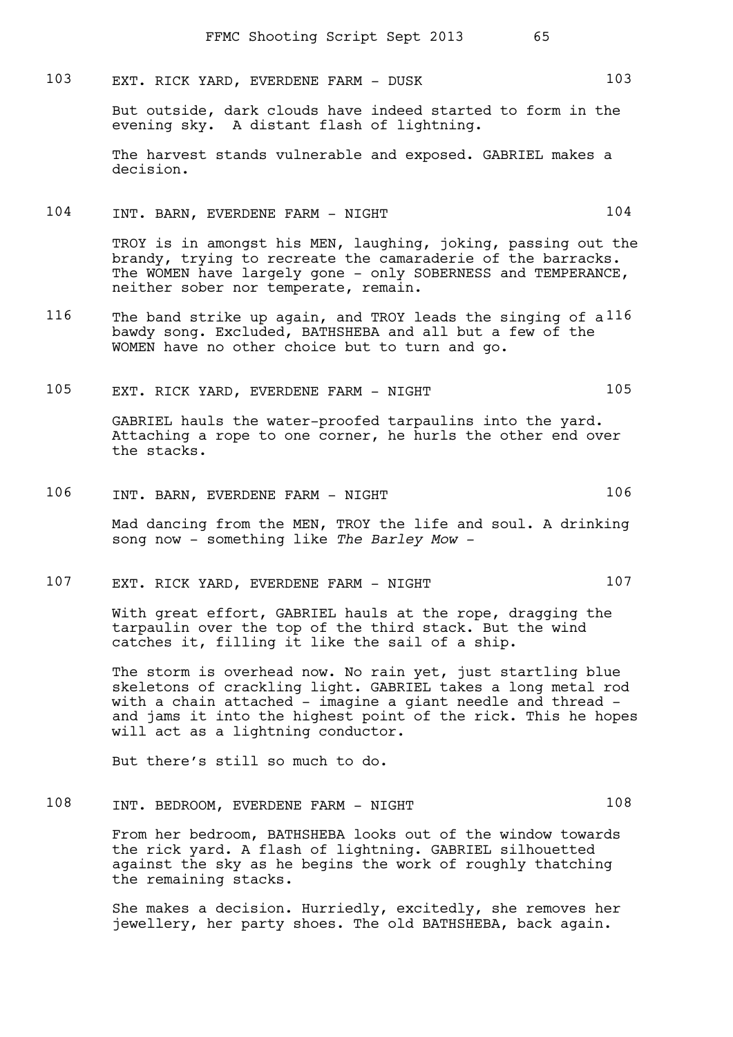103 EXT. RICK YARD, EVERDENE FARM - DUSK 103

But outside, dark clouds have indeed started to form in the evening sky. A distant flash of lightning.

The harvest stands vulnerable and exposed. GABRIEL makes a decision.

### 104 INT. BARN, EVERDENE FARM - NIGHT 104

TROY is in amongst his MEN, laughing, joking, passing out the brandy, trying to recreate the camaraderie of the barracks. The WOMEN have largely gone - only SOBERNESS and TEMPERANCE, neither sober nor temperate, remain.

116 The band strike up again, and TROY leads the singing of a 116 bawdy song. Excluded, BATHSHEBA and all but a few of the WOMEN have no other choice but to turn and go.

# 105 EXT. RICK YARD, EVERDENE FARM - NIGHT 105

GABRIEL hauls the water-proofed tarpaulins into the yard. Attaching a rope to one corner, he hurls the other end over the stacks.

106 INT. BARN, EVERDENE FARM - NIGHT 106

Mad dancing from the MEN, TROY the life and soul. A drinking song now - something like *The Barley Mow -* 

107 EXT. RICK YARD, EVERDENE FARM - NIGHT 107

With great effort, GABRIEL hauls at the rope, dragging the tarpaulin over the top of the third stack. But the wind catches it, filling it like the sail of a ship.

The storm is overhead now. No rain yet, just startling blue skeletons of crackling light. GABRIEL takes a long metal rod with a chain attached - imagine a giant needle and thread and jams it into the highest point of the rick. This he hopes will act as a lightning conductor.

But there's still so much to do.

108 INT. BEDROOM, EVERDENE FARM - NIGHT 108

From her bedroom, BATHSHEBA looks out of the window towards the rick yard. A flash of lightning. GABRIEL silhouetted against the sky as he begins the work of roughly thatching the remaining stacks.

She makes a decision. Hurriedly, excitedly, she removes her jewellery, her party shoes. The old BATHSHEBA, back again.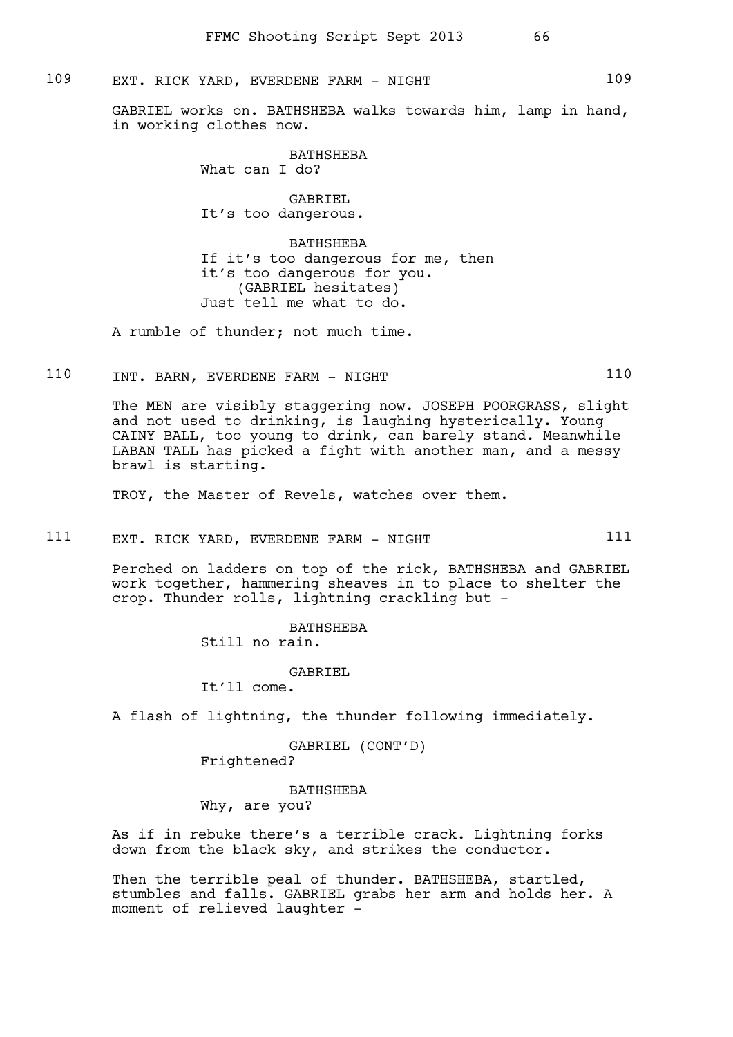### 109 EXT. RICK YARD, EVERDENE FARM - NIGHT 109

GABRIEL works on. BATHSHEBA walks towards him, lamp in hand, in working clothes now.

> BATHSHEBA What can I do?

> GABRIEL It's too dangerous.

BATHSHEBA If it's too dangerous for me, then it's too dangerous for you. (GABRIEL hesitates) Just tell me what to do.

A rumble of thunder; not much time.

110 INT. BARN, EVERDENE FARM - NIGHT 110

The MEN are visibly staggering now. JOSEPH POORGRASS, slight and not used to drinking, is laughing hysterically. Young CAINY BALL, too young to drink, can barely stand. Meanwhile LABAN TALL has picked a fight with another man, and a messy brawl is starting.

TROY, the Master of Revels, watches over them.

111 EXT. RICK YARD, EVERDENE FARM - NIGHT 111

Perched on ladders on top of the rick, BATHSHEBA and GABRIEL work together, hammering sheaves in to place to shelter the crop. Thunder rolls, lightning crackling but -

> BATHSHEBA Still no rain.

GABRIEL It'll come.

A flash of lightning, the thunder following immediately.

GABRIEL (CONT'D) Frightened?

BATHSHEBA Why, are you?

As if in rebuke there's a terrible crack. Lightning forks down from the black sky, and strikes the conductor.

Then the terrible peal of thunder. BATHSHEBA, startled, stumbles and falls. GABRIEL grabs her arm and holds her. A moment of relieved laughter -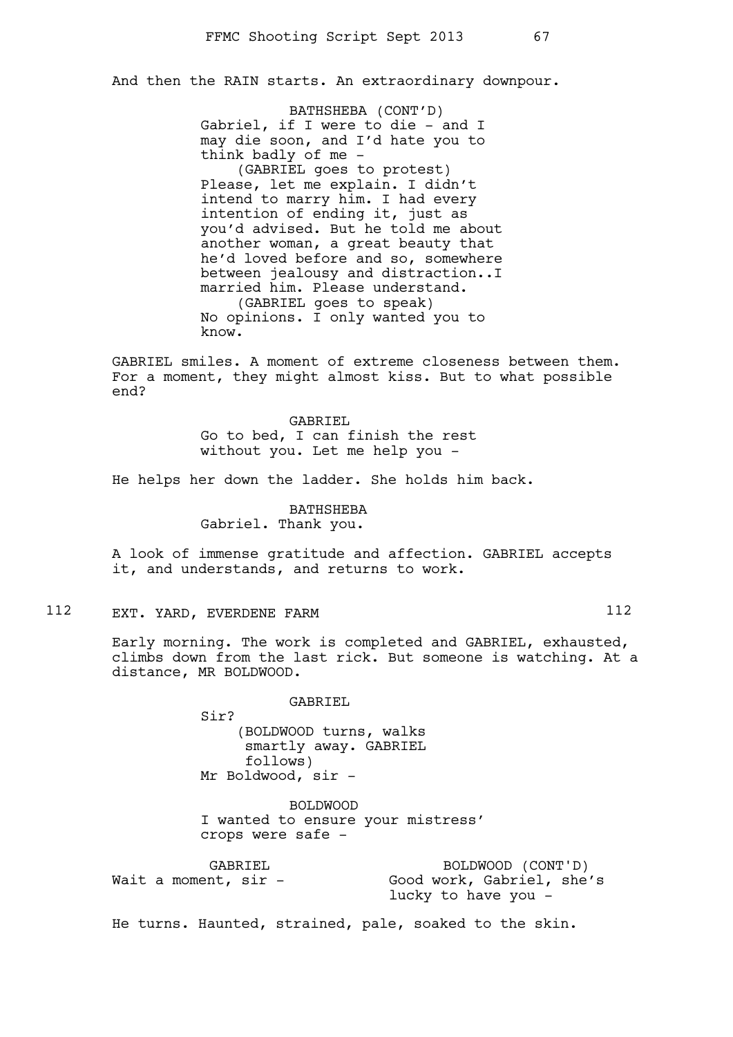And then the RAIN starts. An extraordinary downpour.

BATHSHEBA (CONT'D) Gabriel, if I were to die - and I may die soon, and I'd hate you to think badly of me - (GABRIEL goes to protest) Please, let me explain. I didn't intend to marry him. I had every intention of ending it, just as you'd advised. But he told me about another woman, a great beauty that he'd loved before and so, somewhere between jealousy and distraction..I married him. Please understand. (GABRIEL goes to speak) No opinions. I only wanted you to know.

GABRIEL smiles. A moment of extreme closeness between them. For a moment, they might almost kiss. But to what possible end?

> GABRIEL Go to bed, I can finish the rest without you. Let me help you -

He helps her down the ladder. She holds him back.

BATHSHEBA Gabriel. Thank you.

A look of immense gratitude and affection. GABRIEL accepts it, and understands, and returns to work.

### 112 EXT. YARD, EVERDENE FARM 112

Early morning. The work is completed and GABRIEL, exhausted, climbs down from the last rick. But someone is watching. At a distance, MR BOLDWOOD.

GABRIEL

Sir? (BOLDWOOD turns, walks smartly away. GABRIEL follows) Mr Boldwood, sir -

GABRIEL

Wait a moment, sir -

BOLDWOOD I wanted to ensure your mistress' crops were safe -

> BOLDWOOD (CONT'D) Good work, Gabriel, she's lucky to have you -

He turns. Haunted, strained, pale, soaked to the skin.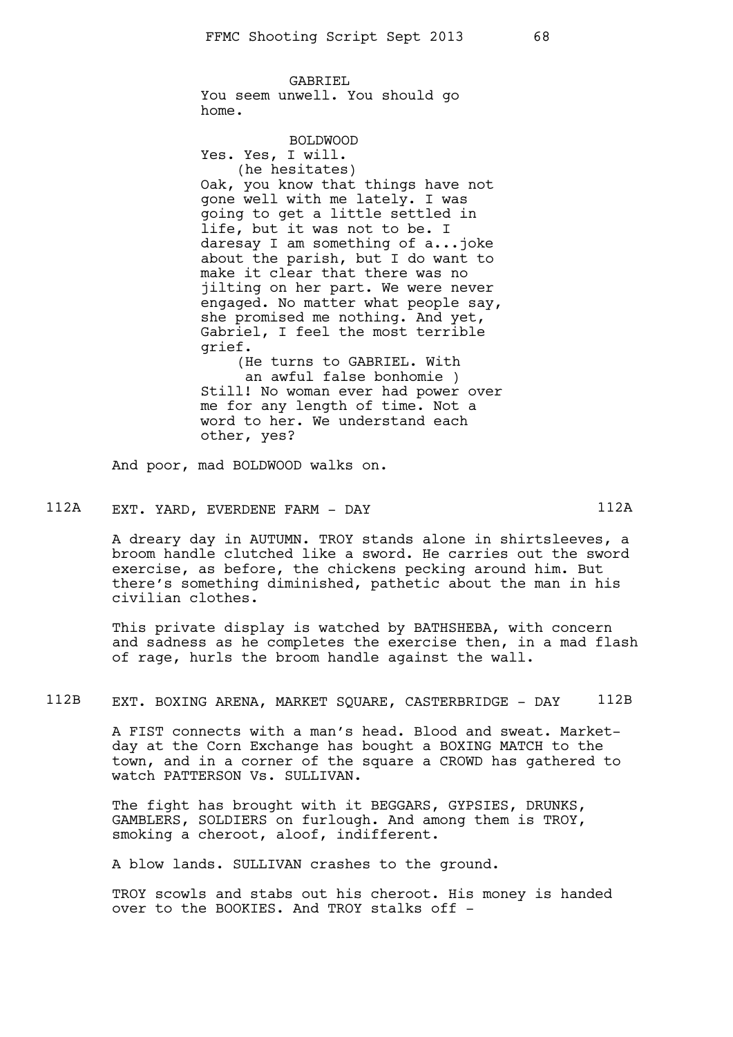GABRIEL You seem unwell. You should go home.

BOLDWOOD Yes. Yes, I will. (he hesitates) Oak, you know that things have not gone well with me lately. I was going to get a little settled in life, but it was not to be. I daresay I am something of a...joke about the parish, but I do want to make it clear that there was no jilting on her part. We were never engaged. No matter what people say, she promised me nothing. And yet, Gabriel, I feel the most terrible grief. (He turns to GABRIEL. With an awful false bonhomie )

Still! No woman ever had power over me for any length of time. Not a word to her. We understand each other, yes?

And poor, mad BOLDWOOD walks on.

# 112A EXT. YARD, EVERDENE FARM - DAY 112A

A dreary day in AUTUMN. TROY stands alone in shirtsleeves, a broom handle clutched like a sword. He carries out the sword exercise, as before, the chickens pecking around him. But there's something diminished, pathetic about the man in his civilian clothes.

This private display is watched by BATHSHEBA, with concern and sadness as he completes the exercise then, in a mad flash of rage, hurls the broom handle against the wall.

### 112B EXT. BOXING ARENA, MARKET SQUARE, CASTERBRIDGE - DAY 112B

A FIST connects with a man's head. Blood and sweat. Marketday at the Corn Exchange has bought a BOXING MATCH to the town, and in a corner of the square a CROWD has gathered to watch PATTERSON Vs. SULLIVAN.

The fight has brought with it BEGGARS, GYPSIES, DRUNKS, GAMBLERS, SOLDIERS on furlough. And among them is TROY, smoking a cheroot, aloof, indifferent.

A blow lands. SULLIVAN crashes to the ground.

TROY scowls and stabs out his cheroot. His money is handed over to the BOOKIES. And TROY stalks off -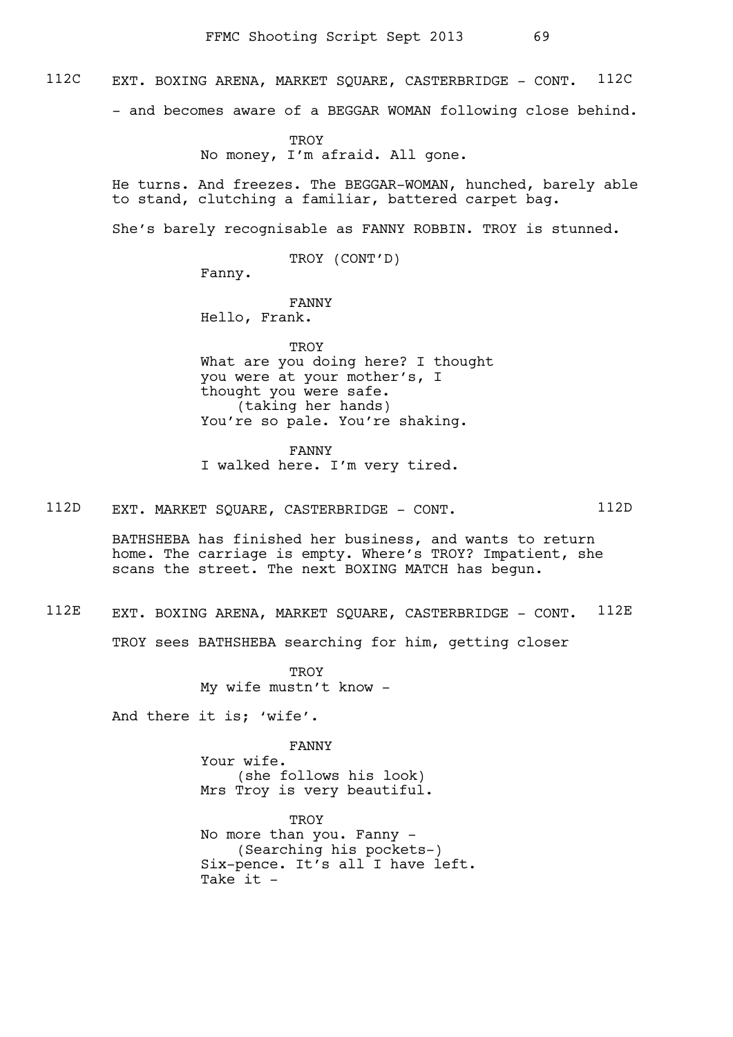112C EXT. BOXING ARENA, MARKET SOUARE, CASTERBRIDGE - CONT. 112C

- and becomes aware of a BEGGAR WOMAN following close behind.

TROY No money, I'm afraid. All gone.

He turns. And freezes. The BEGGAR-WOMAN, hunched, barely able to stand, clutching a familiar, battered carpet bag.

She's barely recognisable as FANNY ROBBIN. TROY is stunned.

TROY (CONT'D)

Fanny.

FANNY Hello, Frank.

**TROY** What are you doing here? I thought you were at your mother's, I thought you were safe. (taking her hands) You're so pale. You're shaking.

FANNY I walked here. I'm very tired.

112D EXT. MARKET SQUARE, CASTERBRIDGE - CONT. 112D

BATHSHEBA has finished her business, and wants to return home. The carriage is empty. Where's TROY? Impatient, she scans the street. The next BOXING MATCH has begun.

### 112E EXT. BOXING ARENA, MARKET SQUARE, CASTERBRIDGE - CONT. 112E

TROY sees BATHSHEBA searching for him, getting closer

TROY My wife mustn't know -

And there it is; 'wife'.

FANNY Your wife. (she follows his look) Mrs Troy is very beautiful.

**TROY** No more than you. Fanny - (Searching his pockets-) Six-pence. It's all I have left. Take it -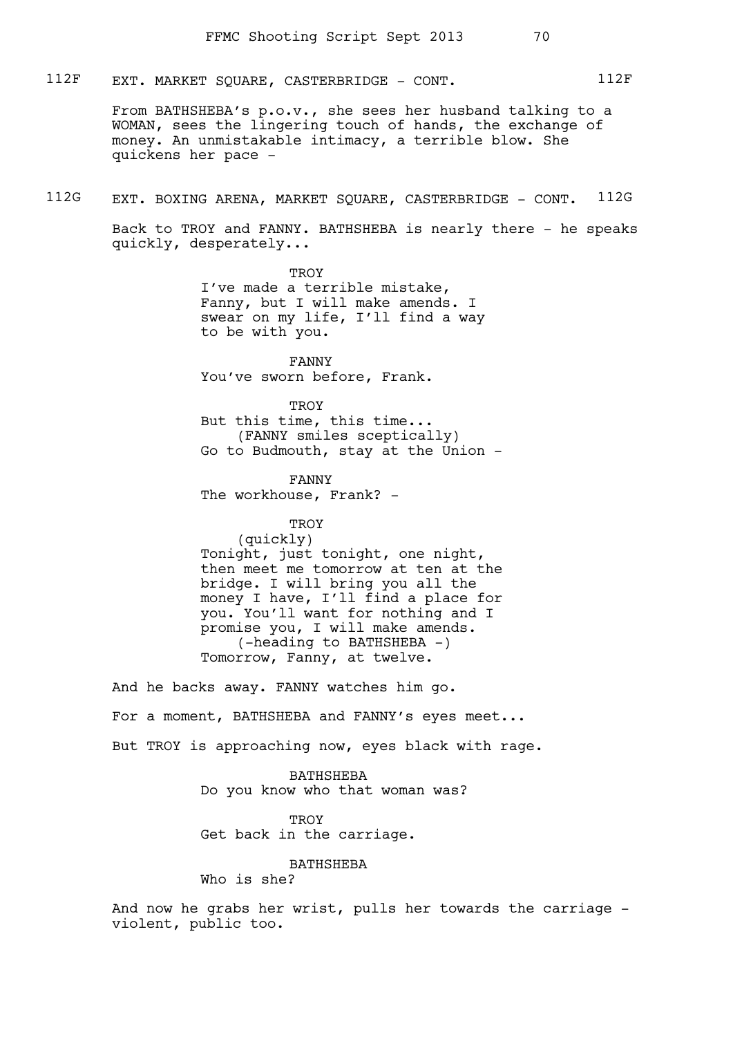112F EXT. MARKET SQUARE, CASTERBRIDGE - CONT. 112F

From BATHSHEBA's p.o.v., she sees her husband talking to a WOMAN, sees the lingering touch of hands, the exchange of money. An unmistakable intimacy, a terrible blow. She quickens her pace -

112G EXT. BOXING ARENA, MARKET SQUARE, CASTERBRIDGE - CONT. 112G

Back to TROY and FANNY. BATHSHEBA is nearly there - he speaks quickly, desperately...

> **TROY** I've made a terrible mistake, Fanny, but I will make amends. I swear on my life, I'll find a way to be with you.

FANNY You've sworn before, Frank.

TROY But this time, this time... (FANNY smiles sceptically) Go to Budmouth, stay at the Union -

FANNY The workhouse, Frank? -

**TROY** 

(quickly) Tonight, just tonight, one night, then meet me tomorrow at ten at the bridge. I will bring you all the money I have, I'll find a place for you. You'll want for nothing and I promise you, I will make amends. (-heading to BATHSHEBA -) Tomorrow, Fanny, at twelve.

And he backs away. FANNY watches him go. For a moment, BATHSHEBA and FANNY's eyes meet... But TROY is approaching now, eyes black with rage.

> BATHSHEBA Do you know who that woman was?

TROY

Get back in the carriage.

BATHSHEBA

Who is she?

And now he grabs her wrist, pulls her towards the carriage violent, public too.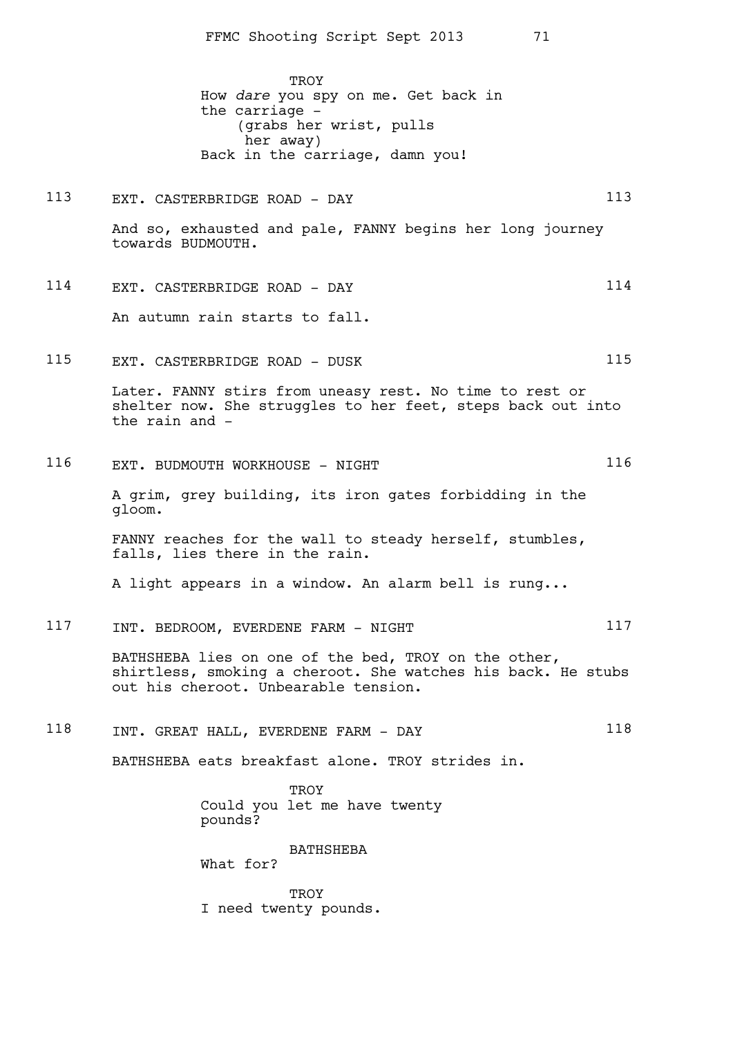TROY How *dare* you spy on me. Get back in the carriage - (grabs her wrist, pulls her away) Back in the carriage, damn you!

113 EXT. CASTERBRIDGE ROAD - DAY 113 And so, exhausted and pale, FANNY begins her long journey towards BUDMOUTH.

114 EXT. CASTERBRIDGE ROAD - DAY 114 An autumn rain starts to fall.

115 EXT. CASTERBRIDGE ROAD - DUSK 115

Later. FANNY stirs from uneasy rest. No time to rest or shelter now. She struggles to her feet, steps back out into the rain and -

116 EXT. BUDMOUTH WORKHOUSE - NIGHT

A grim, grey building, its iron gates forbidding in the gloom.

FANNY reaches for the wall to steady herself, stumbles, falls, lies there in the rain.

A light appears in a window. An alarm bell is rung...

117 INT. BEDROOM, EVERDENE FARM - NIGHT

BATHSHEBA lies on one of the bed, TROY on the other, shirtless, smoking a cheroot. She watches his back. He stubs out his cheroot. Unbearable tension.

118 INT. GREAT HALL, EVERDENE FARM - DAY 118

BATHSHEBA eats breakfast alone. TROY strides in.

**TROY** Could you let me have twenty pounds?

BATHSHEBA

What for?

**TROY** I need twenty pounds.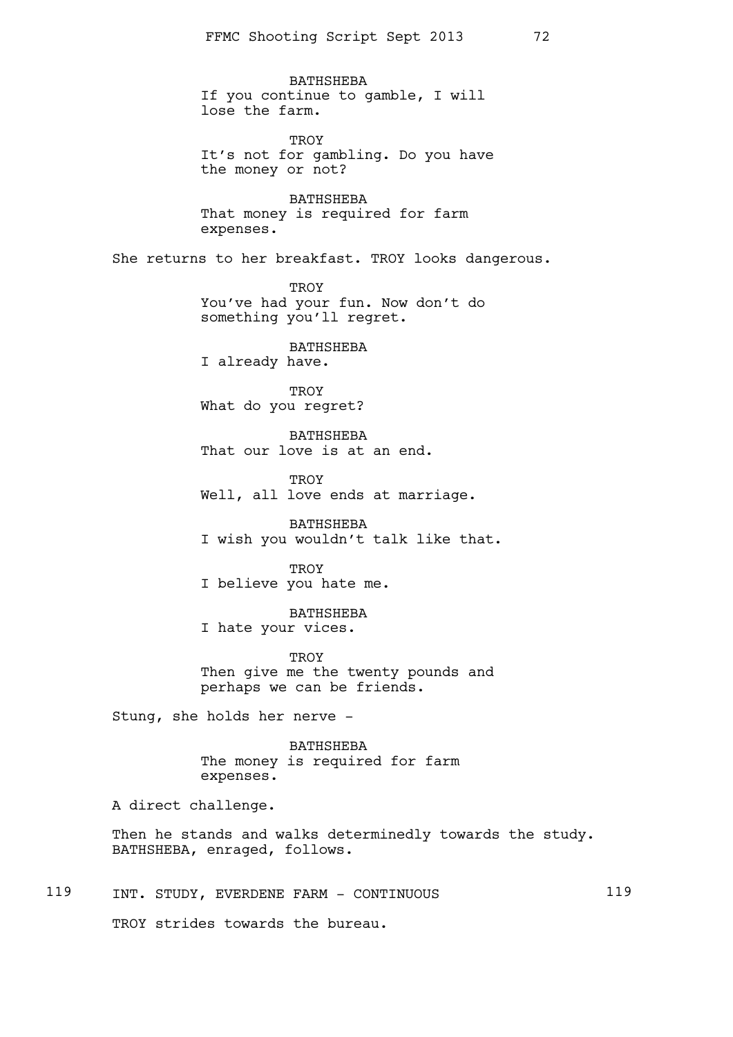BATHSHEBA If you continue to gamble, I will lose the farm.

**TROY** It's not for gambling. Do you have the money or not?

BATHSHEBA That money is required for farm expenses.

She returns to her breakfast. TROY looks dangerous.

TROY You've had your fun. Now don't do something you'll regret.

BATHSHEBA I already have.

TROY What do you regret?

BATHSHEBA That our love is at an end.

**TROY** Well, all love ends at marriage.

BATHSHEBA I wish you wouldn't talk like that.

TROY I believe you hate me.

BATHSHEBA I hate your vices.

**TROY** Then give me the twenty pounds and perhaps we can be friends.

Stung, she holds her nerve -

BATHSHEBA The money is required for farm expenses.

A direct challenge.

Then he stands and walks determinedly towards the study. BATHSHEBA, enraged, follows.

119 INT. STUDY, EVERDENE FARM - CONTINUOUS 119

TROY strides towards the bureau.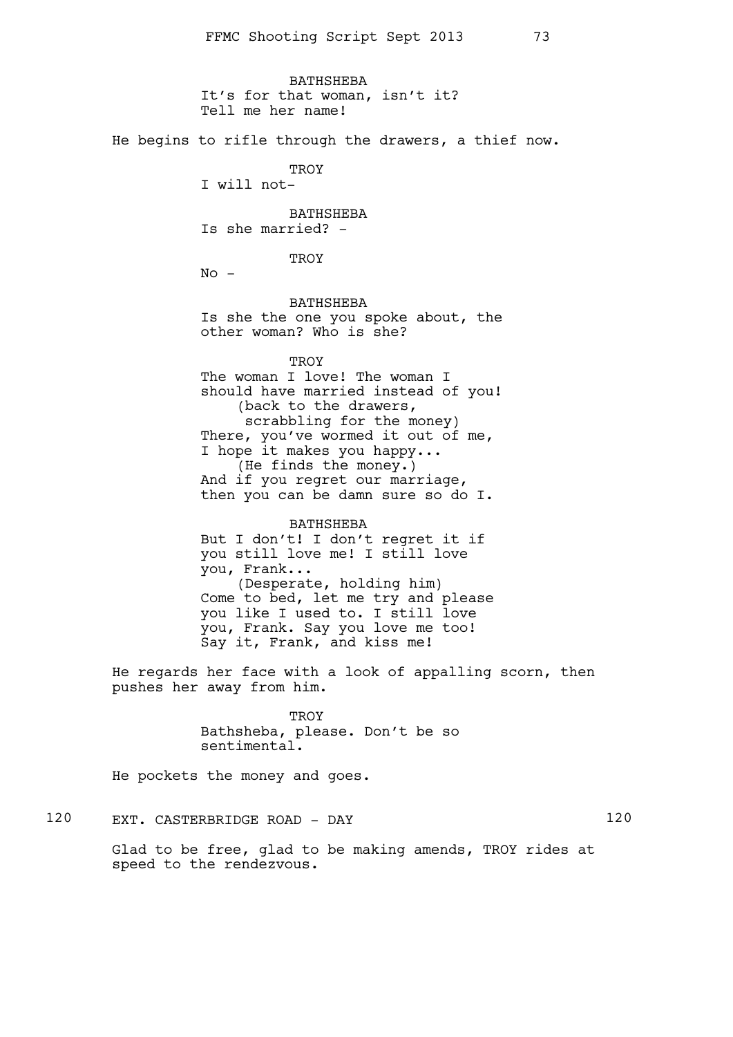BATHSHEBA It's for that woman, isn't it? Tell me her name! He begins to rifle through the drawers, a thief now. **TROY** I will not-BATHSHEBA Is she married? - TROY  $No -$ BATHSHEBA Is she the one you spoke about, the other woman? Who is she? **TROY** The woman I love! The woman I should have married instead of you! (back to the drawers, scrabbling for the money) There, you've wormed it out of me, I hope it makes you happy... (He finds the money.) And if you regret our marriage, then you can be damn sure so do I. BATHSHEBA But I don't! I don't regret it if you still love me! I still love you, Frank... (Desperate, holding him) Come to bed, let me try and please you like I used to. I still love you, Frank. Say you love me too! Say it, Frank, and kiss me! He regards her face with a look of appalling scorn, then pushes her away from him.

**TROY** Bathsheba, please. Don't be so sentimental.

He pockets the money and goes.

120 EXT. CASTERBRIDGE ROAD - DAY 120

Glad to be free, glad to be making amends, TROY rides at speed to the rendezvous.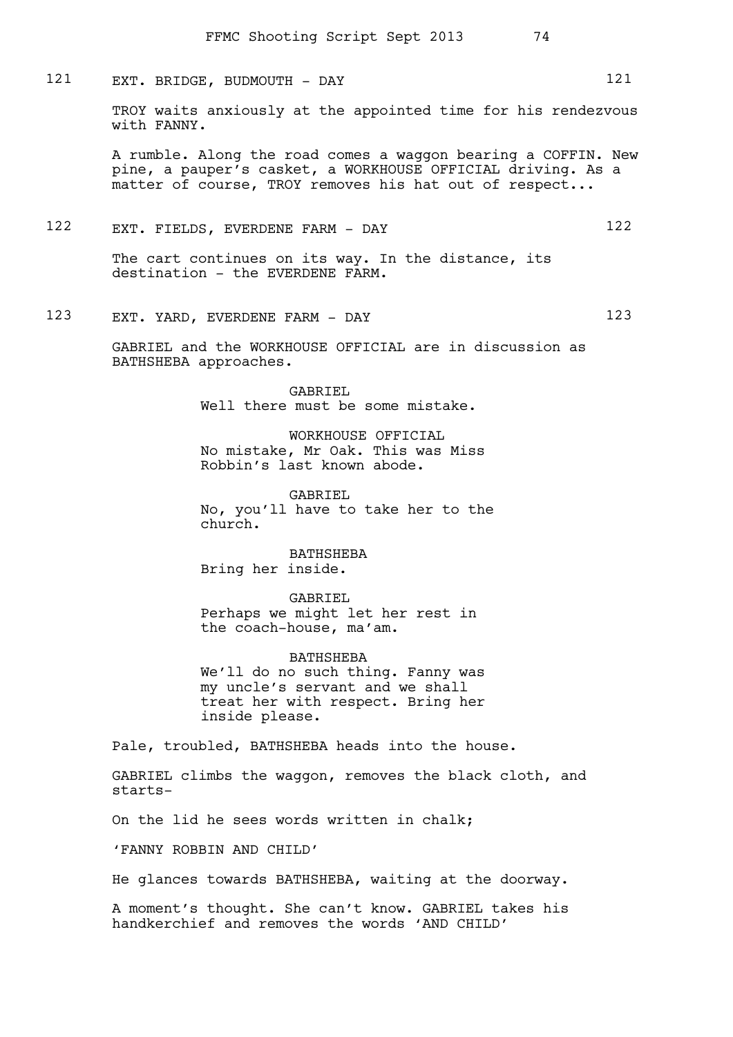121 EXT. BRIDGE, BUDMOUTH - DAY 121

TROY waits anxiously at the appointed time for his rendezvous with FANNY.

A rumble. Along the road comes a waggon bearing a COFFIN. New pine, a pauper's casket, a WORKHOUSE OFFICIAL driving. As a matter of course, TROY removes his hat out of respect...

122 EXT. FIELDS, EVERDENE FARM - DAY 122

The cart continues on its way. In the distance, its destination - the EVERDENE FARM.

123 EXT. YARD, EVERDENE FARM - DAY 123

GABRIEL and the WORKHOUSE OFFICIAL are in discussion as BATHSHEBA approaches.

> GABRIEL Well there must be some mistake.

WORKHOUSE OFFICIAL No mistake, Mr Oak. This was Miss Robbin's last known abode.

GABRIEL No, you'll have to take her to the church.

BATHSHEBA Bring her inside.

GABRIEL

Perhaps we might let her rest in the coach-house, ma'am.

BATHSHEBA We'll do no such thing. Fanny was my uncle's servant and we shall treat her with respect. Bring her inside please.

Pale, troubled, BATHSHEBA heads into the house.

GABRIEL climbs the waggon, removes the black cloth, and starts-

On the lid he sees words written in chalk;

'FANNY ROBBIN AND CHILD'

He glances towards BATHSHEBA, waiting at the doorway.

A moment's thought. She can't know. GABRIEL takes his handkerchief and removes the words 'AND CHILD'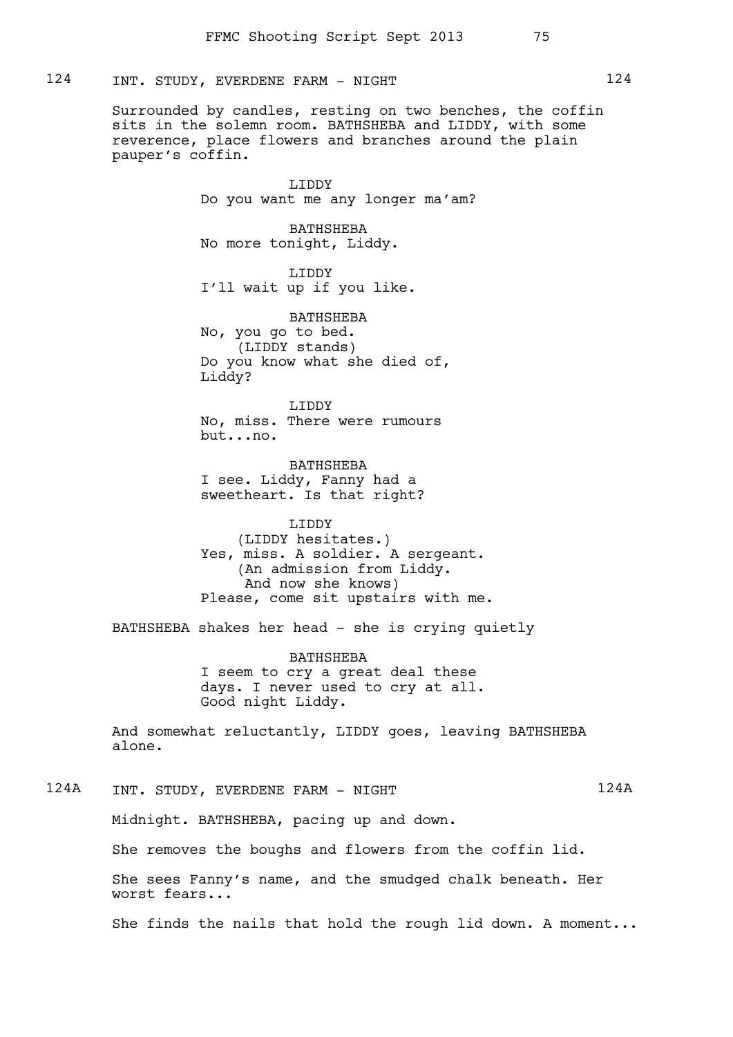## 124 INT. STUDY, EVERDENE FARM - NIGHT 124

Surrounded by candles, resting on two benches, the coffin sits in the solemn room. BATHSHEBA and LIDDY, with some reverence, place flowers and branches around the plain pauper's coffin.

> LIDDY Do you want me any longer ma'am?

BATHSHEBA No more tonight, Liddy.

LIDDY I'll wait up if you like.

BATHSHEBA No, you go to bed. (LIDDY stands) Do you know what she died of, Liddy?

LIDDY No, miss. There were rumours but...no.

BATHSHEBA I see. Liddy, Fanny had a sweetheart. Is that right?

LIDDY (LIDDY hesitates.) Yes, miss. A soldier. A sergeant. (An admission from Liddy. And now she knows) Please, come sit upstairs with me.

BATHSHEBA shakes her head - she is crying quietly

BATHSHEBA I seem to cry a great deal these days. I never used to cry at all. Good night Liddy.

And somewhat reluctantly, LIDDY goes, leaving BATHSHEBA alone.

124A INT. STUDY, EVERDENE FARM - NIGHT 124A

Midnight. BATHSHEBA, pacing up and down.

She removes the boughs and flowers from the coffin lid.

She sees Fanny's name, and the smudged chalk beneath. Her worst fears...

She finds the nails that hold the rough lid down. A moment...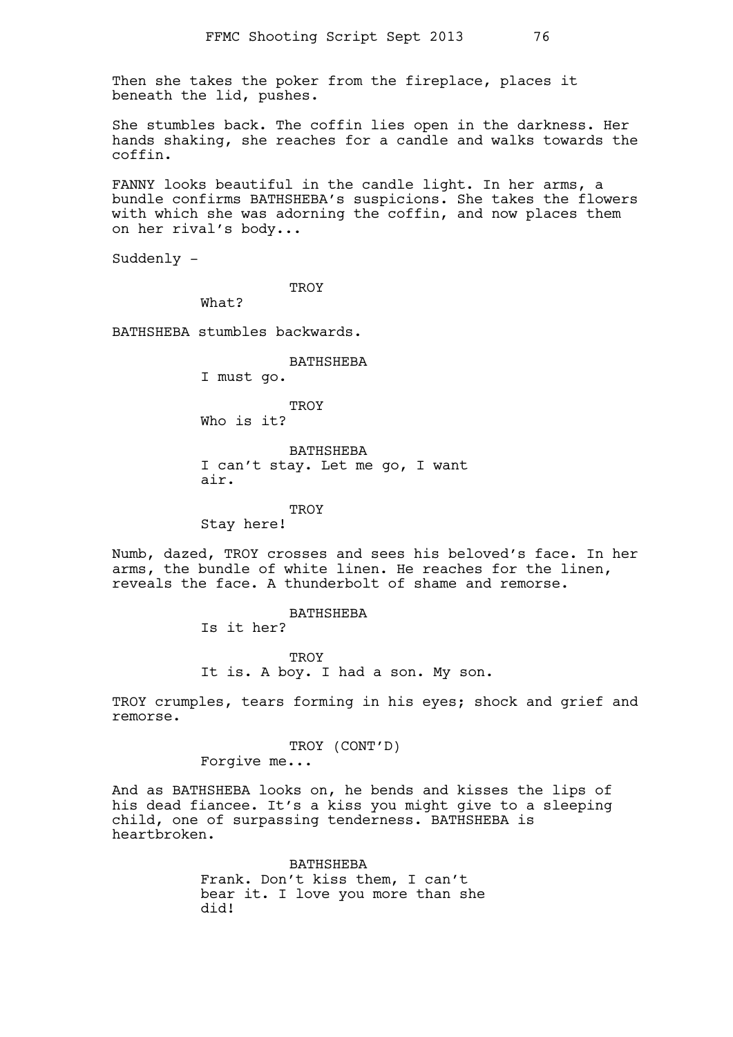Then she takes the poker from the fireplace, places it beneath the lid, pushes.

She stumbles back. The coffin lies open in the darkness. Her hands shaking, she reaches for a candle and walks towards the coffin.

FANNY looks beautiful in the candle light. In her arms, a bundle confirms BATHSHEBA's suspicions. She takes the flowers with which she was adorning the coffin, and now places them on her rival's body...

Suddenly -

**TROY** 

What?

BATHSHEBA stumbles backwards.

#### BATHSHEBA

I must go.

TROY Who is it?

BATHSHEBA I can't stay. Let me go, I want air.

#### **TROY**

Stay here!

Numb, dazed, TROY crosses and sees his beloved's face. In her arms, the bundle of white linen. He reaches for the linen, reveals the face. A thunderbolt of shame and remorse.

BATHSHEBA

Is it her?

**TROY** It is. A boy. I had a son. My son.

TROY crumples, tears forming in his eyes; shock and grief and remorse.

TROY (CONT'D)

Forgive me...

And as BATHSHEBA looks on, he bends and kisses the lips of his dead fiancee. It's a kiss you might give to a sleeping child, one of surpassing tenderness. BATHSHEBA is heartbroken.

> BATHSHEBA Frank. Don't kiss them, I can't bear it. I love you more than she did!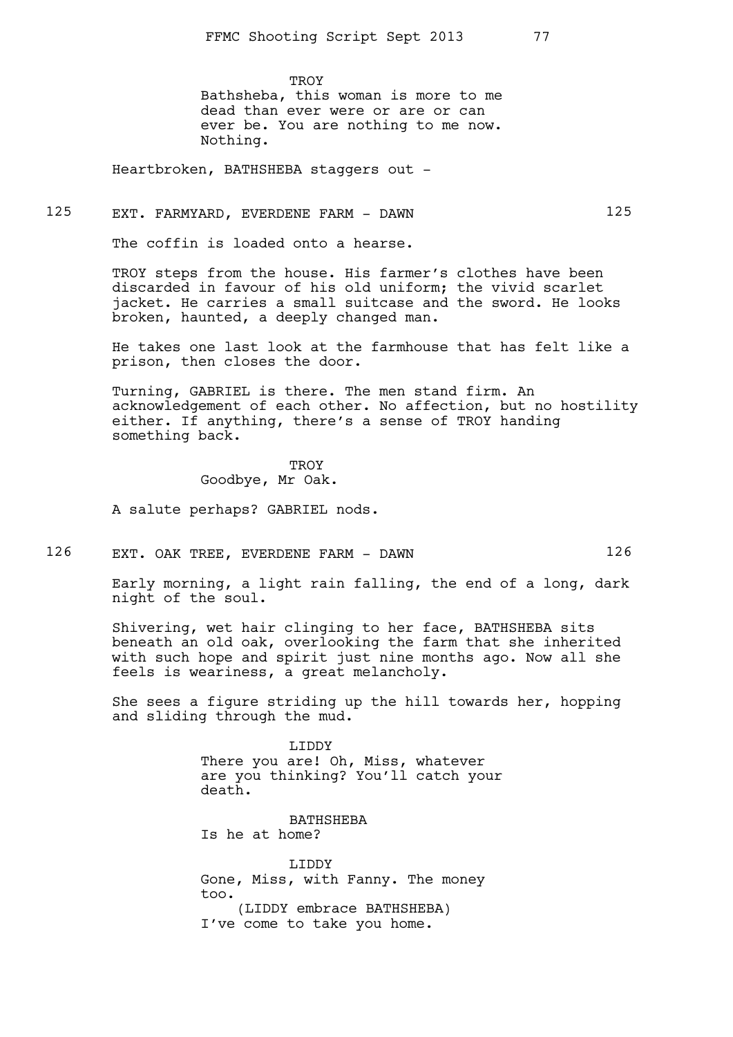**TROY** Bathsheba, this woman is more to me dead than ever were or are or can ever be. You are nothing to me now. Nothing.

Heartbroken, BATHSHEBA staggers out -

## 125 EXT. FARMYARD, EVERDENE FARM - DAWN

The coffin is loaded onto a hearse.

TROY steps from the house. His farmer's clothes have been discarded in favour of his old uniform; the vivid scarlet jacket. He carries a small suitcase and the sword. He looks broken, haunted, a deeply changed man.

He takes one last look at the farmhouse that has felt like a prison, then closes the door.

Turning, GABRIEL is there. The men stand firm. An acknowledgement of each other. No affection, but no hostility either. If anything, there's a sense of TROY handing something back.

> TROY Goodbye, Mr Oak.

A salute perhaps? GABRIEL nods.

126 EXT. OAK TREE, EVERDENE FARM - DAWN 126

Early morning, a light rain falling, the end of a long, dark night of the soul.

Shivering, wet hair clinging to her face, BATHSHEBA sits beneath an old oak, overlooking the farm that she inherited with such hope and spirit just nine months ago. Now all she feels is weariness, a great melancholy.

She sees a figure striding up the hill towards her, hopping and sliding through the mud.

> LIDDY There you are! Oh, Miss, whatever are you thinking? You'll catch your death.

**BATHSHEBA** Is he at home?

LIDDY Gone, Miss, with Fanny. The money too. (LIDDY embrace BATHSHEBA) I've come to take you home.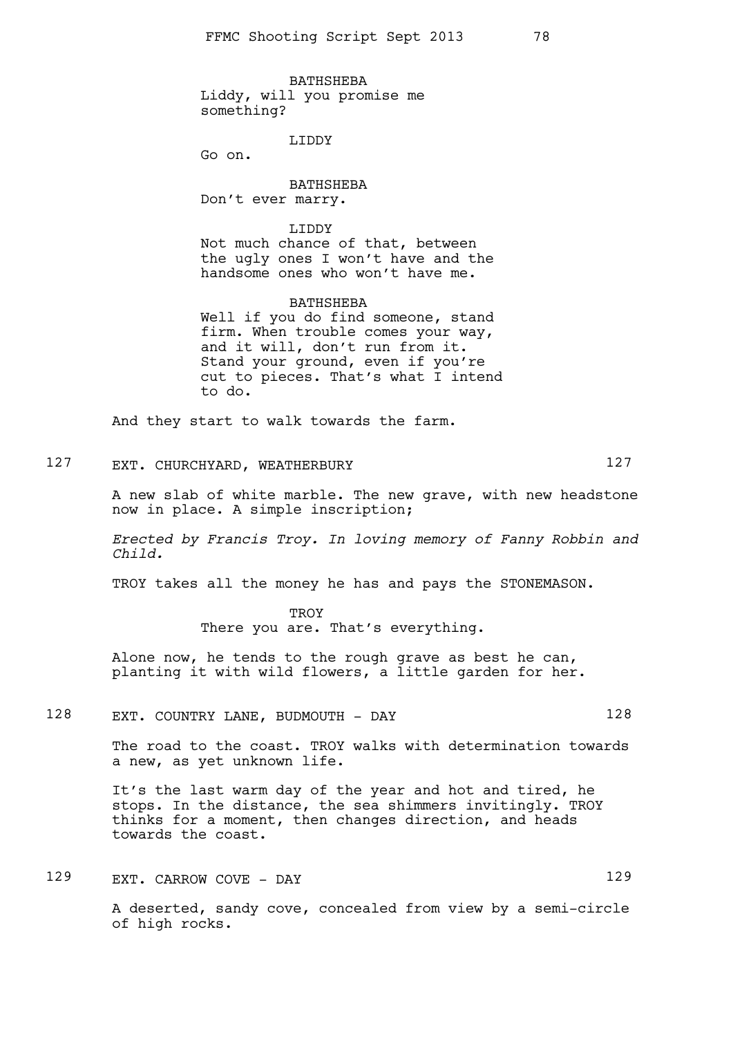BATHSHEBA Liddy, will you promise me something?

LIDDY

Go on.

BATHSHEBA Don't ever marry.

LIDDY Not much chance of that, between the ugly ones I won't have and the handsome ones who won't have me.

BATHSHEBA Well if you do find someone, stand firm. When trouble comes your way, and it will, don't run from it. Stand your ground, even if you're cut to pieces. That's what I intend to do.

And they start to walk towards the farm.

127 EXT. CHURCHYARD, WEATHERBURY 127

A new slab of white marble. The new grave, with new headstone now in place. A simple inscription;

*Erected by Francis Troy. In loving memory of Fanny Robbin and Child.*

TROY takes all the money he has and pays the STONEMASON.

**TROY** There you are. That's everything.

Alone now, he tends to the rough grave as best he can, planting it with wild flowers, a little garden for her.

128 EXT. COUNTRY LANE, BUDMOUTH - DAY 128

The road to the coast. TROY walks with determination towards a new, as yet unknown life.

It's the last warm day of the year and hot and tired, he stops. In the distance, the sea shimmers invitingly. TROY thinks for a moment, then changes direction, and heads towards the coast.

129 EXT. CARROW COVE - DAY 129

A deserted, sandy cove, concealed from view by a semi-circle of high rocks.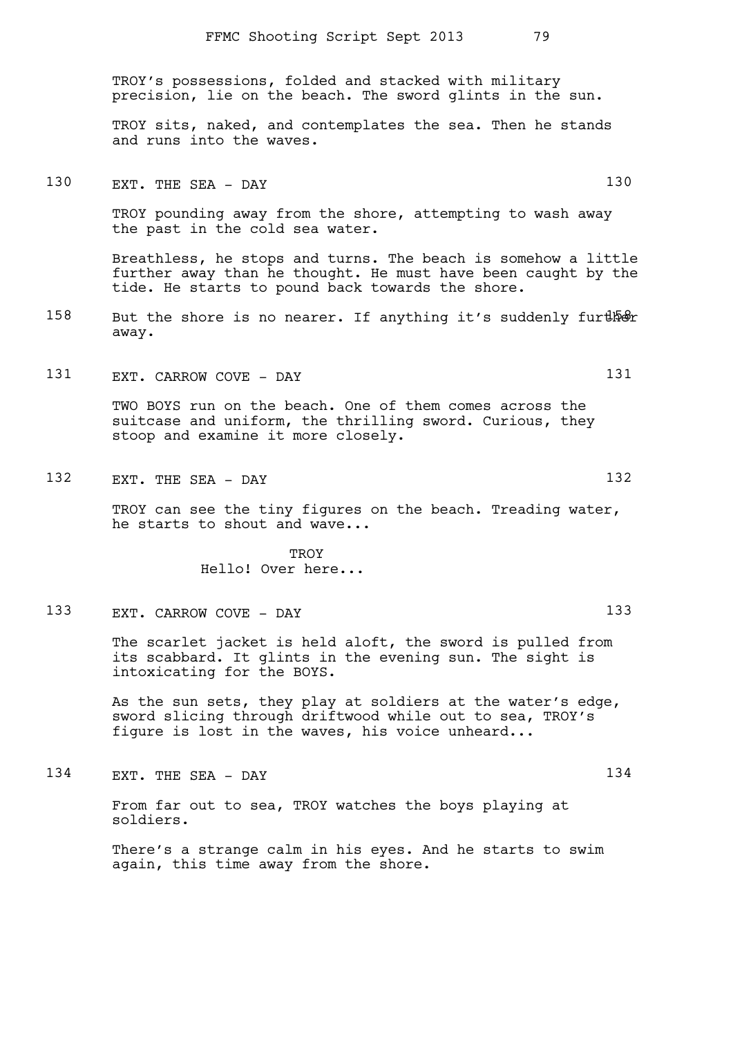TROY's possessions, folded and stacked with military precision, lie on the beach. The sword glints in the sun.

TROY sits, naked, and contemplates the sea. Then he stands and runs into the waves.

### 130 EXT. THE SEA - DAY 130

TROY pounding away from the shore, attempting to wash away the past in the cold sea water.

Breathless, he stops and turns. The beach is somehow a little further away than he thought. He must have been caught by the tide. He starts to pound back towards the shore.

- 158 But the shore is no nearer. If anything it's suddenly further away.
- 131 EXT. CARROW COVE DAY 131

TWO BOYS run on the beach. One of them comes across the suitcase and uniform, the thrilling sword. Curious, they stoop and examine it more closely.

132 EXT. THE SEA - DAY 132

TROY can see the tiny figures on the beach. Treading water, he starts to shout and wave...

> **TROY** Hello! Over here...

133 EXT. CARROW COVE - DAY 133

The scarlet jacket is held aloft, the sword is pulled from its scabbard. It glints in the evening sun. The sight is intoxicating for the BOYS.

As the sun sets, they play at soldiers at the water's edge, sword slicing through driftwood while out to sea, TROY's figure is lost in the waves, his voice unheard...

134 EXT. THE SEA - DAY

From far out to sea, TROY watches the boys playing at soldiers.

There's a strange calm in his eyes. And he starts to swim again, this time away from the shore.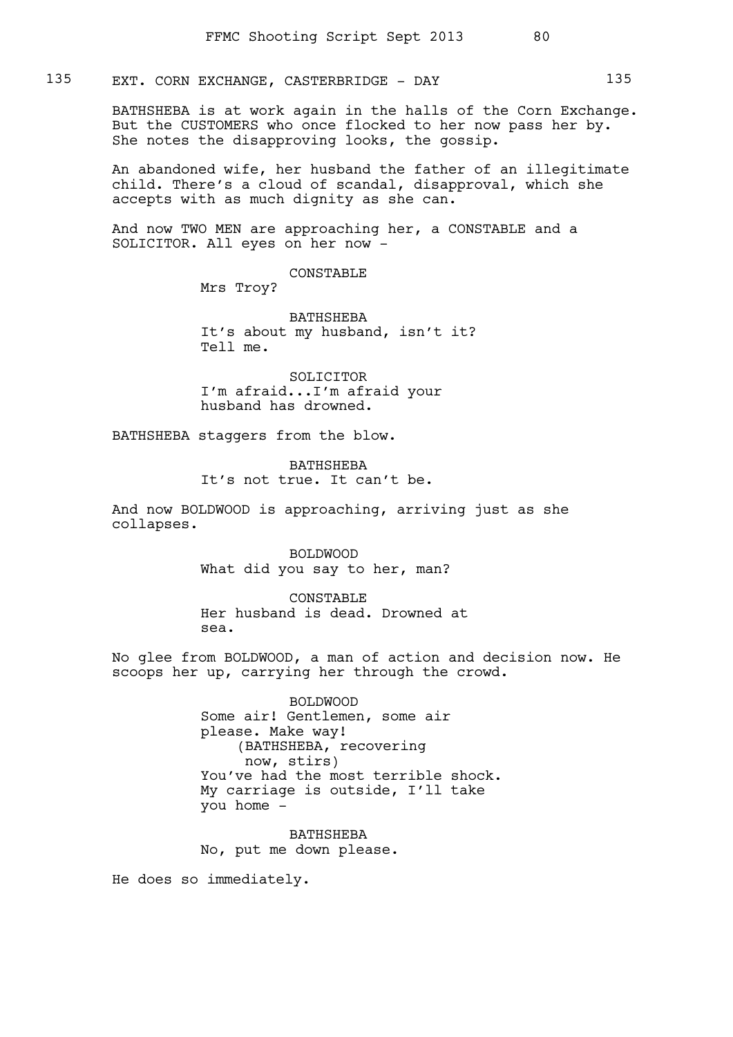## 135 EXT. CORN EXCHANGE, CASTERBRIDGE - DAY 135

BATHSHEBA is at work again in the halls of the Corn Exchange. But the CUSTOMERS who once flocked to her now pass her by. She notes the disapproving looks, the gossip.

An abandoned wife, her husband the father of an illegitimate child. There's a cloud of scandal, disapproval, which she accepts with as much dignity as she can.

And now TWO MEN are approaching her, a CONSTABLE and a SOLICITOR. All eyes on her now -

#### CONSTABLE

Mrs Troy?

BATHSHEBA It's about my husband, isn't it? Tell me.

SOLICITOR I'm afraid...I'm afraid your husband has drowned.

BATHSHEBA staggers from the blow.

BATHSHEBA It's not true. It can't be.

And now BOLDWOOD is approaching, arriving just as she collapses.

> BOLDWOOD What did you say to her, man?

CONSTABLE Her husband is dead. Drowned at sea.

No glee from BOLDWOOD, a man of action and decision now. He scoops her up, carrying her through the crowd.

> BOLDWOOD Some air! Gentlemen, some air please. Make way! (BATHSHEBA, recovering now, stirs) You've had the most terrible shock. My carriage is outside, I'll take you home -

BATHSHEBA No, put me down please.

He does so immediately.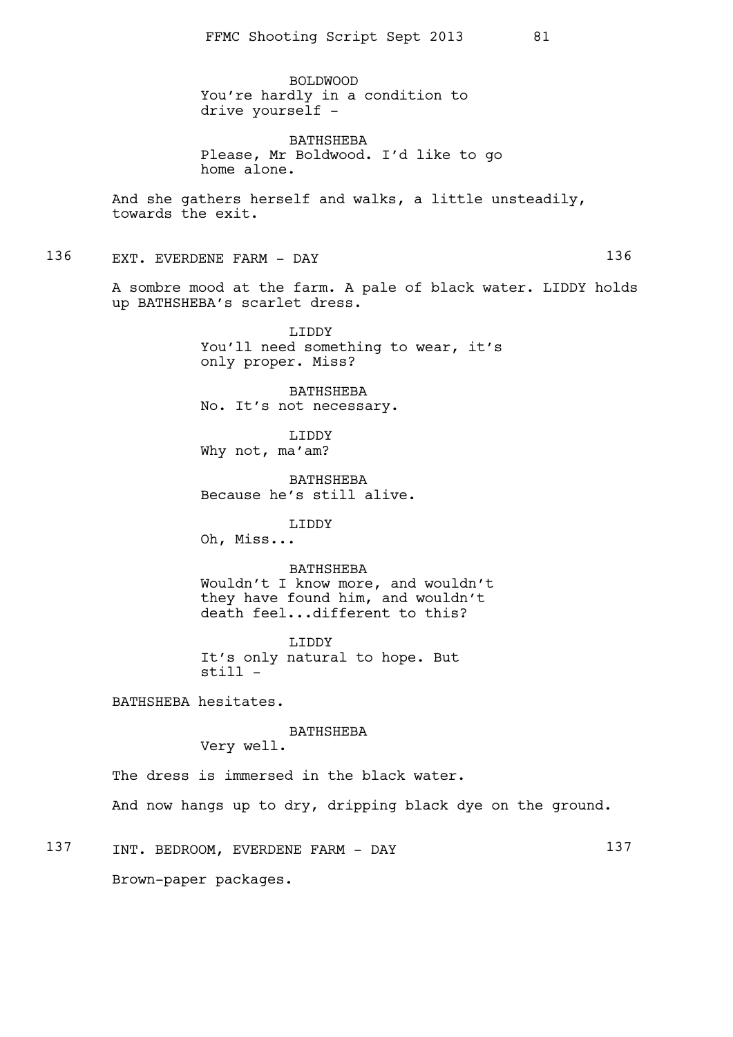BOLDWOOD You're hardly in a condition to drive yourself -

BATHSHEBA Please, Mr Boldwood. I'd like to go home alone.

And she gathers herself and walks, a little unsteadily, towards the exit.

136 EXT. EVERDENE FARM - DAY

A sombre mood at the farm. A pale of black water. LIDDY holds up BATHSHEBA's scarlet dress.

> LIDDY You'll need something to wear, it's only proper. Miss?

BATHSHEBA No. It's not necessary.

LIDDY Why not, ma'am?

BATHSHEBA Because he's still alive.

LIDDY

Oh, Miss...

BATHSHEBA

Wouldn't I know more, and wouldn't they have found him, and wouldn't death feel...different to this?

LIDDY It's only natural to hope. But still -

BATHSHEBA hesitates.

BATHSHEBA

Very well.

The dress is immersed in the black water. And now hangs up to dry, dripping black dye on the ground.

137 INT. BEDROOM, EVERDENE FARM - DAY 137 Brown-paper packages.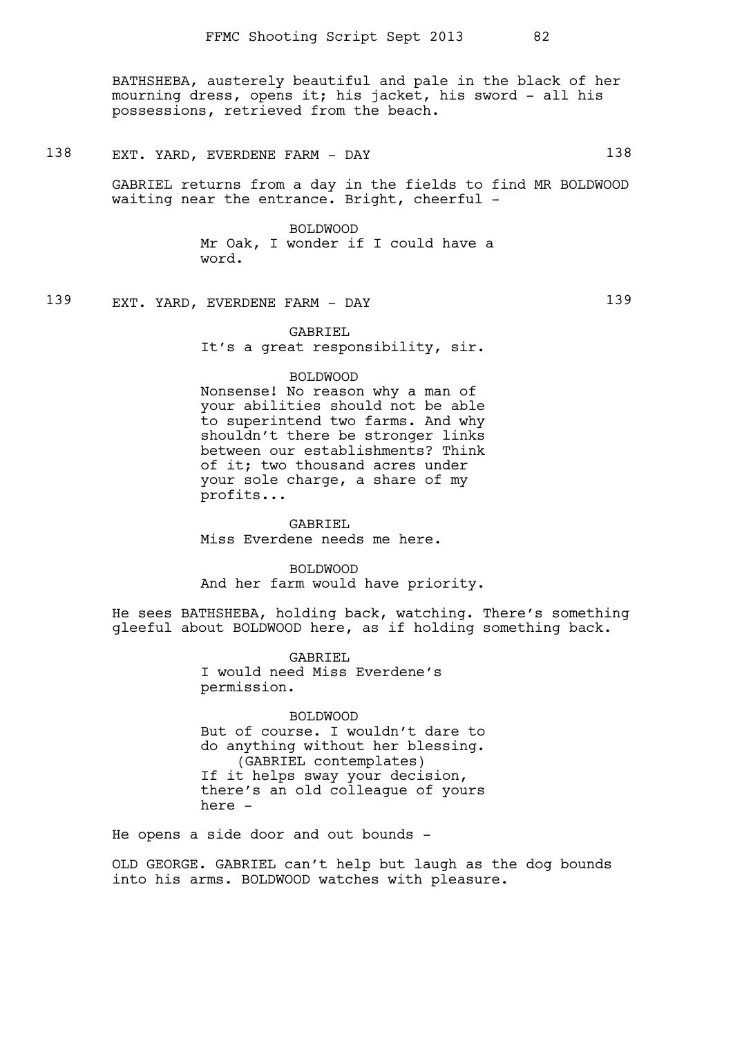BATHSHEBA, austerely beautiful and pale in the black of her mourning dress, opens it; his jacket, his sword - all his possessions, retrieved from the beach.

## 138 EXT. YARD, EVERDENE FARM - DAY 138

GABRIEL returns from a day in the fields to find MR BOLDWOOD waiting near the entrance. Bright, cheerful -

> BOLDWOOD Mr Oak, I wonder if I could have a word.

139 EXT. YARD, EVERDENE FARM - DAY 139

GABRIEL It's a great responsibility, sir.

### BOLDWOOD

Nonsense! No reason why a man of your abilities should not be able to superintend two farms. And why shouldn't there be stronger links between our establishments? Think of it; two thousand acres under your sole charge, a share of my profits...

GABRIEL Miss Everdene needs me here.

BOLDWOOD And her farm would have priority.

He sees BATHSHEBA, holding back, watching. There's something gleeful about BOLDWOOD here, as if holding something back.

> GABRIEL I would need Miss Everdene's permission.

BOLDWOOD But of course. I wouldn't dare to do anything without her blessing. (GABRIEL contemplates) If it helps sway your decision, there's an old colleague of yours here -

He opens a side door and out bounds -

OLD GEORGE. GABRIEL can't help but laugh as the dog bounds into his arms. BOLDWOOD watches with pleasure.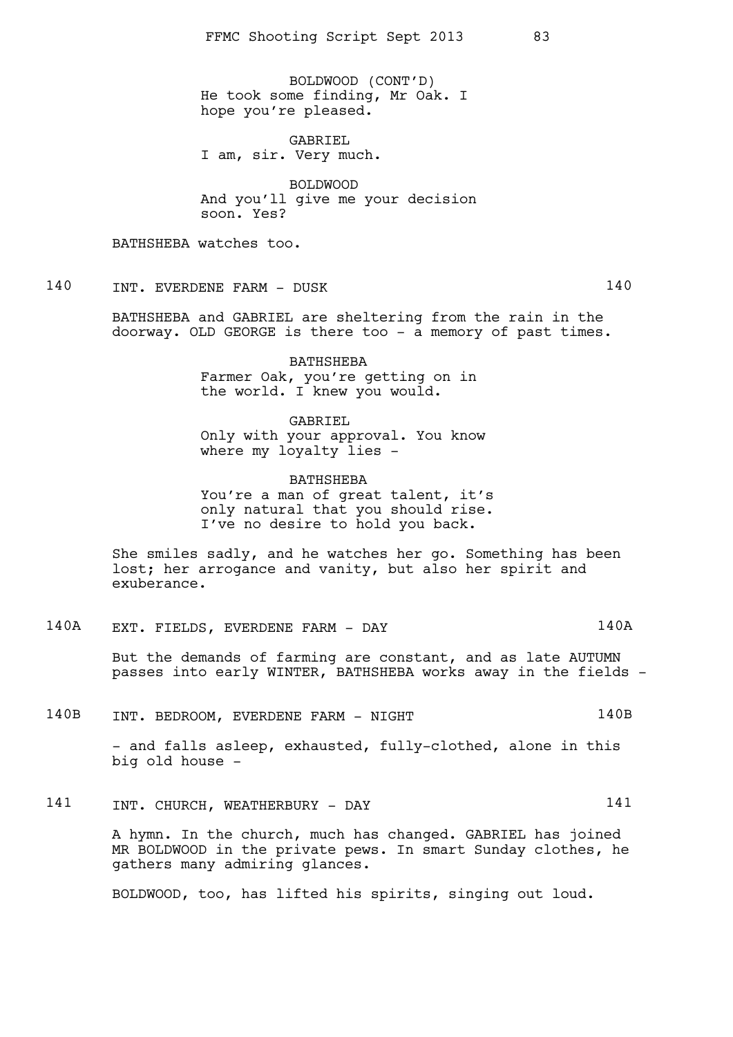BOLDWOOD (CONT'D) He took some finding, Mr Oak. I hope you're pleased.

GABRIEL I am, sir. Very much.

BOLDWOOD And you'll give me your decision soon. Yes?

BATHSHEBA watches too.

140 INT. EVERDENE FARM - DUSK 140

BATHSHEBA and GABRIEL are sheltering from the rain in the doorway. OLD GEORGE is there too - a memory of past times.

> BATHSHEBA Farmer Oak, you're getting on in the world. I knew you would.

GABRIEL Only with your approval. You know where my loyalty lies -

BATHSHEBA You're a man of great talent, it's only natural that you should rise. I've no desire to hold you back.

She smiles sadly, and he watches her go. Something has been lost; her arrogance and vanity, but also her spirit and exuberance.

140A EXT. FIELDS, EVERDENE FARM - DAY 140A

But the demands of farming are constant, and as late AUTUMN passes into early WINTER, BATHSHEBA works away in the fields -

140B INT. BEDROOM, EVERDENE FARM - NIGHT 140B

- and falls asleep, exhausted, fully-clothed, alone in this big old house -

141 INT. CHURCH, WEATHERBURY - DAY 141

A hymn. In the church, much has changed. GABRIEL has joined MR BOLDWOOD in the private pews. In smart Sunday clothes, he gathers many admiring glances.

BOLDWOOD, too, has lifted his spirits, singing out loud.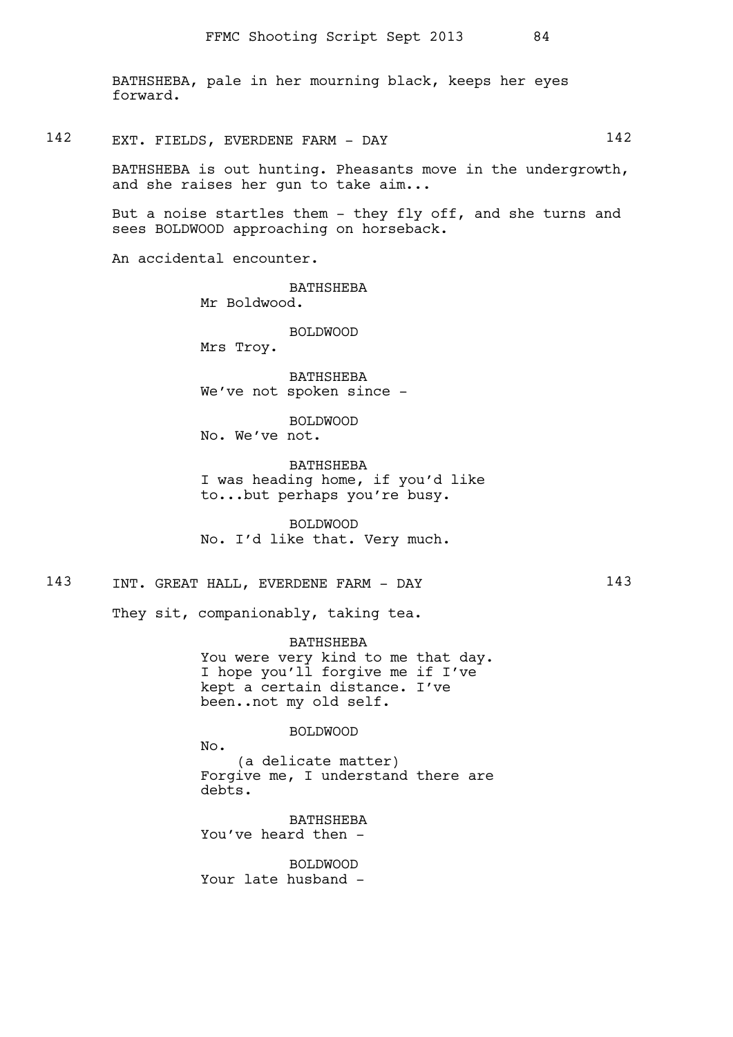BATHSHEBA, pale in her mourning black, keeps her eyes forward.

## 142 EXT. FIELDS, EVERDENE FARM - DAY 142

BATHSHEBA is out hunting. Pheasants move in the undergrowth, and she raises her gun to take aim...

But a noise startles them - they fly off, and she turns and sees BOLDWOOD approaching on horseback.

An accidental encounter.

BATHSHEBA Mr Boldwood.

BOLDWOOD

Mrs Troy.

BATHSHEBA We've not spoken since -

BOLDWOOD No. We've not.

BATHSHEBA I was heading home, if you'd like to...but perhaps you're busy.

BOLDWOOD No. I'd like that. Very much.

143 INT. GREAT HALL, EVERDENE FARM - DAY 143

They sit, companionably, taking tea.

BATHSHEBA You were very kind to me that day. I hope you'll forgive me if I've kept a certain distance. I've been..not my old self.

### BOLDWOOD

No.

(a delicate matter) Forgive me, I understand there are debts.

BATHSHEBA You've heard then -

BOLDWOOD Your late husband -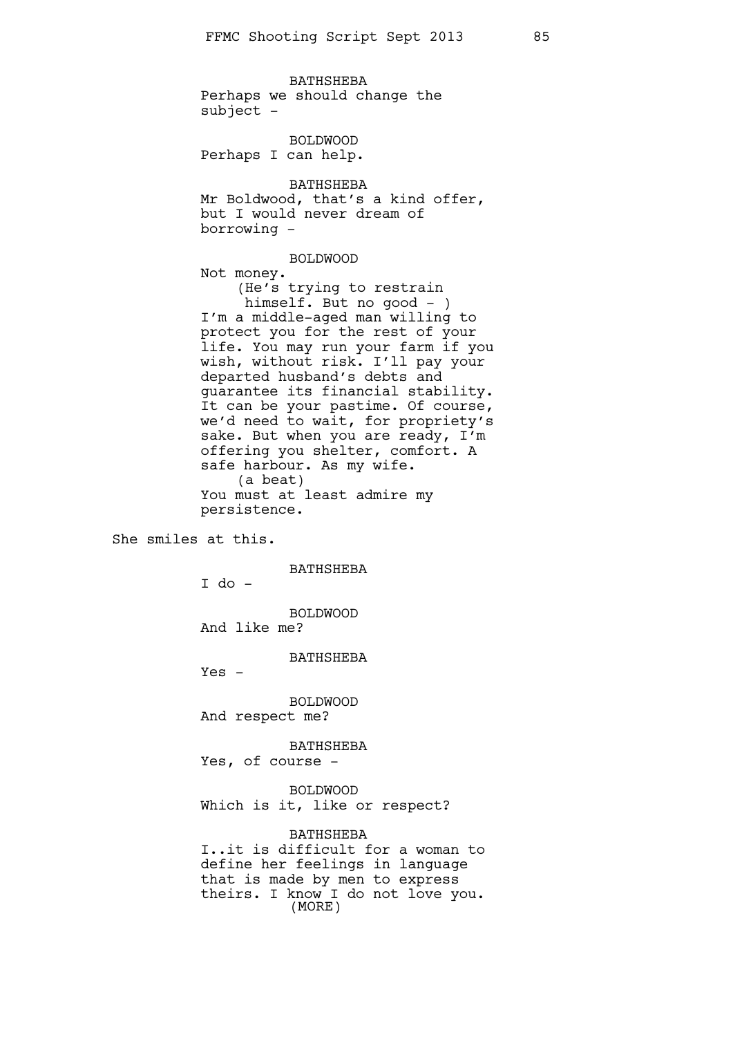BATHSHEBA Perhaps we should change the  $subject$  -

BOLDWOOD Perhaps I can help.

BATHSHEBA Mr Boldwood, that's a kind offer, but I would never dream of borrowing -

BOLDWOOD Not money. (He's trying to restrain himself. But no good - ) I'm a middle-aged man willing to protect you for the rest of your life. You may run your farm if you wish, without risk. I'll pay your departed husband's debts and guarantee its financial stability. It can be your pastime. Of course, we'd need to wait, for propriety's sake. But when you are ready, I'm offering you shelter, comfort. A safe harbour. As my wife. (a beat) You must at least admire my persistence.

She smiles at this.

BATHSHEBA

I do -

BOLDWOOD

And like me?

BATHSHEBA

 $Yes -$ 

BOLDWOOD And respect me?

BATHSHEBA

Yes, of course -

BOLDWOOD

Which is it, like or respect?

BATHSHEBA

I..it is difficult for a woman to define her feelings in language that is made by men to express theirs. I know I do not love you. (MORE)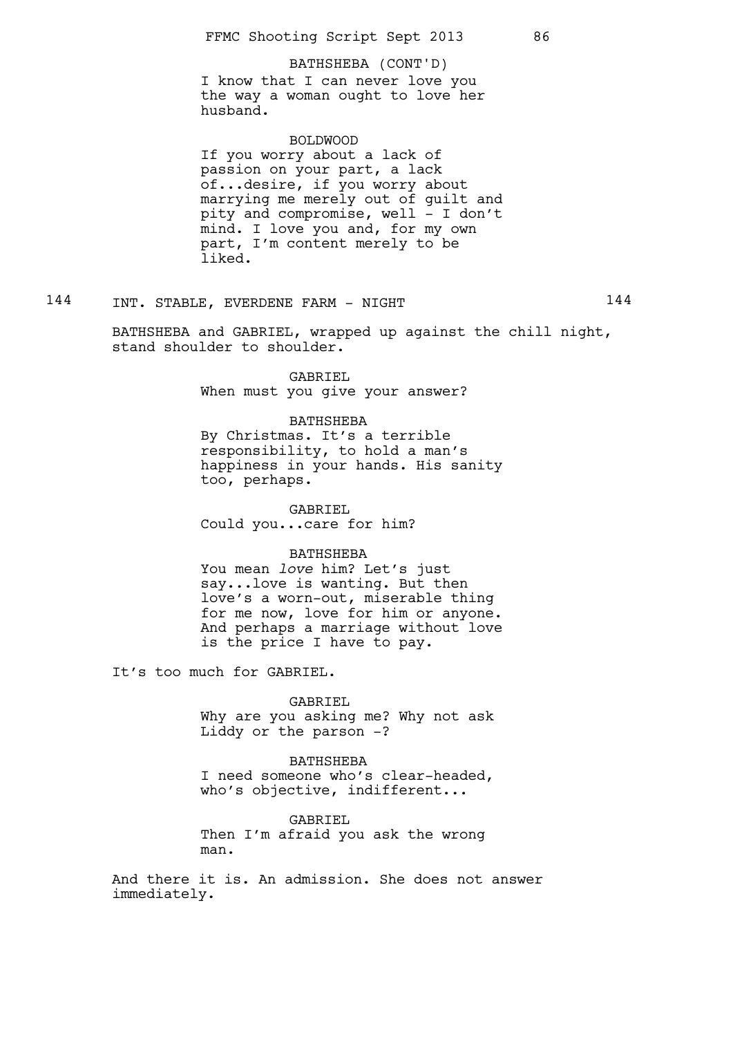### BATHSHEBA (CONT'D)

I know that I can never love you the way a woman ought to love her husband.

### BOLDWOOD

If you worry about a lack of passion on your part, a lack of...desire, if you worry about marrying me merely out of guilt and pity and compromise, well - I don't mind. I love you and, for my own part, I'm content merely to be liked.

## 144 INT. STABLE, EVERDENE FARM - NIGHT 144

BATHSHEBA and GABRIEL, wrapped up against the chill night, stand shoulder to shoulder.

> GABRIEL When must you give your answer?

#### BATHSHEBA

By Christmas. It's a terrible responsibility, to hold a man's happiness in your hands. His sanity too, perhaps.

GABRIEL Could you...care for him?

### BATHSHEBA

You mean *love* him? Let's just say...love is wanting. But then love's a worn-out, miserable thing for me now, love for him or anyone. And perhaps a marriage without love is the price I have to pay.

It's too much for GABRIEL.

### GABRIEL

Why are you asking me? Why not ask Liddy or the parson -?

BATHSHEBA I need someone who's clear-headed, who's objective, indifferent...

#### GABRIEL

Then I'm afraid you ask the wrong man.

And there it is. An admission. She does not answer immediately.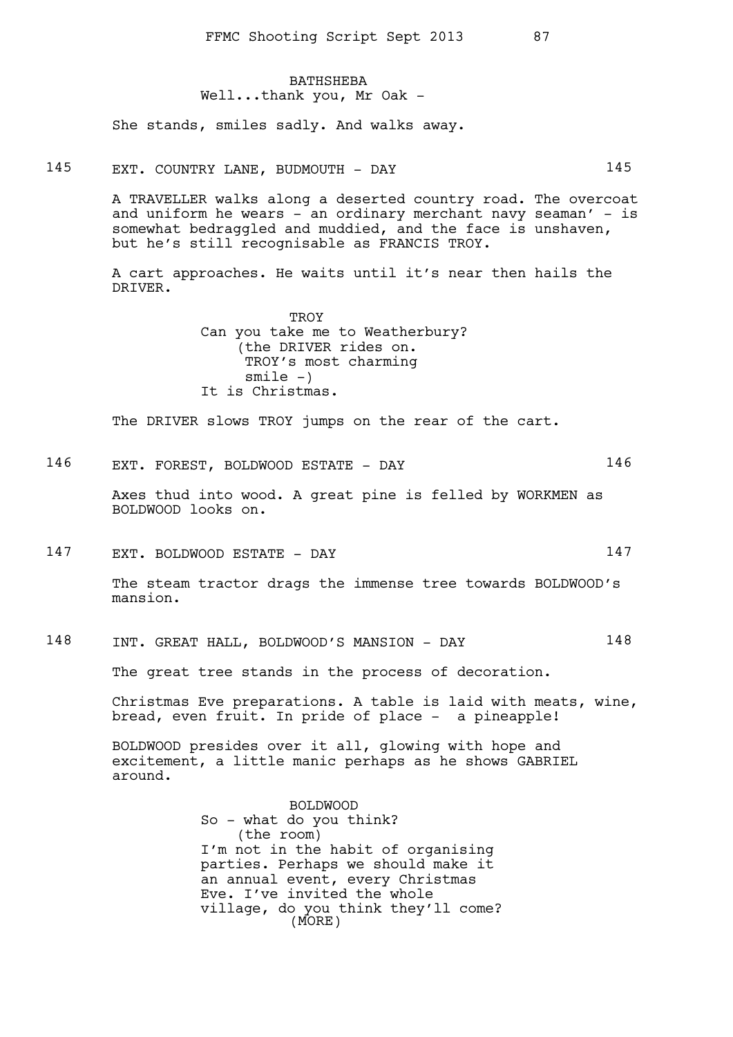### **BATHSHEBA** Well...thank you, Mr Oak -

She stands, smiles sadly. And walks away.

145 EXT. COUNTRY LANE, BUDMOUTH - DAY 145

A TRAVELLER walks along a deserted country road. The overcoat and uniform he wears - an ordinary merchant navy seaman' - is somewhat bedraggled and muddied, and the face is unshaven, but he's still recognisable as FRANCIS TROY.

A cart approaches. He waits until it's near then hails the DRIVER.

> TROY Can you take me to Weatherbury? (the DRIVER rides on. TROY's most charming  $smile -)$ It is Christmas.

The DRIVER slows TROY jumps on the rear of the cart.

146 EXT. FOREST, BOLDWOOD ESTATE - DAY 146

Axes thud into wood. A great pine is felled by WORKMEN as BOLDWOOD looks on.

147 EXT. BOLDWOOD ESTATE - DAY 147

The steam tractor drags the immense tree towards BOLDWOOD's mansion.

148 INT. GREAT HALL, BOLDWOOD'S MANSION - DAY 148

The great tree stands in the process of decoration.

Christmas Eve preparations. A table is laid with meats, wine, bread, even fruit. In pride of place - a pineapple!

BOLDWOOD presides over it all, glowing with hope and excitement, a little manic perhaps as he shows GABRIEL around.

> BOLDWOOD So - what do you think? (the room) I'm not in the habit of organising parties. Perhaps we should make it an annual event, every Christmas Eve. I've invited the whole village, do you think they'll come? (MORE)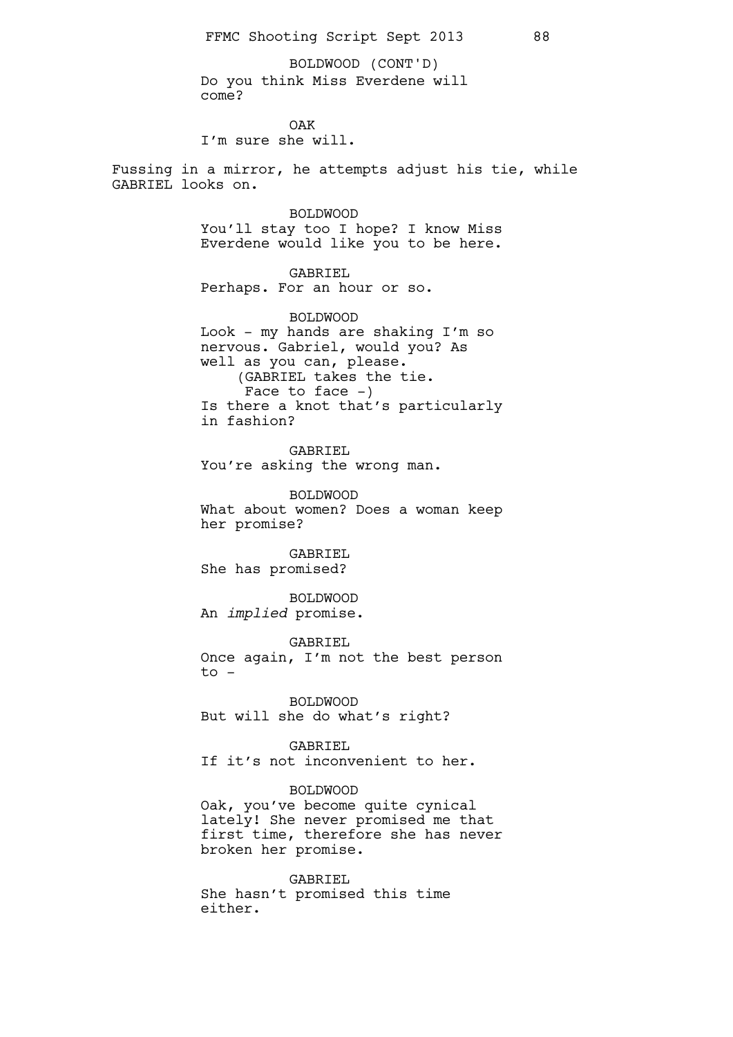Do you think Miss Everdene will come? BOLDWOOD (CONT'D)

OAK

I'm sure she will.

Fussing in a mirror, he attempts adjust his tie, while GABRIEL looks on.

### BOLDWOOD

You'll stay too I hope? I know Miss Everdene would like you to be here.

GABRIEL

Perhaps. For an hour or so.

BOLDWOOD Look - my hands are shaking I'm so nervous. Gabriel, would you? As well as you can, please. (GABRIEL takes the tie. Face to face  $-$ ) Is there a knot that's particularly in fashion?

GABRIEL You're asking the wrong man.

BOLDWOOD What about women? Does a woman keep her promise?

GABRIEL She has promised?

BOLDWOOD An *implied* promise.

GABRIEL Once again, I'm not the best person  $to -$ 

BOLDWOOD But will she do what's right?

GABRIEL

If it's not inconvenient to her.

### BOLDWOOD

Oak, you've become quite cynical lately! She never promised me that first time, therefore she has never broken her promise.

GABRIEL She hasn't promised this time either.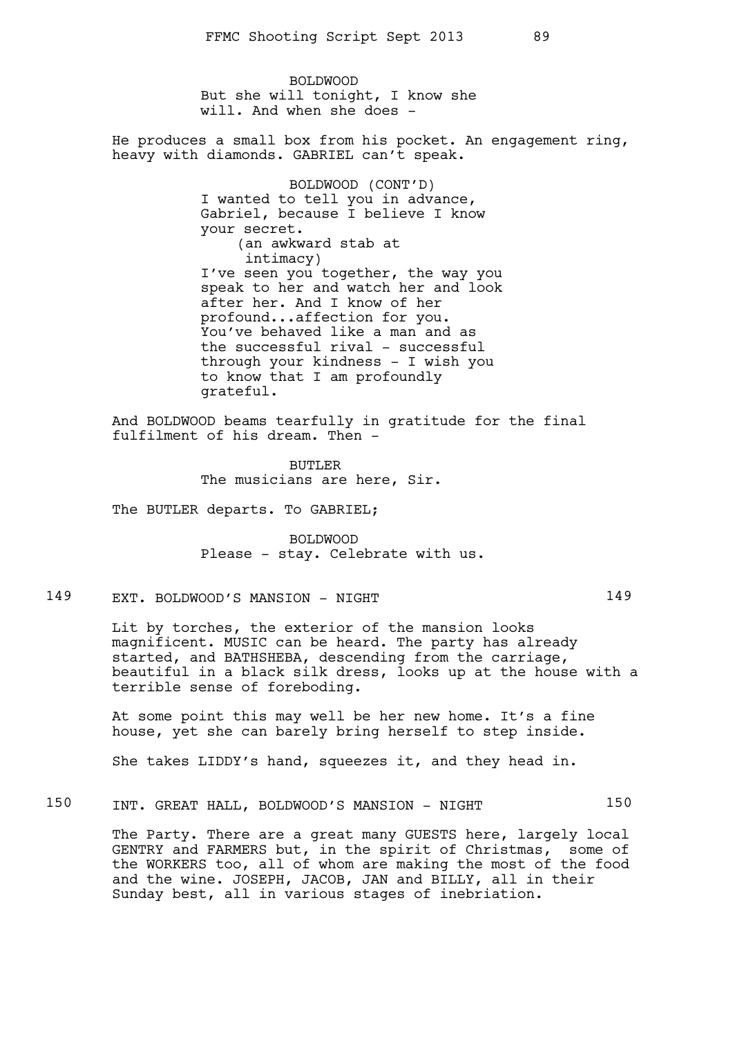BOLDWOOD But she will tonight, I know she will. And when she does -

He produces a small box from his pocket. An engagement ring, heavy with diamonds. GABRIEL can't speak.

> BOLDWOOD (CONT'D) I wanted to tell you in advance, Gabriel, because I believe I know your secret. (an awkward stab at intimacy) I've seen you together, the way you speak to her and watch her and look after her. And I know of her profound...affection for you. You've behaved like a man and as the successful rival - successful through your kindness - I wish you to know that I am profoundly grateful.

And BOLDWOOD beams tearfully in gratitude for the final fulfilment of his dream. Then -

> BUTLER The musicians are here, Sir.

The BUTLER departs. To GABRIEL;

BOLDWOOD Please - stay. Celebrate with us.

## 149 EXT. BOLDWOOD'S MANSION - NIGHT 149

Lit by torches, the exterior of the mansion looks magnificent. MUSIC can be heard. The party has already started, and BATHSHEBA, descending from the carriage, beautiful in a black silk dress, looks up at the house with a terrible sense of foreboding.

At some point this may well be her new home. It's a fine house, yet she can barely bring herself to step inside.

She takes LIDDY's hand, squeezes it, and they head in.

## 150 INT. GREAT HALL, BOLDWOOD'S MANSION - NIGHT 150

The Party. There are a great many GUESTS here, largely local GENTRY and FARMERS but, in the spirit of Christmas, some of the WORKERS too, all of whom are making the most of the food and the wine. JOSEPH, JACOB, JAN and BILLY, all in their Sunday best, all in various stages of inebriation.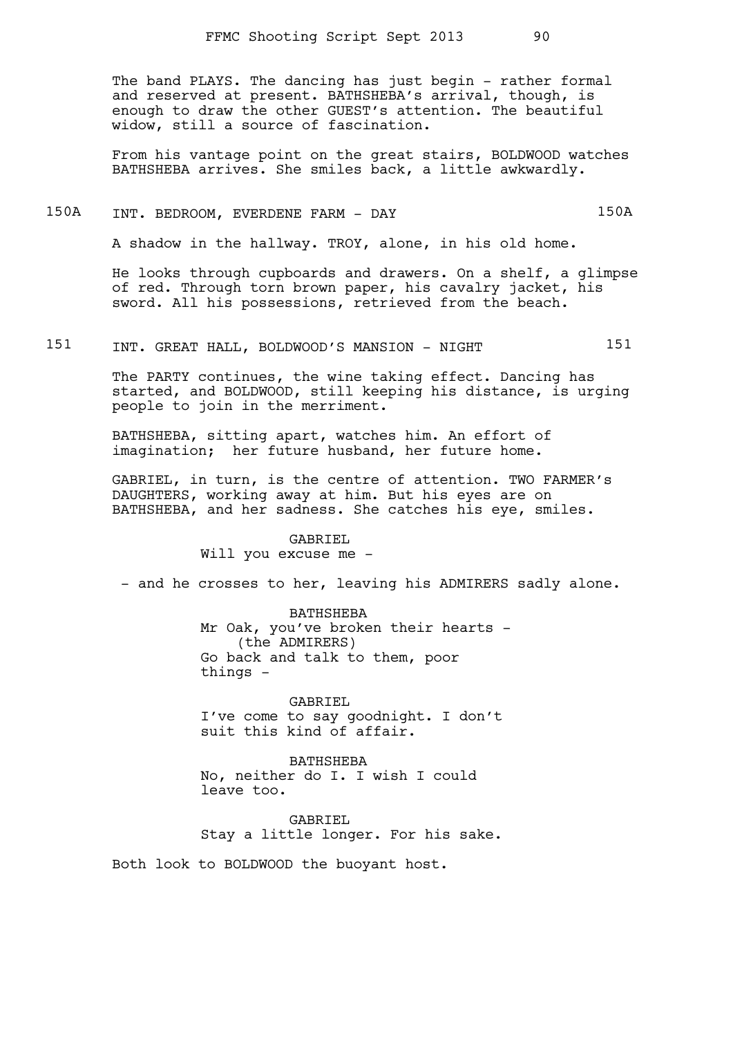The band PLAYS. The dancing has just begin - rather formal and reserved at present. BATHSHEBA's arrival, though, is enough to draw the other GUEST's attention. The beautiful widow, still a source of fascination.

From his vantage point on the great stairs, BOLDWOOD watches BATHSHEBA arrives. She smiles back, a little awkwardly.

## 150A INT. BEDROOM, EVERDENE FARM - DAY 150A

A shadow in the hallway. TROY, alone, in his old home.

He looks through cupboards and drawers. On a shelf, a glimpse of red. Through torn brown paper, his cavalry jacket, his sword. All his possessions, retrieved from the beach.

151 INT. GREAT HALL, BOLDWOOD'S MANSION - NIGHT 151

The PARTY continues, the wine taking effect. Dancing has started, and BOLDWOOD, still keeping his distance, is urging people to join in the merriment.

BATHSHEBA, sitting apart, watches him. An effort of imagination; her future husband, her future home.

GABRIEL, in turn, is the centre of attention. TWO FARMER's DAUGHTERS, working away at him. But his eyes are on BATHSHEBA, and her sadness. She catches his eye, smiles.

#### GABRIEL

Will you excuse me -

- and he crosses to her, leaving his ADMIRERS sadly alone.

BATHSHEBA Mr Oak, you've broken their hearts -(the ADMIRERS) Go back and talk to them, poor things -

GABRIEL I've come to say goodnight. I don't suit this kind of affair.

BATHSHEBA No, neither do I. I wish I could leave too.

GABRIEL Stay a little longer. For his sake.

Both look to BOLDWOOD the buoyant host.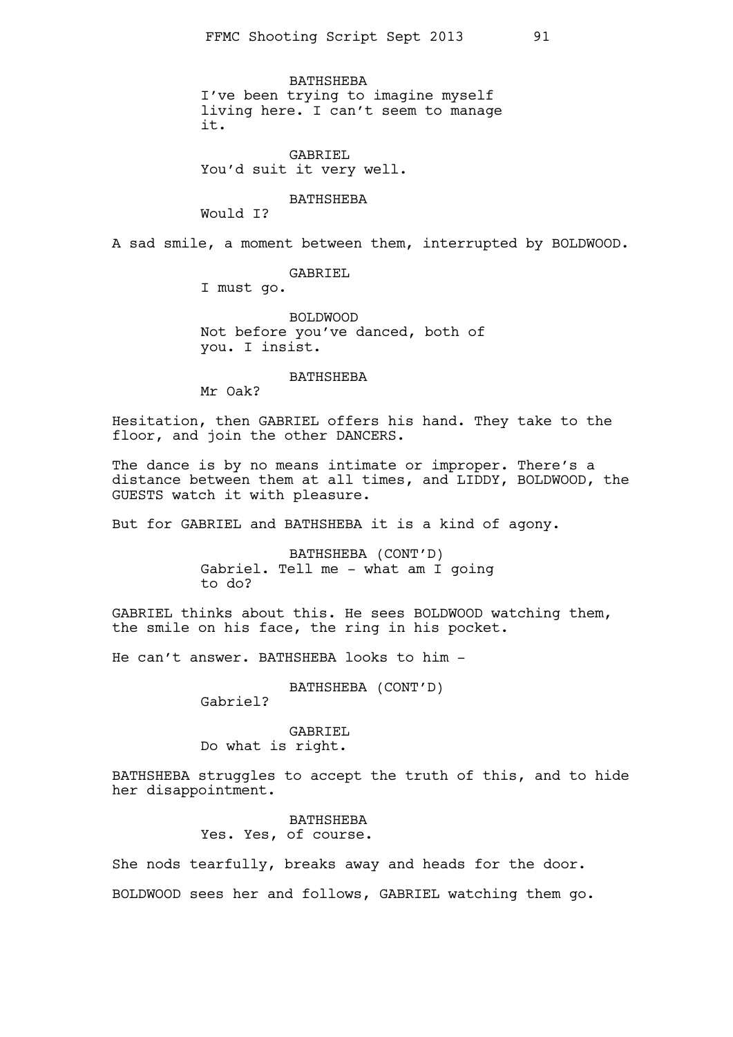BATHSHEBA I've been trying to imagine myself living here. I can't seem to manage it.

GABRIEL You'd suit it very well.

BATHSHEBA

Would I?

A sad smile, a moment between them, interrupted by BOLDWOOD.

#### GABRIEL

I must go.

BOLDWOOD Not before you've danced, both of you. I insist.

#### BATHSHEBA

Mr Oak?

Hesitation, then GABRIEL offers his hand. They take to the floor, and join the other DANCERS.

The dance is by no means intimate or improper. There's a distance between them at all times, and LIDDY, BOLDWOOD, the GUESTS watch it with pleasure.

But for GABRIEL and BATHSHEBA it is a kind of agony.

BATHSHEBA (CONT'D) Gabriel. Tell me - what am I going to do?

GABRIEL thinks about this. He sees BOLDWOOD watching them, the smile on his face, the ring in his pocket.

He can't answer. BATHSHEBA looks to him -

BATHSHEBA (CONT'D)

Gabriel?

GABRIEL Do what is right.

BATHSHEBA struggles to accept the truth of this, and to hide her disappointment.

> BATHSHEBA Yes. Yes, of course.

She nods tearfully, breaks away and heads for the door. BOLDWOOD sees her and follows, GABRIEL watching them go.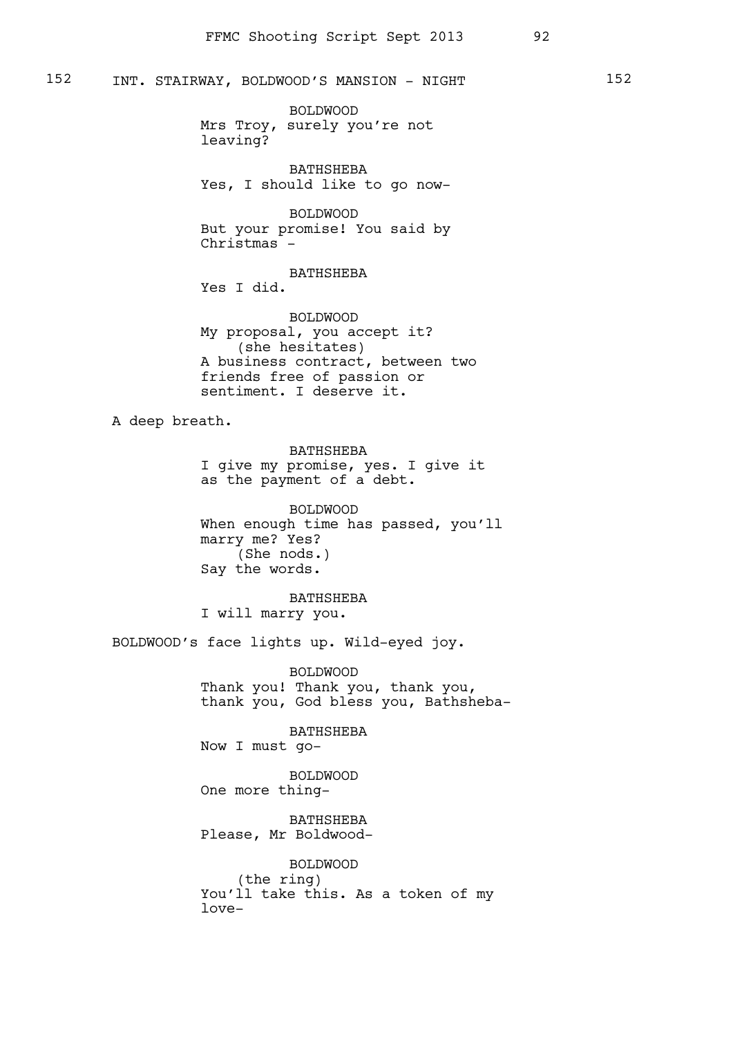BOLDWOOD Mrs Troy, surely you're not leaving?

BATHSHEBA Yes, I should like to go now-

BOLDWOOD But your promise! You said by Christmas -

BATHSHEBA Yes I did.

BOLDWOOD My proposal, you accept it? (she hesitates) A business contract, between two friends free of passion or sentiment. I deserve it.

A deep breath.

BATHSHEBA I give my promise, yes. I give it as the payment of a debt.

BOLDWOOD When enough time has passed, you'll marry me? Yes? (She nods.) Say the words.

BATHSHEBA I will marry you.

BOLDWOOD's face lights up. Wild-eyed joy.

BOLDWOOD Thank you! Thank you, thank you, thank you, God bless you, Bathsheba-

BATHSHEBA Now I must go-

BOLDWOOD One more thing-

BATHSHEBA Please, Mr Boldwood-

BOLDWOOD (the ring) You'll take this. As a token of my love-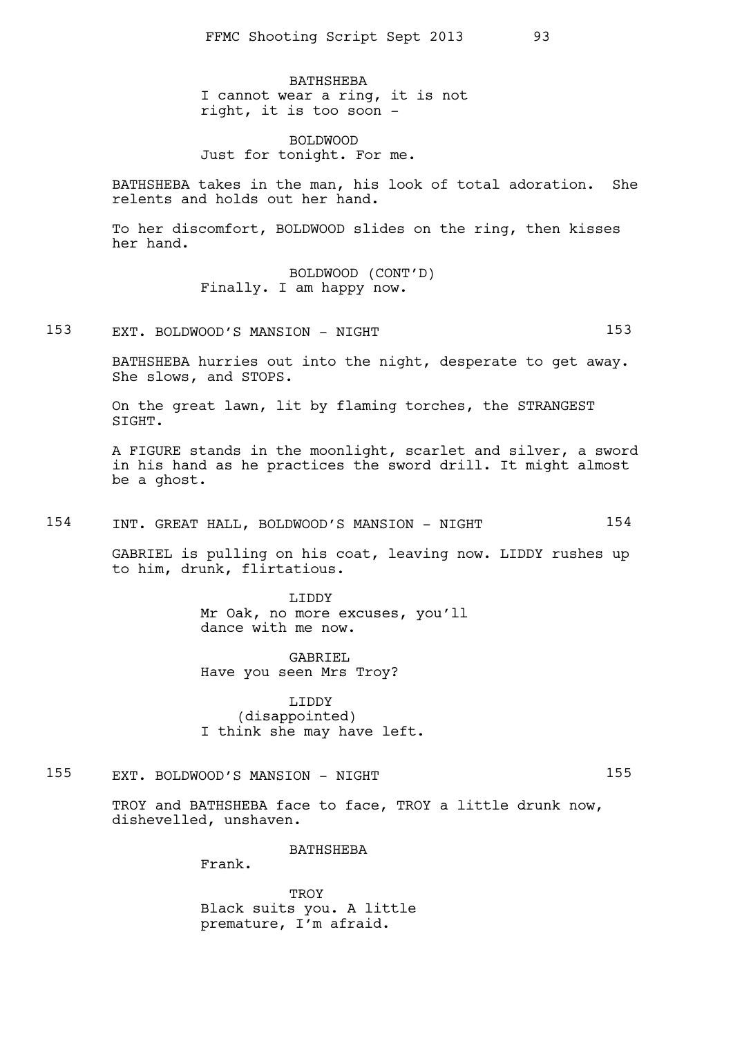BATHSHEBA I cannot wear a ring, it is not right, it is too soon -

BOLDWOOD Just for tonight. For me.

BATHSHEBA takes in the man, his look of total adoration. She relents and holds out her hand.

To her discomfort, BOLDWOOD slides on the ring, then kisses her hand.

> BOLDWOOD (CONT'D) Finally. I am happy now.

153 EXT. BOLDWOOD'S MANSION - NIGHT 153

BATHSHEBA hurries out into the night, desperate to get away. She slows, and STOPS.

On the great lawn, lit by flaming torches, the STRANGEST SIGHT.

A FIGURE stands in the moonlight, scarlet and silver, a sword in his hand as he practices the sword drill. It might almost be a ghost.

154 INT. GREAT HALL, BOLDWOOD'S MANSION - NIGHT 154

GABRIEL is pulling on his coat, leaving now. LIDDY rushes up to him, drunk, flirtatious.

> LIDDY Mr Oak, no more excuses, you'll dance with me now.

GABRIEL Have you seen Mrs Troy?

LIDDY (disappointed) I think she may have left.

155 EXT. BOLDWOOD'S MANSION - NIGHT 155

TROY and BATHSHEBA face to face, TROY a little drunk now, dishevelled, unshaven.

BATHSHEBA

Frank.

**TROY** Black suits you. A little premature, I'm afraid.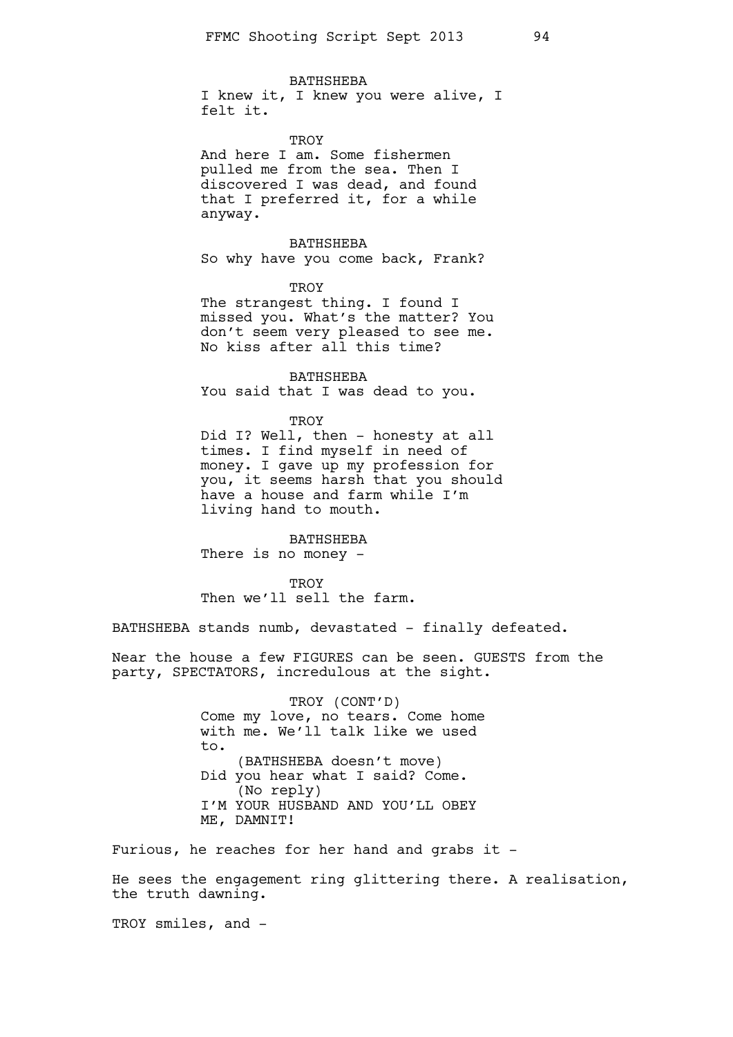BATHSHEBA

I knew it, I knew you were alive, I felt it.

TROY And here I am. Some fishermen pulled me from the sea. Then I discovered I was dead, and found that I preferred it, for a while anyway.

BATHSHEBA So why have you come back, Frank?

**TROY** The strangest thing. I found I missed you. What's the matter? You don't seem very pleased to see me. No kiss after all this time?

BATHSHEBA You said that I was dead to you.

TROY Did I? Well, then - honesty at all times. I find myself in need of money. I gave up my profession for you, it seems harsh that you should have a house and farm while I'm living hand to mouth.

BATHSHEBA There is no money -

TROY Then we'll sell the farm.

BATHSHEBA stands numb, devastated - finally defeated.

Near the house a few FIGURES can be seen. GUESTS from the party, SPECTATORS, incredulous at the sight.

> TROY (CONT'D) Come my love, no tears. Come home with me. We'll talk like we used to. (BATHSHEBA doesn't move) Did you hear what I said? Come. (No reply) I'M YOUR HUSBAND AND YOU'LL OBEY ME, DAMNIT!

Furious, he reaches for her hand and grabs it -

He sees the engagement ring glittering there. A realisation, the truth dawning.

TROY smiles, and -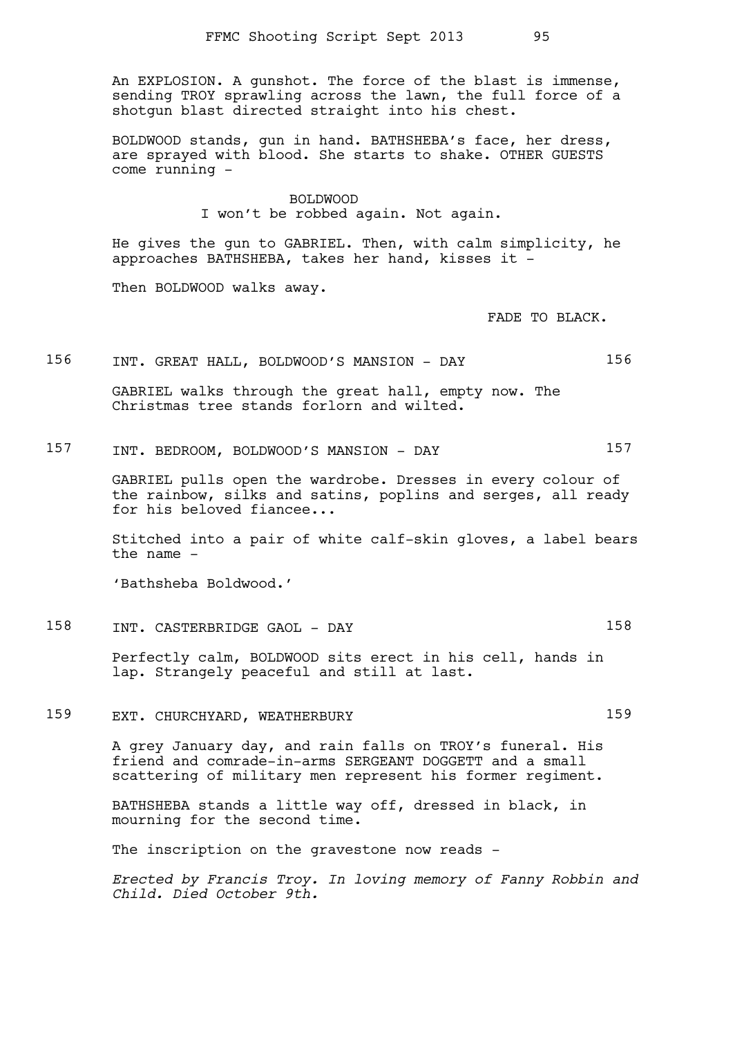An EXPLOSION. A gunshot. The force of the blast is immense, sending TROY sprawling across the lawn, the full force of a shotgun blast directed straight into his chest.

BOLDWOOD stands, gun in hand. BATHSHEBA's face, her dress, are sprayed with blood. She starts to shake. OTHER GUESTS come running -

### BOLDWOOD I won't be robbed again. Not again.

He gives the gun to GABRIEL. Then, with calm simplicity, he approaches BATHSHEBA, takes her hand, kisses it -

Then BOLDWOOD walks away.

FADE TO BLACK.

### 156 INT. GREAT HALL, BOLDWOOD'S MANSION - DAY 156

GABRIEL walks through the great hall, empty now. The Christmas tree stands forlorn and wilted.

157 INT. BEDROOM, BOLDWOOD'S MANSION - DAY 157

GABRIEL pulls open the wardrobe. Dresses in every colour of the rainbow, silks and satins, poplins and serges, all ready for his beloved fiancee...

Stitched into a pair of white calf-skin gloves, a label bears the name -

'Bathsheba Boldwood.'

158 INT. CASTERBRIDGE GAOL - DAY 158

Perfectly calm, BOLDWOOD sits erect in his cell, hands in lap. Strangely peaceful and still at last.

159 EXT. CHURCHYARD, WEATHERBURY 159

A grey January day, and rain falls on TROY's funeral. His friend and comrade-in-arms SERGEANT DOGGETT and a small scattering of military men represent his former regiment.

BATHSHEBA stands a little way off, dressed in black, in mourning for the second time.

The inscription on the gravestone now reads -

*Erected by Francis Troy. In loving memory of Fanny Robbin and Child. Died October 9th.*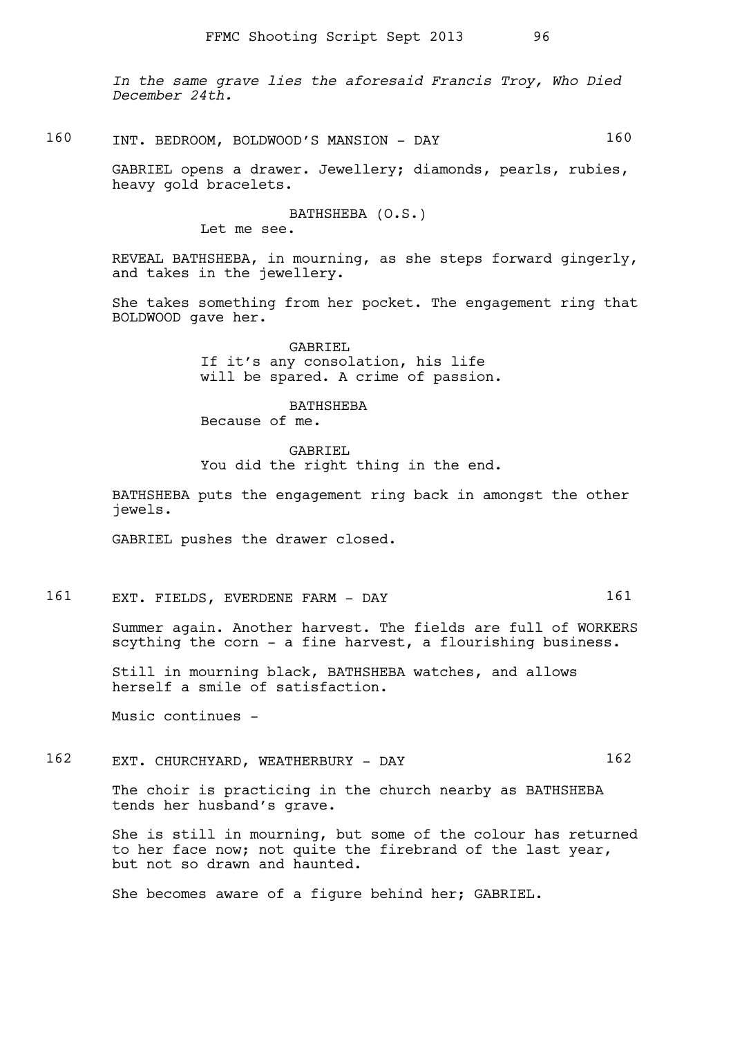*In the same grave lies the aforesaid Francis Troy, Who Died December 24th.*

## 160 INT. BEDROOM, BOLDWOOD'S MANSION - DAY 160

GABRIEL opens a drawer. Jewellery; diamonds, pearls, rubies, heavy gold bracelets.

BATHSHEBA (O.S.)

Let me see.

REVEAL BATHSHEBA, in mourning, as she steps forward gingerly, and takes in the jewellery.

She takes something from her pocket. The engagement ring that BOLDWOOD gave her.

> GABRIEL If it's any consolation, his life will be spared. A crime of passion.

BATHSHEBA Because of me.

GABRIEL

You did the right thing in the end.

BATHSHEBA puts the engagement ring back in amongst the other jewels.

GABRIEL pushes the drawer closed.

161 EXT. FIELDS, EVERDENE FARM - DAY 161

Summer again. Another harvest. The fields are full of WORKERS scything the corn - a fine harvest, a flourishing business.

Still in mourning black, BATHSHEBA watches, and allows herself a smile of satisfaction.

Music continues -

## 162 EXT. CHURCHYARD, WEATHERBURY - DAY 162

The choir is practicing in the church nearby as BATHSHEBA tends her husband's grave.

She is still in mourning, but some of the colour has returned to her face now; not quite the firebrand of the last year, but not so drawn and haunted.

She becomes aware of a figure behind her; GABRIEL.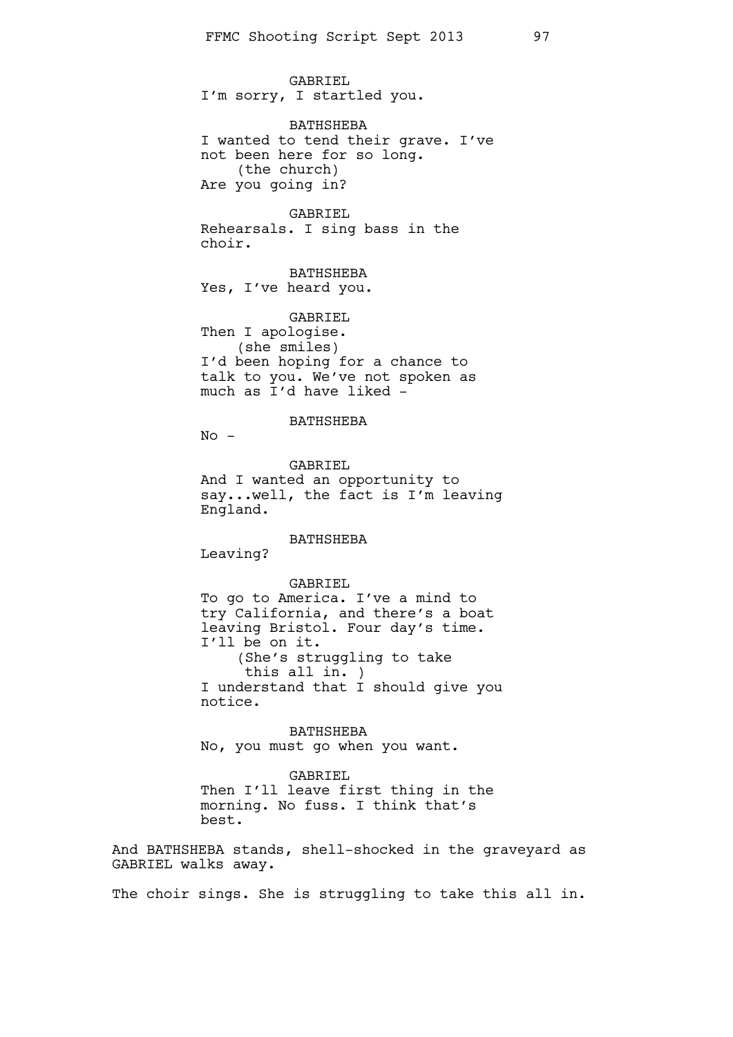GABRIEL I'm sorry, I startled you.

BATHSHEBA I wanted to tend their grave. I've not been here for so long. (the church) Are you going in?

GABRIEL Rehearsals. I sing bass in the choir.

BATHSHEBA Yes, I've heard you.

GABRIEL Then I apologise. (she smiles) I'd been hoping for a chance to talk to you. We've not spoken as much as I'd have liked -

### BATHSHEBA

 $No -$ 

GABRIEL And I wanted an opportunity to say...well, the fact is I'm leaving England.

BATHSHEBA

Leaving?

#### GABRIEL

To go to America. I've a mind to try California, and there's a boat leaving Bristol. Four day's time. I'll be on it. (She's struggling to take this all in. ) I understand that I should give you notice.

BATHSHEBA No, you must go when you want.

GABRIEL

Then I'll leave first thing in the morning. No fuss. I think that's best.

And BATHSHEBA stands, shell-shocked in the graveyard as GABRIEL walks away.

The choir sings. She is struggling to take this all in.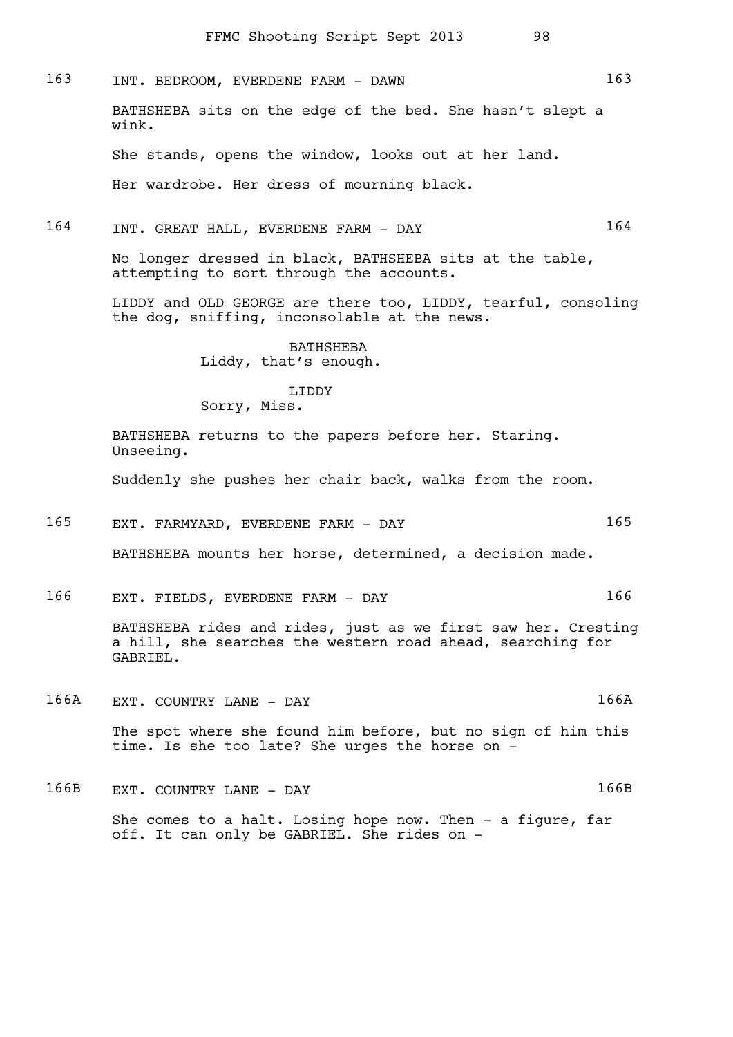163 INT. BEDROOM, EVERDENE FARM - DAWN 163 BATHSHEBA sits on the edge of the bed. She hasn't slept a wink. She stands, opens the window, looks out at her land. Her wardrobe. Her dress of mourning black. 164 INT. GREAT HALL, EVERDENE FARM - DAY 164 No longer dressed in black, BATHSHEBA sits at the table, attempting to sort through the accounts. LIDDY and OLD GEORGE are there too, LIDDY, tearful, consoling the dog, sniffing, inconsolable at the news. BATHSHEBA Liddy, that's enough. LIDDY Sorry, Miss.

> BATHSHEBA returns to the papers before her. Staring. Unseeing.

Suddenly she pushes her chair back, walks from the room.

- 165 EXT. FARMYARD, EVERDENE FARM DAY 165 BATHSHEBA mounts her horse, determined, a decision made.
- 166 EXT. FIELDS, EVERDENE FARM DAY 166

BATHSHEBA rides and rides, just as we first saw her. Cresting a hill, she searches the western road ahead, searching for GABRIEL.

166A EXT. COUNTRY LANE - DAY 166A

The spot where she found him before, but no sign of him this time. Is she too late? She urges the horse on -

166B EXT. COUNTRY LANE - DAY 166B

She comes to a halt. Losing hope now. Then - a figure, far off. It can only be GABRIEL. She rides on -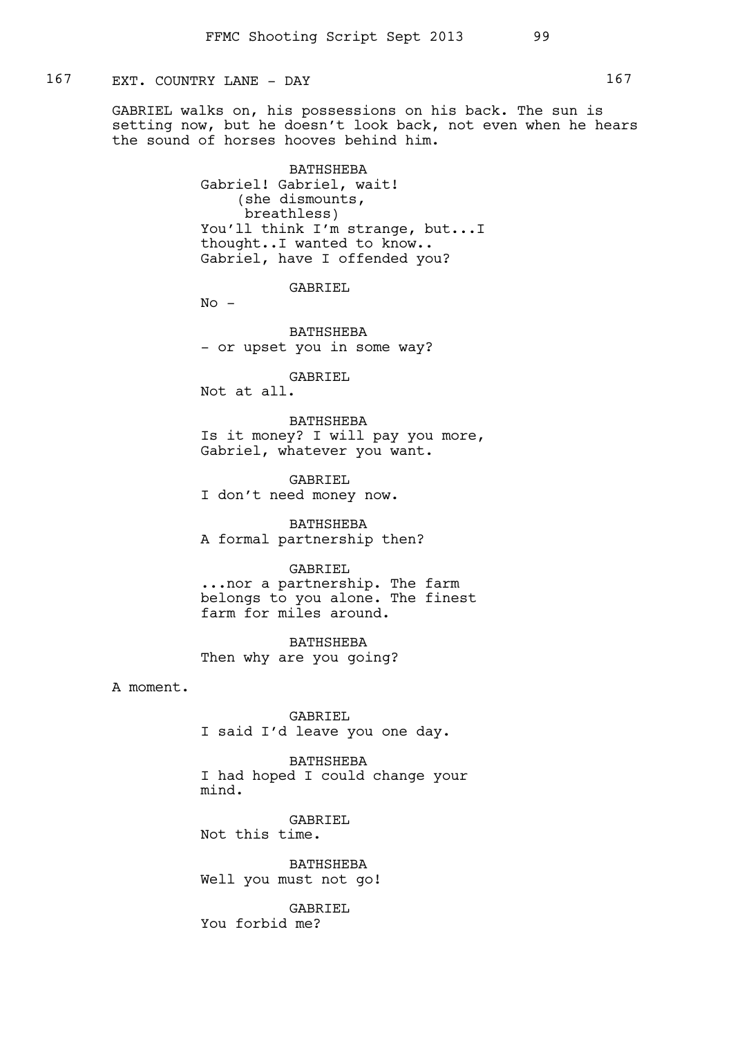## 167 EXT. COUNTRY LANE - DAY

GABRIEL walks on, his possessions on his back. The sun is setting now, but he doesn't look back, not even when he hears the sound of horses hooves behind him.

> BATHSHEBA Gabriel! Gabriel, wait! (she dismounts, breathless) You'll think I'm strange, but...I thought..I wanted to know.. Gabriel, have I offended you?

> > GABRIEL

 $No -$ 

BATHSHEBA - or upset you in some way?

GABRIEL

Not at all.

BATHSHEBA Is it money? I will pay you more, Gabriel, whatever you want.

GABRIEL I don't need money now.

BATHSHEBA A formal partnership then?

#### GABRIEL

...nor a partnership. The farm belongs to you alone. The finest farm for miles around.

BATHSHEBA Then why are you going?

A moment.

GABRIEL I said I'd leave you one day.

BATHSHEBA I had hoped I could change your mind.

GABRIEL Not this time.

BATHSHEBA Well you must not go!

GABRIEL You forbid me?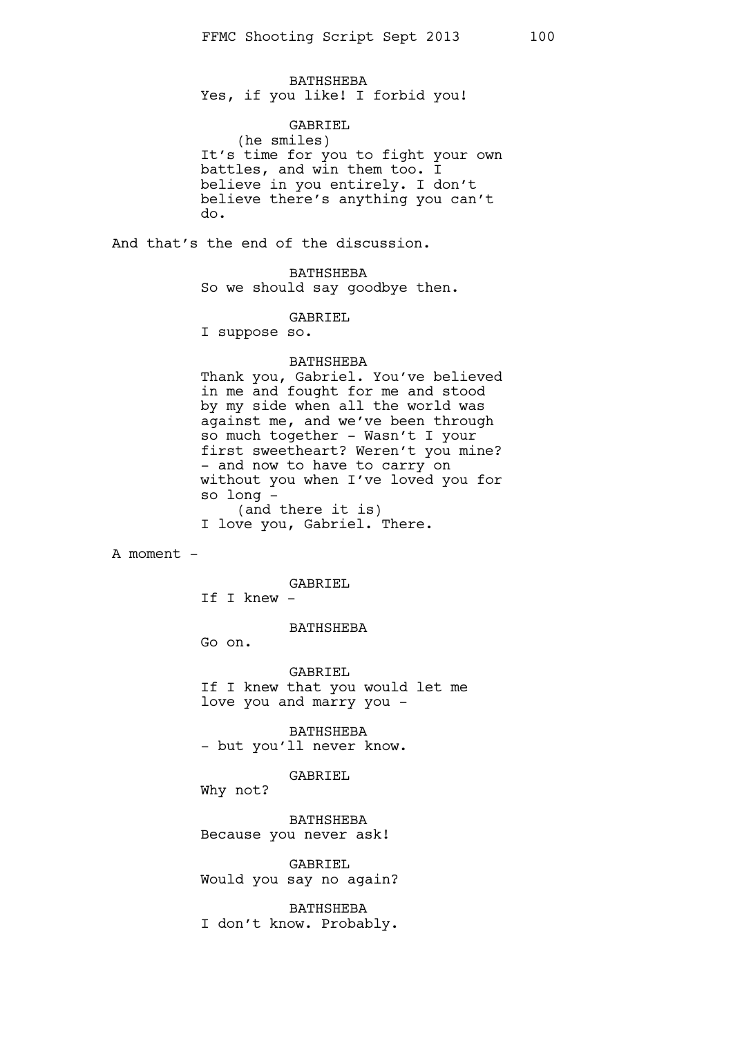BATHSHEBA Yes, if you like! I forbid you!

### GABRIEL

(he smiles) It's time for you to fight your own battles, and win them too. I believe in you entirely. I don't believe there's anything you can't do.

And that's the end of the discussion.

BATHSHEBA So we should say goodbye then.

GABRIEL

I suppose so.

#### BATHSHEBA

Thank you, Gabriel. You've believed in me and fought for me and stood by my side when all the world was against me, and we've been through so much together - Wasn't I your first sweetheart? Weren't you mine? - and now to have to carry on without you when I've loved you for so long - (and there it is)

I love you, Gabriel. There.

A moment -

GABRIEL

If I knew -

BATHSHEBA

Go on.

GABRIEL If I knew that you would let me love you and marry you -

BATHSHEBA - but you'll never know.

GABRIEL

Why not?

BATHSHEBA Because you never ask!

GABRIEL Would you say no again?

BATHSHEBA I don't know. Probably.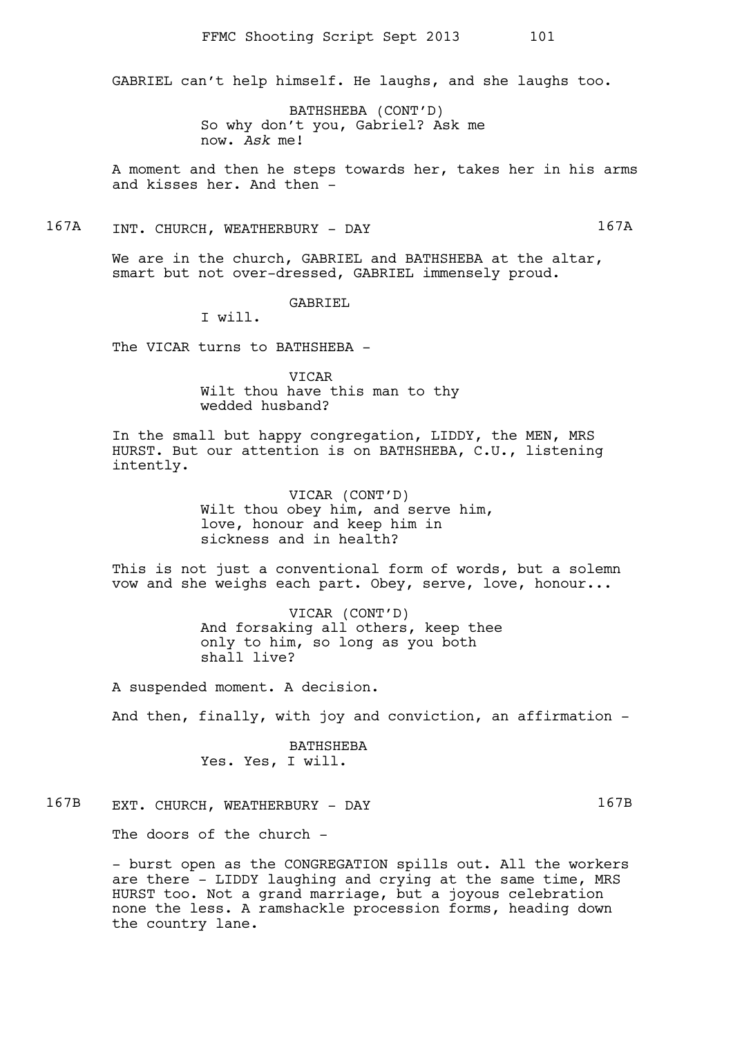GABRIEL can't help himself. He laughs, and she laughs too.

BATHSHEBA (CONT'D) So why don't you, Gabriel? Ask me now. *Ask* me!

A moment and then he steps towards her, takes her in his arms and kisses her. And then -

167A INT. CHURCH, WEATHERBURY - DAY 167A

We are in the church, GABRIEL and BATHSHEBA at the altar, smart but not over-dressed, GABRIEL immensely proud.

GABRIEL

I will.

The VICAR turns to BATHSHEBA -

VICAR Wilt thou have this man to thy wedded husband?

In the small but happy congregation, LIDDY, the MEN, MRS HURST. But our attention is on BATHSHEBA, C.U., listening intently.

> VICAR (CONT'D) Wilt thou obey him, and serve him, love, honour and keep him in sickness and in health?

This is not just a conventional form of words, but a solemn vow and she weighs each part. Obey, serve, love, honour...

> VICAR (CONT'D) And forsaking all others, keep thee only to him, so long as you both shall live?

A suspended moment. A decision.

And then, finally, with joy and conviction, an affirmation -

BATHSHEBA Yes. Yes, I will.

# 167B EXT. CHURCH, WEATHERBURY - DAY 167B

The doors of the church -

- burst open as the CONGREGATION spills out. All the workers are there - LIDDY laughing and crying at the same time, MRS HURST too. Not a grand marriage, but a joyous celebration none the less. A ramshackle procession forms, heading down the country lane.